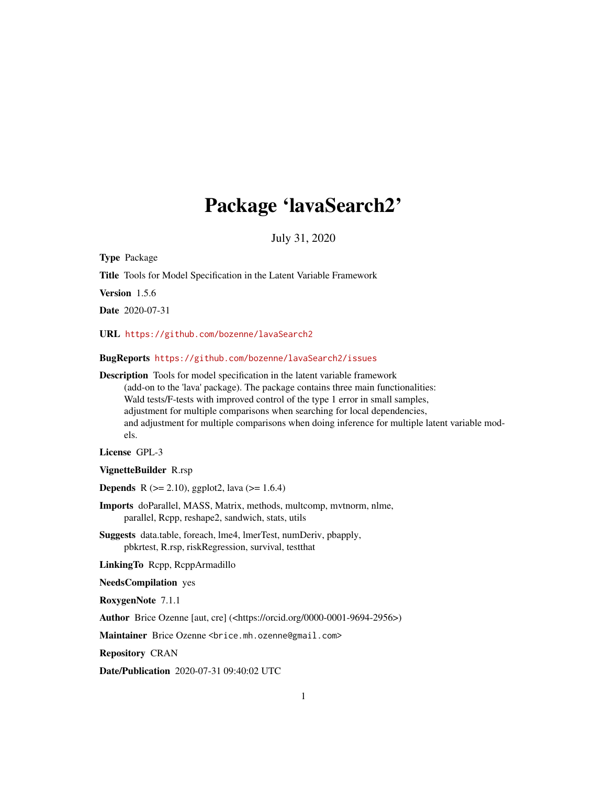# Package 'lavaSearch2'

July 31, 2020

Type Package

Title Tools for Model Specification in the Latent Variable Framework

Version 1.5.6

Date 2020-07-31

URL <https://github.com/bozenne/lavaSearch2>

BugReports <https://github.com/bozenne/lavaSearch2/issues>

Description Tools for model specification in the latent variable framework (add-on to the 'lava' package). The package contains three main functionalities: Wald tests/F-tests with improved control of the type 1 error in small samples, adjustment for multiple comparisons when searching for local dependencies, and adjustment for multiple comparisons when doing inference for multiple latent variable models.

License GPL-3

VignetteBuilder R.rsp

**Depends** R ( $>= 2.10$ ), ggplot2, lava ( $>= 1.6.4$ )

Imports doParallel, MASS, Matrix, methods, multcomp, mvtnorm, nlme, parallel, Rcpp, reshape2, sandwich, stats, utils

Suggests data.table, foreach, lme4, lmerTest, numDeriv, pbapply, pbkrtest, R.rsp, riskRegression, survival, testthat

LinkingTo Rcpp, RcppArmadillo

NeedsCompilation yes

RoxygenNote 7.1.1

Author Brice Ozenne [aut, cre] (<https://orcid.org/0000-0001-9694-2956>)

Maintainer Brice Ozenne <brice.mh.ozenne@gmail.com>

Repository CRAN

Date/Publication 2020-07-31 09:40:02 UTC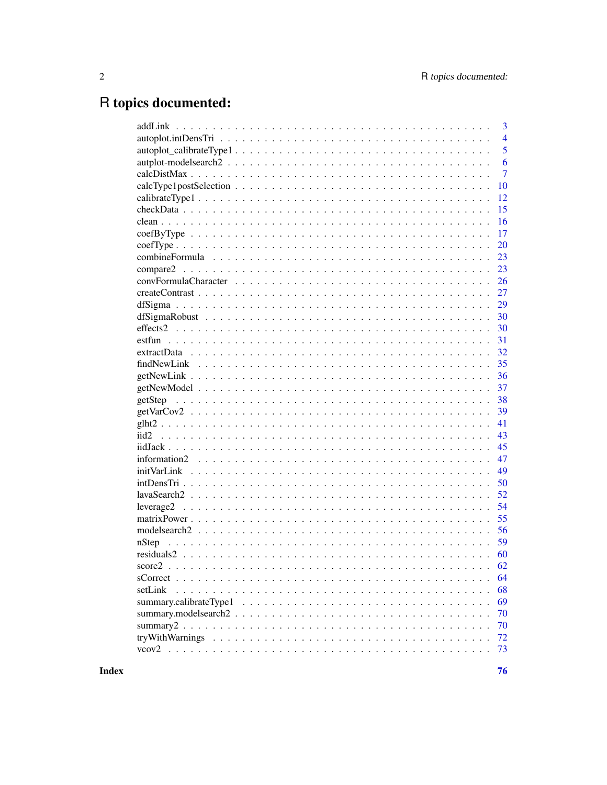# R topics documented:

|           | 3              |
|-----------|----------------|
|           | $\overline{4}$ |
|           | 5              |
|           | 6              |
|           | $\overline{7}$ |
|           | 10             |
|           | 12             |
|           | 15             |
|           | 16             |
|           | 17             |
|           | 20             |
|           | 23             |
|           | 23             |
|           | 26             |
|           | 27             |
|           | 29             |
|           | 30             |
|           | 30             |
|           | 31             |
|           | 32             |
|           | 35             |
|           | 36             |
|           | 37             |
|           | 38             |
|           | 39             |
|           | 41             |
|           | 43             |
|           | 45             |
|           | 47             |
|           | 49             |
|           | 50             |
|           | 52             |
| leverage2 | 54             |
|           | 55             |
|           | 56             |
|           | 59             |
|           | 60             |
| score2    |                |
|           | 64             |
| setLink   | 68             |
|           | 69             |
|           | 70             |
|           | 70             |
|           |                |
|           | 72             |
|           | 73             |

**Index**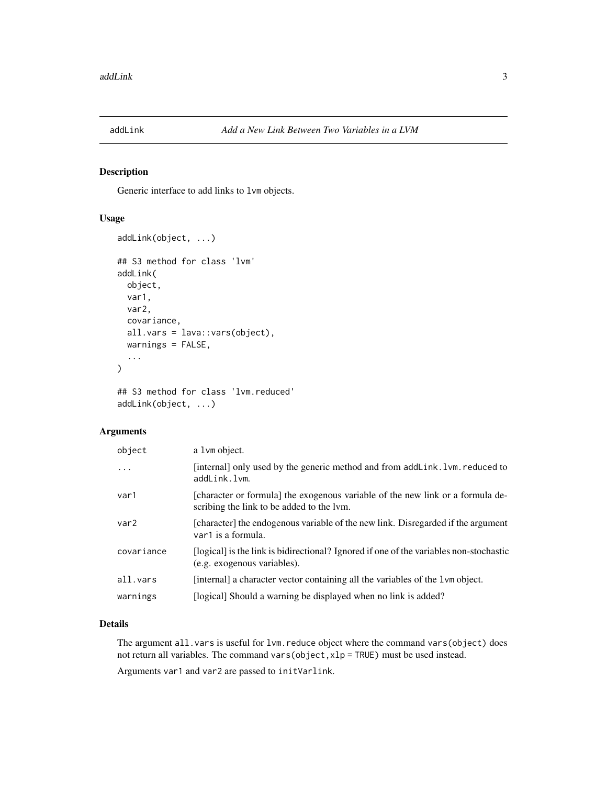<span id="page-2-0"></span>

# Description

Generic interface to add links to lvm objects.

# Usage

```
addLink(object, ...)
## S3 method for class 'lvm'
addLink(
 object,
 var1,
  var2,
  covariance,
  all.vars = lava::vars(object),
 warnings = FALSE,
  ...
)
```

```
## S3 method for class 'lvm.reduced'
addLink(object, ...)
```
## Arguments

| object           | a 1 vm object.                                                                                                              |
|------------------|-----------------------------------------------------------------------------------------------------------------------------|
| $\ddotsc$        | [internal] only used by the generic method and from addLink. 1 vm. reduced to<br>addLink.lvm.                               |
| var1             | [character or formula] the exogenous variable of the new link or a formula de-<br>scribing the link to be added to the lym. |
| var <sub>2</sub> | [character] the endogenous variable of the new link. Disregarded if the argument<br>var1 is a formula.                      |
| covariance       | [logical] is the link is bidirectional? Ignored if one of the variables non-stochastic<br>(e.g. exogenous variables).       |
| all.vars         | [internal] a character vector containing all the variables of the 1 vm object.                                              |
| warnings         | [logical] Should a warning be displayed when no link is added?                                                              |

## Details

The argument all. vars is useful for lvm. reduce object where the command vars(object) does not return all variables. The command vars(object,xlp = TRUE) must be used instead.

Arguments var1 and var2 are passed to initVarlink.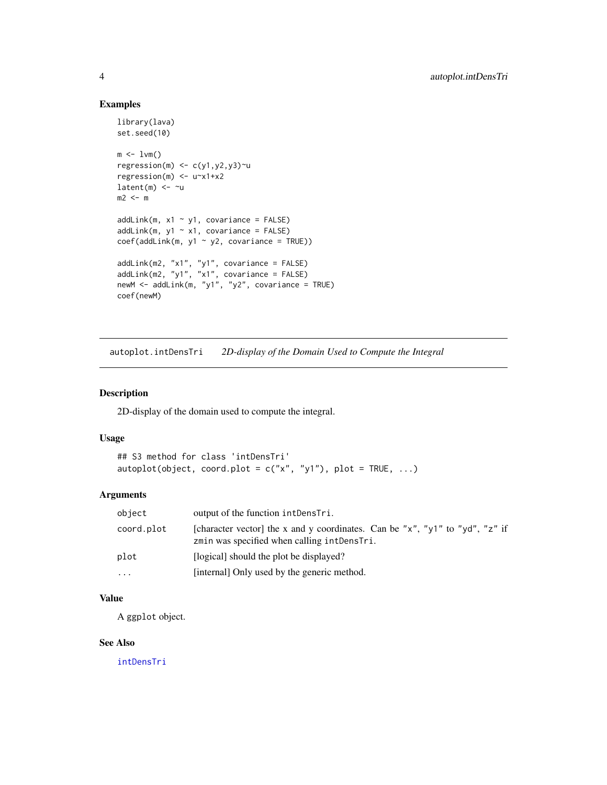# Examples

```
library(lava)
set.seed(10)
m \leq -1vm()
regression(m) \leq c(y1,y2,y3)\simu
regression(m) <- u~x1+x2
latent(m) <- ~u
m2 < - maddLink(m, x1 ~ ~ y1, covariance = FALSE)addLink(m, y1 ~ ~ x1, covariance = FALSE)coef(addLink(m, y1 ~ y2, covariance = TRUE))addLink(m2, "x1", "y1", covariance = FALSE)
addLink(m2, "y1", "x1", covariance = FALSE)
newM <- addLink(m, "y1", "y2", covariance = TRUE)
coef(newM)
```
autoplot.intDensTri *2D-display of the Domain Used to Compute the Integral*

# Description

2D-display of the domain used to compute the integral.

# Usage

```
## S3 method for class 'intDensTri'
autoplot(object, coord.plot = c("x", "y1"), plot = TRUE, ...)
```
## Arguments

| object     | output of the function intDensTri.                                                                                          |
|------------|-----------------------------------------------------------------------------------------------------------------------------|
| coord.plot | [character vector] the x and y coordinates. Can be "x", "y1" to "yd", "z" if<br>zmin was specified when calling intDensTri. |
| plot       | [logical] should the plot be displayed?                                                                                     |
| .          | [internal] Only used by the generic method.                                                                                 |

## Value

A ggplot object.

## See Also

[intDensTri](#page-49-1)

<span id="page-3-0"></span>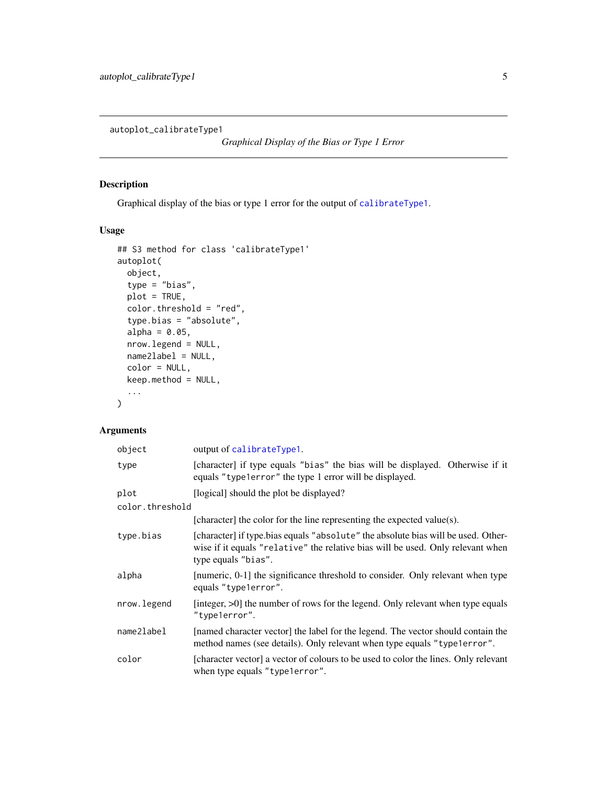<span id="page-4-0"></span>autoplot\_calibrateType1

*Graphical Display of the Bias or Type 1 Error*

# Description

Graphical display of the bias or type 1 error for the output of [calibrateType1](#page-11-1).

## Usage

```
## S3 method for class 'calibrateType1'
autoplot(
 object,
  type = "bias",
 plot = TRUE,
  color.threshold = "red",
  type.bias = "absolute",
  alpha = 0.05,
 nrow.legend = NULL,
 name2label = NULL,
 color = NULL,
 keep.method = NULL,
  ...
)
```

| object          | output of calibrateType1.                                                                                                                                                                   |
|-----------------|---------------------------------------------------------------------------------------------------------------------------------------------------------------------------------------------|
| type            | [character] if type equals "bias" the bias will be displayed. Otherwise if it<br>equals "type1error" the type 1 error will be displayed.                                                    |
| plot            | [logical] should the plot be displayed?                                                                                                                                                     |
| color.threshold |                                                                                                                                                                                             |
|                 | [character] the color for the line representing the expected value(s).                                                                                                                      |
| type.bias       | [character] if type.bias equals "absolute" the absolute bias will be used. Other-<br>wise if it equals "relative" the relative bias will be used. Only relevant when<br>type equals "bias". |
| alpha           | [numeric, 0-1] the significance threshold to consider. Only relevant when type<br>equals "type1error".                                                                                      |
| nrow.legend     | [integer, >0] the number of rows for the legend. Only relevant when type equals<br>"type1error".                                                                                            |
| name2label      | [named character vector] the label for the legend. The vector should contain the<br>method names (see details). Only relevant when type equals "type1error".                                |
| color           | [character vector] a vector of colours to be used to color the lines. Only relevant<br>when type equals "type lerror".                                                                      |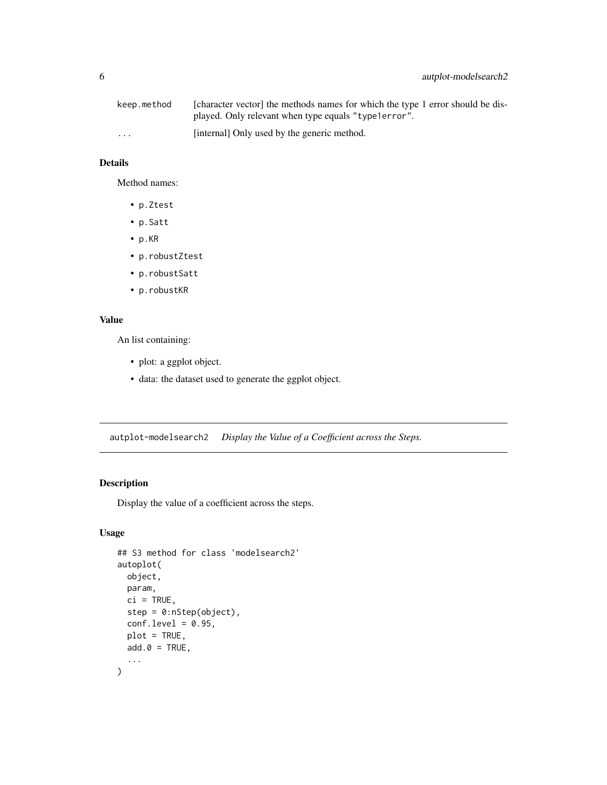<span id="page-5-0"></span>

| keep.method             | [character vector] the methods names for which the type 1 error should be dis- |
|-------------------------|--------------------------------------------------------------------------------|
|                         | played. Only relevant when type equals "type1error".                           |
| $\cdot$ $\cdot$ $\cdot$ | [internal] Only used by the generic method.                                    |

## Details

Method names:

- p.Ztest
- p.Satt
- p.KR
- p.robustZtest
- p.robustSatt
- p.robustKR

## Value

An list containing:

- plot: a ggplot object.
- data: the dataset used to generate the ggplot object.

autplot-modelsearch2 *Display the Value of a Coefficient across the Steps.*

# Description

Display the value of a coefficient across the steps.

```
## S3 method for class 'modelsearch2'
autoplot(
 object,
 param,
 ci = TRUE,step = 0:nStep(object),
  conf. level = 0.95,plot = TRUE,
 add.0 = TRUE,...
\mathcal{L}
```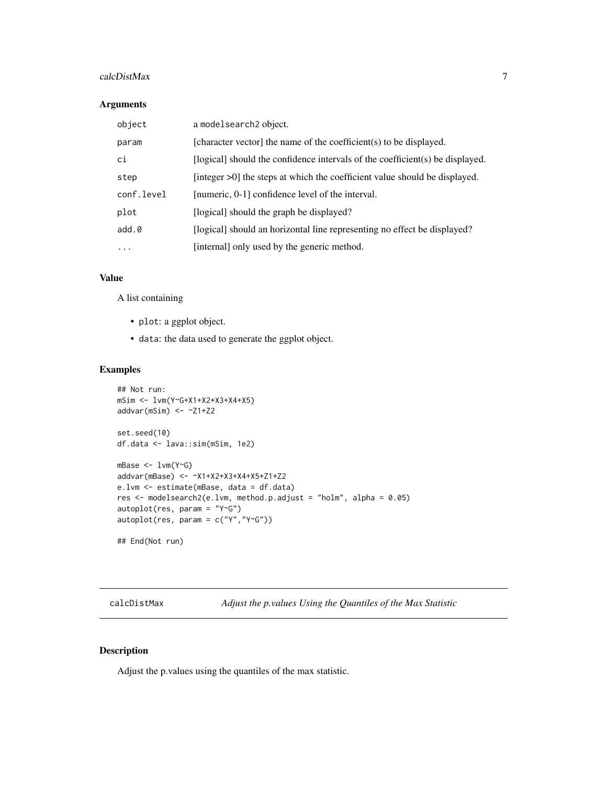## <span id="page-6-0"></span>calcDistMax 7

## Arguments

| a modelsearch <sub>2</sub> object.                                            |
|-------------------------------------------------------------------------------|
| [character vector] the name of the coefficient(s) to be displayed.            |
| [logical] should the confidence intervals of the coefficient(s) be displayed. |
| [integer >0] the steps at which the coefficient value should be displayed.    |
| [numeric, 0-1] confidence level of the interval.                              |
| [logical] should the graph be displayed?                                      |
| [logical] should an horizontal line representing no effect be displayed?      |
| [internal] only used by the generic method.                                   |
|                                                                               |

## Value

A list containing

- plot: a ggplot object.
- data: the data used to generate the ggplot object.

# Examples

```
## Not run:
mSim <- lvm(Y~G+X1+X2+X3+X4+X5)
addvar(mSim) <- ~Z1+Z2
set.seed(10)
df.data <- lava::sim(mSim, 1e2)
mBase <- lvm(Y~G)
addvar(mBase) <- ~X1+X2+X3+X4+X5+Z1+Z2
e.lvm <- estimate(mBase, data = df.data)
res <- modelsearch2(e.lvm, method.p.adjust = "holm", alpha = 0.05)
autoplot(res, param = "Y~G")
autoplot(res, param = c("Y","Y~G"))
## End(Not run)
```
calcDistMax *Adjust the p.values Using the Quantiles of the Max Statistic*

## Description

Adjust the p.values using the quantiles of the max statistic.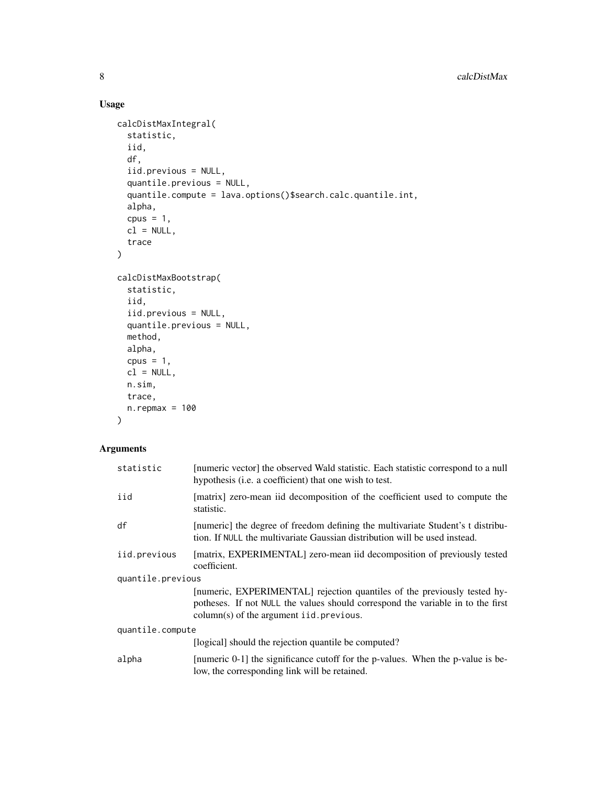# Usage

```
calcDistMaxIntegral(
  statistic,
  iid,
  df,
  iid.previous = NULL,
  quantile.previous = NULL,
  quantile.compute = lava.options()$search.calc.quantile.int,
  alpha,
  cpus = 1,cl = NULL,trace
)
calcDistMaxBootstrap(
  statistic,
  iid,
  iid.previous = NULL,
  quantile.previous = NULL,
 method,
 alpha,
  cpus = 1,
 cl = NULL,n.sim,
 trace,
 n.repmax = 100
)
```

| statistic         | [numeric vector] the observed Wald statistic. Each statistic correspond to a null<br>hypothesis ( <i>i.e.</i> a coefficient) that one wish to test.                                                       |  |
|-------------------|-----------------------------------------------------------------------------------------------------------------------------------------------------------------------------------------------------------|--|
| iid               | [matrix] zero-mean iid decomposition of the coefficient used to compute the<br>statistic.                                                                                                                 |  |
| df                | [numeric] the degree of freedom defining the multivariate Student's t distribu-<br>tion. If NULL the multivariate Gaussian distribution will be used instead.                                             |  |
| iid.previous      | [matrix, EXPERIMENTAL] zero-mean iid decomposition of previously tested<br>coefficient.                                                                                                                   |  |
| quantile.previous |                                                                                                                                                                                                           |  |
|                   | [numeric, EXPERIMENTAL] rejection quantiles of the previously tested hy-<br>potheses. If not NULL the values should correspond the variable in to the first<br>$column(s)$ of the argument iid. previous. |  |
| quantile.compute  |                                                                                                                                                                                                           |  |
|                   | [logical] should the rejection quantile be computed?                                                                                                                                                      |  |
| alpha             | [numeric 0-1] the significance cutoff for the p-values. When the p-value is be-<br>low, the corresponding link will be retained.                                                                          |  |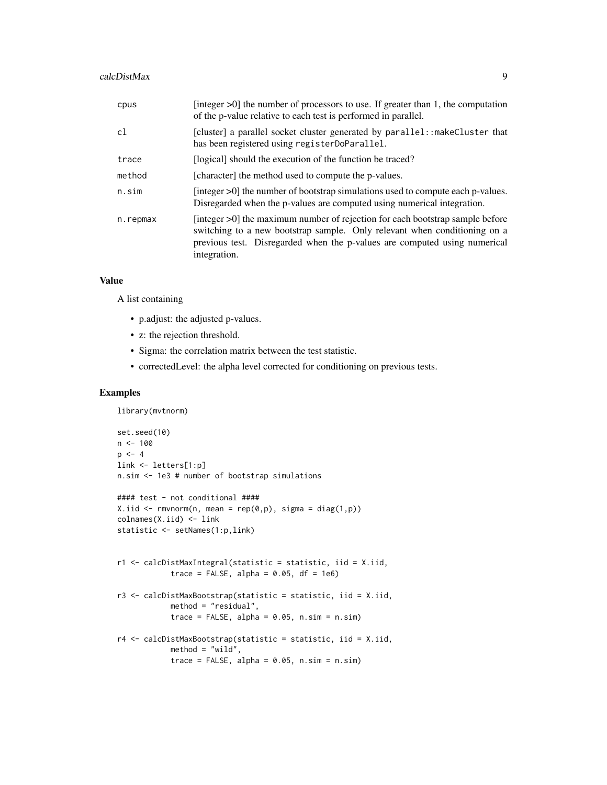#### calcDistMax 9

| cpus     | [integer $>0$ ] the number of processors to use. If greater than 1, the computation<br>of the p-value relative to each test is performed in parallel.                                                                                                   |
|----------|---------------------------------------------------------------------------------------------------------------------------------------------------------------------------------------------------------------------------------------------------------|
| c1       | [cluster] a parallel socket cluster generated by parallel: : makeCluster that<br>has been registered using registerDoParallel.                                                                                                                          |
| trace    | [logical] should the execution of the function be traced?                                                                                                                                                                                               |
| method   | [character] the method used to compute the p-values.                                                                                                                                                                                                    |
| n.sim    | [integer $>0$ ] the number of bootstrap simulations used to compute each p-values.<br>Disregarded when the p-values are computed using numerical integration.                                                                                           |
| n.repmax | [integer >0] the maximum number of rejection for each bootstrap sample before<br>switching to a new bootstrap sample. Only relevant when conditioning on a<br>previous test. Disregarded when the p-values are computed using numerical<br>integration. |

# Value

A list containing

library(mvtnorm)

- p.adjust: the adjusted p-values.
- z: the rejection threshold.
- Sigma: the correlation matrix between the test statistic.
- correctedLevel: the alpha level corrected for conditioning on previous tests.

## Examples

```
set.seed(10)
n < - 100p \le -4link <- letters[1:p]
n.sim <- 1e3 # number of bootstrap simulations
#### test - not conditional ####
X.iid \leftarrow \text{rmvnorm}(n, \text{ mean} = \text{rep}(\emptyset, p), \text{sigma} = \text{diag}(1, p))colnames(X.iid) <- link
statistic <- setNames(1:p,link)
r1 <- calcDistMaxIntegral(statistic = statistic, iid = X.iid,
             trace = FALSE, alpha = 0.05, df = 1e6)
r3 <- calcDistMaxBootstrap(statistic = statistic, iid = X.iid,
             method = "residual",
             trace = FALSE, alpha = 0.05, n \sin = n \sin)
r4 <- calcDistMaxBootstrap(statistic = statistic, iid = X.iid,
             method = "wild",
             trace = FALSE, alpha = 0.05, n \sin = n \sin)
```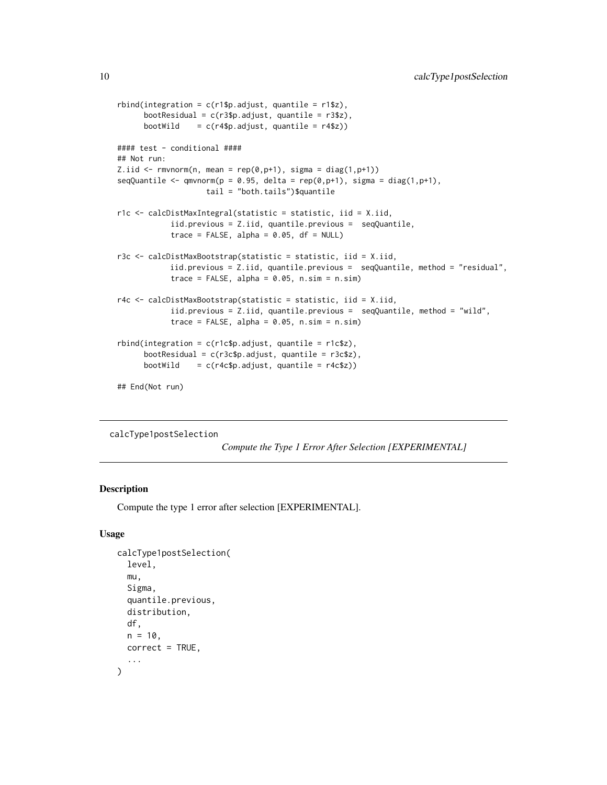```
rbind(integration = c(r1$p.addjust, quantile = r1$z),bootResidual = c(r3$p.addjust, quantile = r3$z),
     bootWild = c(r4\p.adjust, quantile = r4\2))
#### test - conditional ####
## Not run:
Z.iid \le rmvnorm(n, mean = rep(0,p+1), sigma = diag(1,p+1))
seqQuantile <- qmvnorm(p = 0.95, delta = rep(\theta,p+1), sigma = diag(1, p+1),
                    tail = "both.tails")$quantile
r1c <- calcDistMaxIntegral(statistic = statistic, iid = X.iid,
            iid.previous = Z.iid, quantile.previous = seqQuantile,
            trace = FALSE, alpha = 0.05, df = NULL)
r3c <- calcDistMaxBootstrap(statistic = statistic, iid = X.iid,
            iid.previous = Z.iid, quantile.previous = seqQuantile, method = "residual",
            trace = FALSE, alpha = 0.05, n.sim = n.sim)
r4c <- calcDistMaxBootstrap(statistic = statistic, iid = X.iid,
            iid.previous = Z.iid, quantile.previous = seqQuantile, method = "wild",
            trace = FALSE, alpha = 0.05, n.sim = n.sim)
rbind(integration = c(r1c$p.adjust, quantile = r1c$z),
      bootResidual = c(r3c$p.adjust, quantile = r3c$z),
     bootWild = c(r4c$p.addjust, quantile = r4c$z))## End(Not run)
```
calcType1postSelection

```
Compute the Type 1 Error After Selection [EXPERIMENTAL]
```
## **Description**

Compute the type 1 error after selection [EXPERIMENTAL].

```
calcType1postSelection(
  level,
  mu,
  Sigma,
  quantile.previous,
  distribution,
  df,
  n = 10,
  correct = TRUE,...
)
```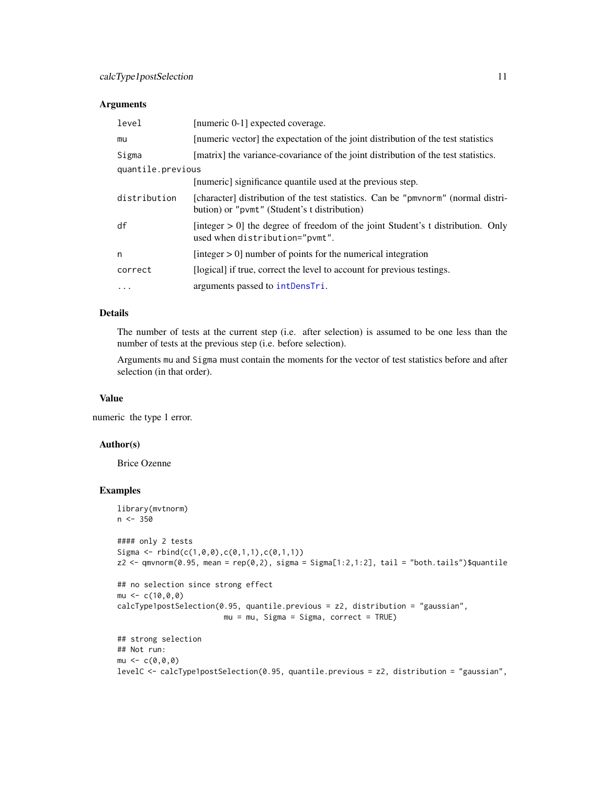## Arguments

| level             | [numeric 0-1] expected coverage.                                                                                                  |
|-------------------|-----------------------------------------------------------------------------------------------------------------------------------|
| mu                | [numeric vector] the expectation of the joint distribution of the test statistics                                                 |
| Sigma             | [matrix] the variance-covariance of the joint distribution of the test statistics.                                                |
| quantile.previous |                                                                                                                                   |
|                   | [numeric] significance quantile used at the previous step.                                                                        |
| distribution      | [character] distribution of the test statistics. Can be "pmvnorm" (normal distri-<br>bution) or "pvmt" (Student's t distribution) |
| df                | [integer $> 0$ ] the degree of freedom of the joint Student's t distribution. Only<br>used when distribution="pvmt".              |
| n                 | [integer $> 0$ ] number of points for the numerical integration                                                                   |
| correct           | [logical] if true, correct the level to account for previous testings.                                                            |
| $\cdots$          | arguments passed to intDensTri.                                                                                                   |

## Details

The number of tests at the current step (i.e. after selection) is assumed to be one less than the number of tests at the previous step (i.e. before selection).

Arguments mu and Sigma must contain the moments for the vector of test statistics before and after selection (in that order).

## Value

numeric the type 1 error.

### Author(s)

Brice Ozenne

## Examples

```
library(mvtnorm)
n < -350#### only 2 tests
Sigma \le rbind(c(1,0,0),c(0,1,1),c(0,1,1))
z2 <- qmvnorm(0.95, mean = rep(0,2), sigma = Sigma[1:2,1:2], tail = "both.tails")$quantile
## no selection since strong effect
mu < -c(10, 0, 0)calcType1postSelection(0.95, quantile.previous = z2, distribution = "gaussian",
                        mu = mu, Sigma = Sigma, correct = TRUE)
## strong selection
## Not run:
mu < -c(0, 0, 0)levelC <- calcType1postSelection(0.95, quantile.previous = z2, distribution = "gaussian",
```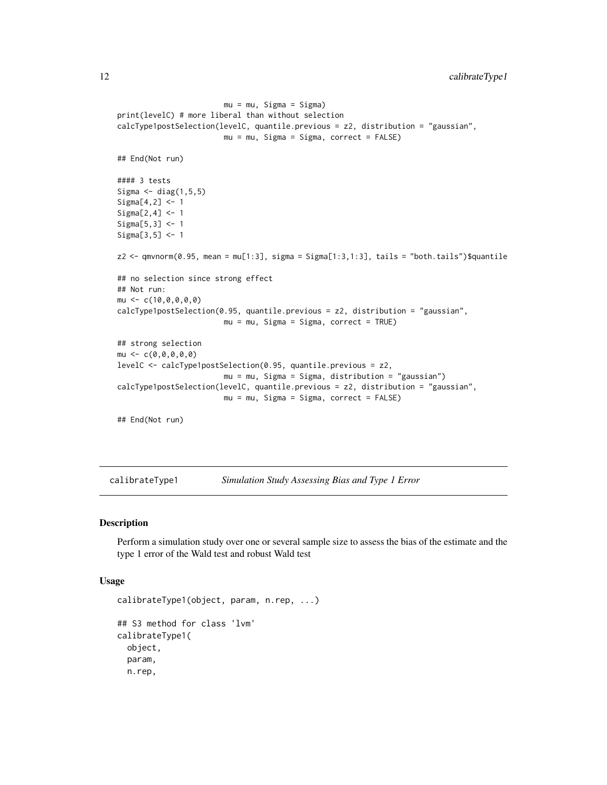```
mu = mu, Sigma = Sigma)
print(levelC) # more liberal than without selection
calcType1postSelection(levelC, quantile.previous = z2, distribution = "gaussian",
                         mu = mu, Sigma = Sigma, correct = FALSE)
## End(Not run)
#### 3 tests
Sigma \leq diag(1, 5, 5)Sigma[4,2] <- 1
Sigma[2,4] <- 1
Sigma[5,3] <- 1
Sigma[3,5] <- 1
z2 <- qmvnorm(0.95, mean = mu[1:3], sigma = Sigma[1:3,1:3], tails = "both.tails")$quantile
## no selection since strong effect
## Not run:
mu \leftarrow c(10, 0, 0, 0, 0)calcType1postSelection(0.95, quantile.previous = z2, distribution = "gaussian",
                         mu = mu, Sigma = Sigma, correct = TRUE)
## strong selection
mu \leftarrow c(0, 0, 0, 0, 0)levelC <- calcType1postSelection(0.95, quantile.previous = z2,
                         mu = mu, Sigma = Sigma, distribution = "gaussian")
calcType1postSelection(levelC, quantile.previous = z2, distribution = "gaussian",
                         mu = mu, Sigma = Sigma, correct = FALSE)
## End(Not run)
```
<span id="page-11-1"></span>calibrateType1 *Simulation Study Assessing Bias and Type 1 Error*

## Description

Perform a simulation study over one or several sample size to assess the bias of the estimate and the type 1 error of the Wald test and robust Wald test

```
calibrateType1(object, param, n.rep, ...)
## S3 method for class 'lvm'
calibrateType1(
  object,
  param,
  n.rep,
```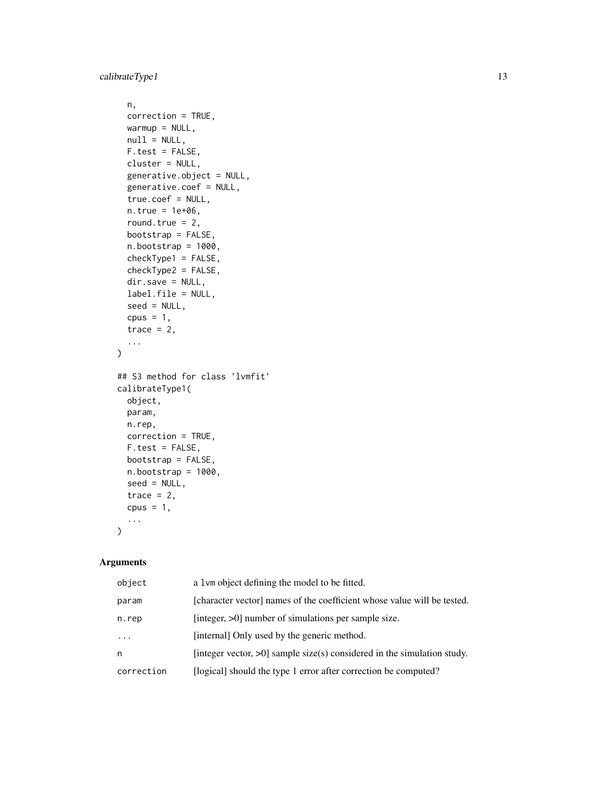```
n,
  correction = TRUE,
 warmup = NULL,null = NULL,F.test = FALSE,cluster = NULL,
  generative.object = NULL,
  generative.coef = NULL,
  true.coef = NULL,
 n. true = 1e+06,round.true = 2,
 bootstrap = FALSE,
 n.bootstrap = 1000,
  checkType1 = FALSE,
  checkType2 = FALSE,
  dir.save = NULL,
  label.file = NULL,
  seed = NULL,
 cpus = 1,trace = 2,
  ...
\mathcal{L}## S3 method for class 'lvmfit'
calibrateType1(
 object,
 param,
 n.rep,
 correction = TRUE,
 F.test = FALSE,bootstrap = FALSE,
 n.bootstrap = 1000,
  seed = NULL,
  trace = 2,
 cpus = 1,
  ...
\mathcal{L}
```

| object     | a 1 vm object defining the model to be fitted.                             |
|------------|----------------------------------------------------------------------------|
| param      | [character vector] names of the coefficient whose value will be tested.    |
| n.rep      | [integer, >0] number of simulations per sample size.                       |
| .          | [internal] Only used by the generic method.                                |
| n          | [integer vector, $>0$ ] sample size(s) considered in the simulation study. |
| correction | [logical] should the type 1 error after correction be computed?            |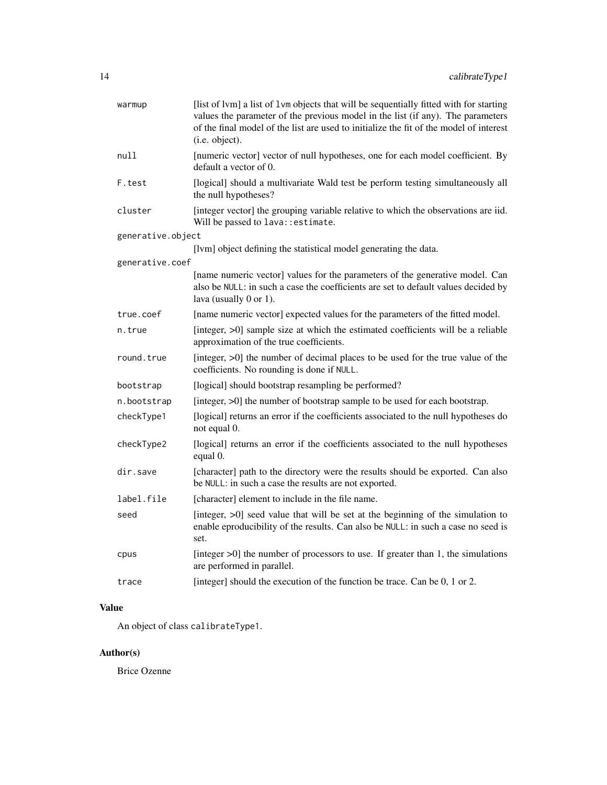| warmup            | [list of lvm] a list of lvm objects that will be sequentially fitted with for starting<br>values the parameter of the previous model in the list (if any). The parameters<br>of the final model of the list are used to initialize the fit of the model of interest<br>(i.e. object). |
|-------------------|---------------------------------------------------------------------------------------------------------------------------------------------------------------------------------------------------------------------------------------------------------------------------------------|
| null              | [numeric vector] vector of null hypotheses, one for each model coefficient. By<br>default a vector of 0.                                                                                                                                                                              |
| F.test            | [logical] should a multivariate Wald test be perform testing simultaneously all<br>the null hypotheses?                                                                                                                                                                               |
| cluster           | [integer vector] the grouping variable relative to which the observations are iid.<br>Will be passed to lava:: estimate.                                                                                                                                                              |
| generative.object |                                                                                                                                                                                                                                                                                       |
|                   | [lvm] object defining the statistical model generating the data.                                                                                                                                                                                                                      |
| generative.coef   |                                                                                                                                                                                                                                                                                       |
|                   | [name numeric vector] values for the parameters of the generative model. Can<br>also be NULL: in such a case the coefficients are set to default values decided by<br>lava (usually 0 or 1).                                                                                          |
| true.coef         | [name numeric vector] expected values for the parameters of the fitted model.                                                                                                                                                                                                         |
| n.true            | [integer, >0] sample size at which the estimated coefficients will be a reliable<br>approximation of the true coefficients.                                                                                                                                                           |
| round.true        | [integer, >0] the number of decimal places to be used for the true value of the<br>coefficients. No rounding is done if NULL.                                                                                                                                                         |
| bootstrap         | [logical] should bootstrap resampling be performed?                                                                                                                                                                                                                                   |
| n.bootstrap       | [integer, >0] the number of bootstrap sample to be used for each bootstrap.                                                                                                                                                                                                           |
| checkType1        | [logical] returns an error if the coefficients associated to the null hypotheses do<br>not equal 0.                                                                                                                                                                                   |
| checkType2        | [logical] returns an error if the coefficients associated to the null hypotheses<br>equal 0.                                                                                                                                                                                          |
| dir.save          | [character] path to the directory were the results should be exported. Can also<br>be NULL: in such a case the results are not exported.                                                                                                                                              |
| label.file        | [character] element to include in the file name.                                                                                                                                                                                                                                      |
| seed              | [integer, >0] seed value that will be set at the beginning of the simulation to<br>enable eproducibility of the results. Can also be NULL: in such a case no seed is<br>set.                                                                                                          |
| cpus              | [integer $>0$ ] the number of processors to use. If greater than 1, the simulations<br>are performed in parallel.                                                                                                                                                                     |
| trace             | [integer] should the execution of the function be trace. Can be 0, 1 or 2.                                                                                                                                                                                                            |

# Value

An object of class calibrateType1.

# Author(s)

Brice Ozenne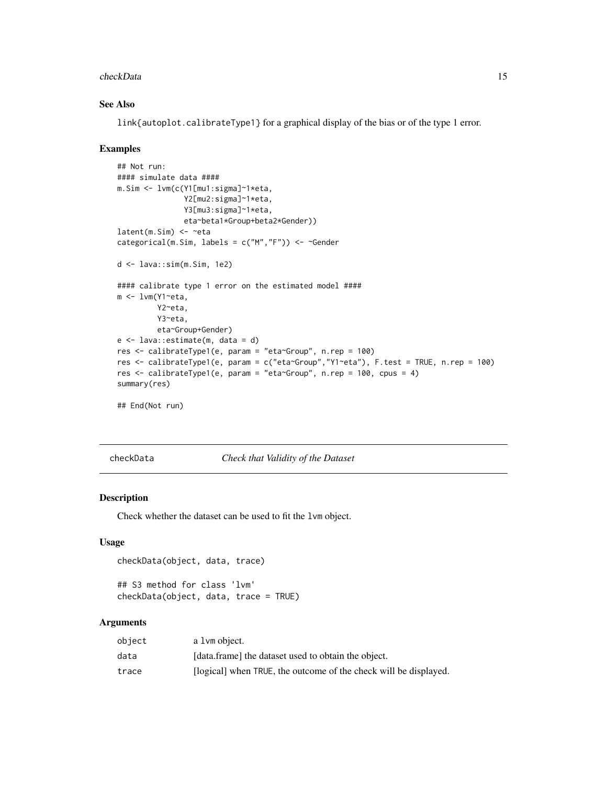#### <span id="page-14-0"></span>checkData 15

## See Also

link{autoplot.calibrateType1} for a graphical display of the bias or of the type 1 error.

#### Examples

```
## Not run:
#### simulate data ####
m.Sim <- lvm(c(Y1[mu1:sigma]~1*eta,
               Y2[mu2:sigma]~1*eta,
               Y3[mu3:sigma]~1*eta,
               eta~beta1*Group+beta2*Gender))
latent(m.Sim) <- ~eta
categorical(m.Sim, labels = c("M", "F")) <- ~Gender
d <- lava::sim(m.Sim, 1e2)
#### calibrate type 1 error on the estimated model ####
m <- lvm(Y1~eta,
         Y2~eta,
         Y3~eta,
         eta~Group+Gender)
e <- lava::estimate(m, data = d)
res <- calibrateType1(e, param = "eta~Group", n.rep = 100)
res <- calibrateType1(e, param = c("eta~Group","Y1~eta"), F.test = TRUE, n.rep = 100)
res <- calibrateType1(e, param = "eta~Group", n.rep = 100, cpus = 4)
summary(res)
## End(Not run)
```
checkData *Check that Validity of the Dataset*

## Description

Check whether the dataset can be used to fit the lvm object.

#### Usage

```
checkData(object, data, trace)
```

```
## S3 method for class 'lvm'
checkData(object, data, trace = TRUE)
```

| object | a 1 vm object.                                                   |
|--------|------------------------------------------------------------------|
| data   | [data.frame] the dataset used to obtain the object.              |
| trace  | [logical] when TRUE, the outcome of the check will be displayed. |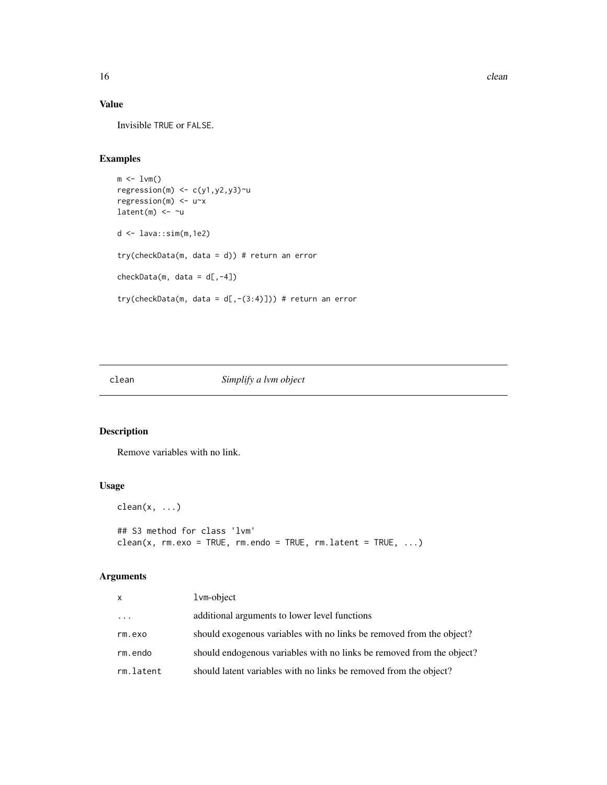# Value

Invisible TRUE or FALSE.

# Examples

```
m \leftarrow 1 \vee m()regression(m) <- c(y1,y2,y3)~u
regression(m) <- u~x
latent(m) <- ~u
d <- lava::sim(m,1e2)
try(checkData(m, data = d)) # return an error
checkData(m, data = d[, -4])try(checkData(m, data = d[, -(3:4)])) # return an error
```
clean *Simplify a lvm object*

# Description

Remove variables with no link.

# Usage

 $clean(x, ...)$ ## S3 method for class 'lvm'  $clean(x, rm.exo = TRUE, rm.endo = TRUE, rm.latent = TRUE, ...)$ 

| x         | lvm-object                                                            |
|-----------|-----------------------------------------------------------------------|
| $\cdots$  | additional arguments to lower level functions                         |
| rm.exo    | should exogenous variables with no links be removed from the object?  |
| rm.endo   | should endogenous variables with no links be removed from the object? |
| rm.latent | should latent variables with no links be removed from the object?     |

<span id="page-15-0"></span>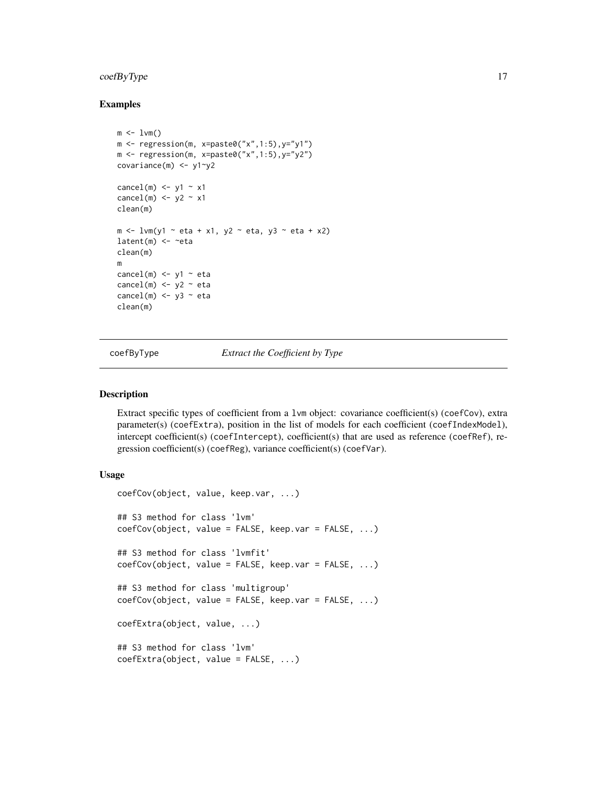# <span id="page-16-0"></span>coefByType 17

## Examples

```
m \leq -1vm()
m \leq regression(m, x=paste0("x",1:5), y="y1")
m \leq regression(m, x=paste0("x",1:5), y="y2")
covariance(m) <- y1~y2
cancel(m) \le y1 \sim x1
cancel(m) <- y2 - x1
clean(m)
m \le lvm(y1 \sim eta + x1, y2 \sim eta, y3 \sim eta + x2)
latent(m) <- ~eta
clean(m)
m
cancel(m) \le y1 \sim eta
cancel(m) <- y2 - eta
cancel(m) \le y3 \approx etaclean(m)
```
coefByType *Extract the Coefficient by Type*

#### Description

Extract specific types of coefficient from a 1vm object: covariance coefficient(s) (coefCov), extra parameter(s) (coefExtra), position in the list of models for each coefficient (coefIndexModel), intercept coefficient(s) (coefIntercept), coefficient(s) that are used as reference (coefRef), regression coefficient(s) (coefReg), variance coefficient(s) (coefVar).

```
coefCov(object, value, keep.var, ...)
## S3 method for class 'lvm'
coefCov(object, value = FALSE, keep.var = FALSE, ...)
## S3 method for class 'lvmfit'
coefCov(object, value = FALSE, keep.var = FALSE, ...)
## S3 method for class 'multigroup'
coefCov(object, value = FALSE, keep.var = FALSE, ...)
coefExtra(object, value, ...)
## S3 method for class 'lvm'
coefExtra(object, value = FALSE, ...)
```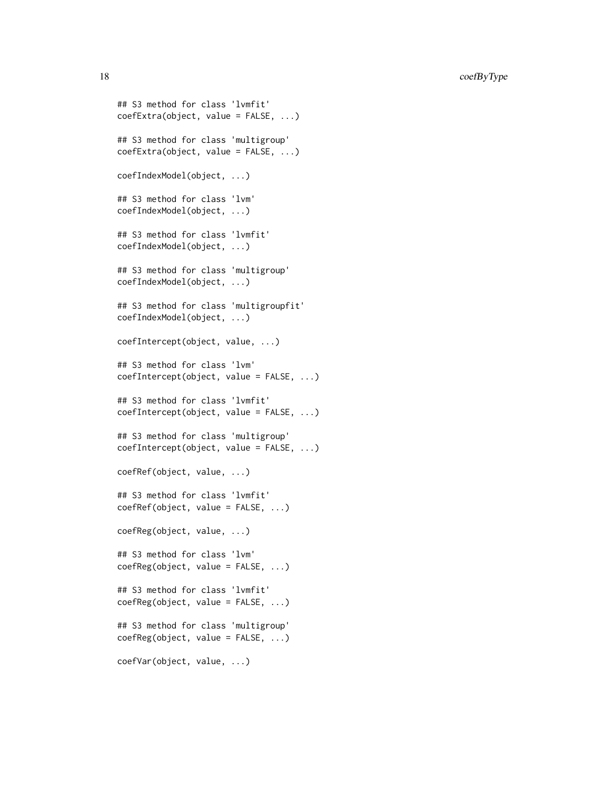```
## S3 method for class 'lvmfit'
coefExtra(object, value = FALSE, ...)
## S3 method for class 'multigroup'
coefExtra(object, value = FALSE, ...)
coefIndexModel(object, ...)
## S3 method for class 'lvm'
coefIndexModel(object, ...)
## S3 method for class 'lvmfit'
coefIndexModel(object, ...)
## S3 method for class 'multigroup'
coefIndexModel(object, ...)
## S3 method for class 'multigroupfit'
coefIndexModel(object, ...)
coefIntercept(object, value, ...)
## S3 method for class 'lvm'
coefIntercept(object, value = FALSE, ...)
## S3 method for class 'lvmfit'
coefIntercept(object, value = FALSE, ...)
## S3 method for class 'multigroup'
coefIntercept(object, value = FALSE, ...)
coefRef(object, value, ...)
## S3 method for class 'lvmfit'
coefRef(object, value = FALSE, ...)
coefReg(object, value, ...)
## S3 method for class 'lvm'
coefReg(object, value = FALSE, ...)
## S3 method for class 'lvmfit'
coefReg(object, value = FALSE, ...)
## S3 method for class 'multigroup'
coefReg(object, value = FALSE, ...)
coefVar(object, value, ...)
```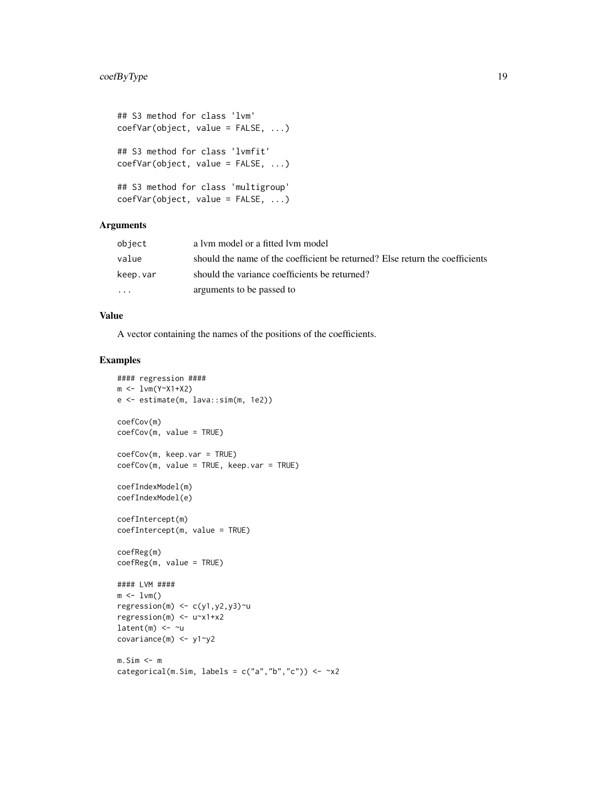```
## S3 method for class 'lvm'
coefVar(object, value = FALSE, ...)
## S3 method for class 'lvmfit'
coefVar(object, value = FALSE, ...)
## S3 method for class 'multigroup'
coefVar(object, value = FALSE, ...)
```
## Arguments

| object                  | a lym model or a fitted lym model                                            |
|-------------------------|------------------------------------------------------------------------------|
| value                   | should the name of the coefficient be returned? Else return the coefficients |
| keep.var                | should the variance coefficients be returned?                                |
| $\cdot$ $\cdot$ $\cdot$ | arguments to be passed to                                                    |

## Value

A vector containing the names of the positions of the coefficients.

#### Examples

```
#### regression ####
m <- lvm(Y~X1+X2)
e <- estimate(m, lava::sim(m, 1e2))
coefCov(m)
coefCov(m, value = TRUE)
coefCov(m, keep.var = TRUE)
coefCov(m, value = TRUE, keep.var = TRUE)
coefIndexModel(m)
coefIndexModel(e)
coefIntercept(m)
coefIntercept(m, value = TRUE)
coefReg(m)
coefReg(m, value = TRUE)
#### LVM ####
m \leq -1vm()
regression(m) \leq c(y1,y2,y3)\simu
regression(m) <- u~x1+x2
latent(m) <- ~u
covariance(m) <- y1~y2
m.Sim <- m
categorical(m.Sim, labels = c("a", "b", "c")) \le -x2
```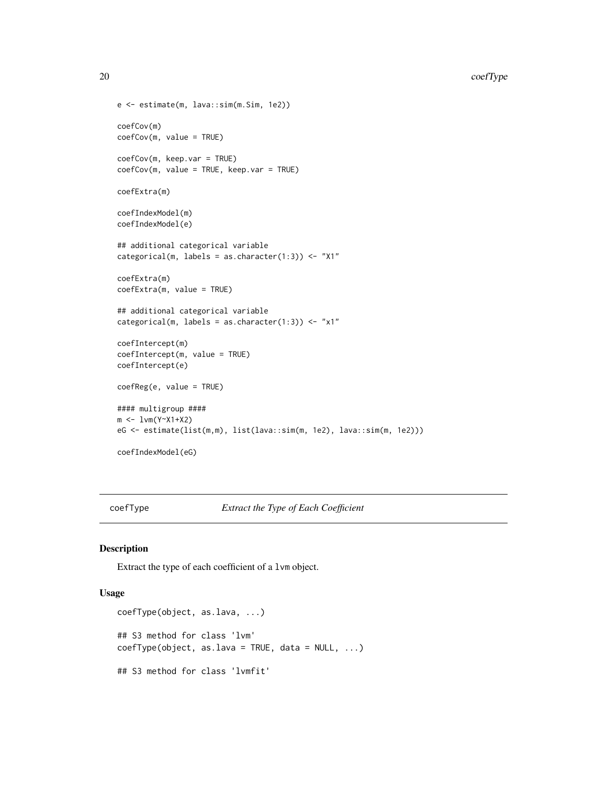```
e <- estimate(m, lava::sim(m.Sim, 1e2))
coefCov(m)
coefCov(m, value = TRUE)
coefCov(m, keep.var = TRUE)
coefCov(m, value = TRUE, keep.var = TRUE)
coefExtra(m)
coefIndexModel(m)
coefIndexModel(e)
## additional categorical variable
categorical(m, labels = as.character(1:3)) <- "X1"
coefExtra(m)
coefExtra(m, value = TRUE)
## additional categorical variable
categorical(m, labels = as.character(1:3)) <- "x1"
coefIntercept(m)
coefIntercept(m, value = TRUE)
coefIntercept(e)
coefReg(e, value = TRUE)
#### multigroup ####
m <- lvm(Y~X1+X2)
eG <- estimate(list(m,m), list(lava::sim(m, 1e2), lava::sim(m, 1e2)))
coefIndexModel(eG)
```
coefType *Extract the Type of Each Coefficient*

## Description

Extract the type of each coefficient of a lvm object.

```
coefType(object, as.lava, ...)
## S3 method for class 'lvm'
coeffype(object, as.lava = TRUE, data = NULL, ...)## S3 method for class 'lvmfit'
```
<span id="page-19-0"></span>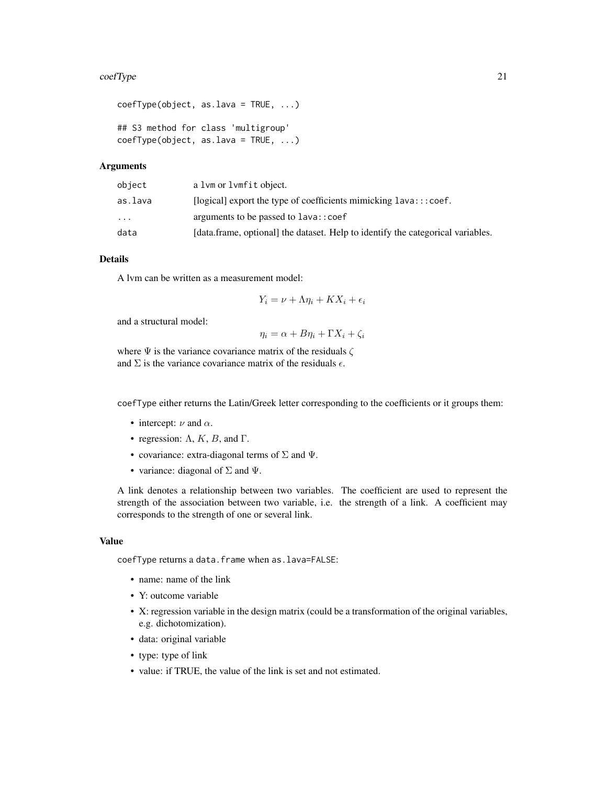#### coefType 21

```
coefType(object, as.lava = TRUE, ...)
## S3 method for class 'multigroup'
coefType(object, as.lava = TRUE, ...)
```
## Arguments

| object    | a lym or lymfit object.                                                         |
|-----------|---------------------------------------------------------------------------------|
| as.lava   | [ $logical$ ] export the type of coefficients mimicking $lava::coef$ .          |
| $\ddotsc$ | arguments to be passed to lava:: coef                                           |
| data      | [data.frame, optional] the dataset. Help to identify the categorical variables. |

## Details

A lvm can be written as a measurement model:

$$
Y_i = \nu + \Lambda \eta_i + K X_i + \epsilon_i
$$

and a structural model:

 $\eta_i = \alpha + B\eta_i + \Gamma X_i + \zeta_i$ 

where  $\Psi$  is the variance covariance matrix of the residuals  $\zeta$ and  $\Sigma$  is the variance covariance matrix of the residuals  $\epsilon$ .

coefType either returns the Latin/Greek letter corresponding to the coefficients or it groups them:

- intercept:  $\nu$  and  $\alpha$ .
- regression:  $\Lambda$ ,  $K$ ,  $B$ , and  $\Gamma$ .
- covariance: extra-diagonal terms of  $\Sigma$  and  $\Psi$ .
- variance: diagonal of  $\Sigma$  and  $\Psi$ .

A link denotes a relationship between two variables. The coefficient are used to represent the strength of the association between two variable, i.e. the strength of a link. A coefficient may corresponds to the strength of one or several link.

#### Value

coefType returns a data.frame when as.lava=FALSE:

- name: name of the link
- Y: outcome variable
- X: regression variable in the design matrix (could be a transformation of the original variables, e.g. dichotomization).
- data: original variable
- type: type of link
- value: if TRUE, the value of the link is set and not estimated.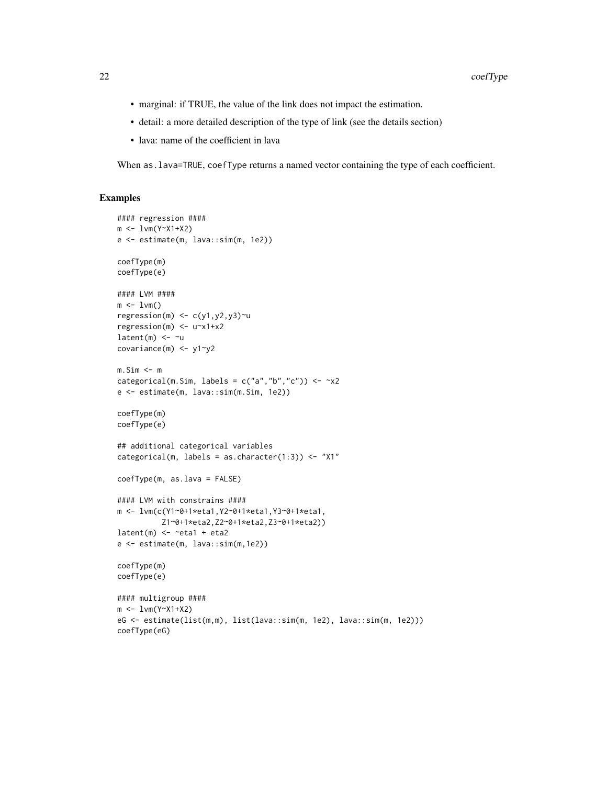- marginal: if TRUE, the value of the link does not impact the estimation.
- detail: a more detailed description of the type of link (see the details section)
- lava: name of the coefficient in lava

When as.lava=TRUE, coefType returns a named vector containing the type of each coefficient.

#### Examples

```
#### regression ####
m <- lvm(Y~X1+X2)
e <- estimate(m, lava::sim(m, 1e2))
coefType(m)
coefType(e)
#### LVM ####
m \leq -1vm()
regression(m) \leq c(y1,y2,y3)~u
regression(m) <- u~x1+x2
latent(m) <- ~u
covariance(m) <- y1~y2
m.Sim \leq mcategorical(m.Sim, labels = c("a", "b", "c")) \le -x2e <- estimate(m, lava::sim(m.Sim, 1e2))
coefType(m)
coefType(e)
## additional categorical variables
categorical(m, labels = as.character(1:3)) <- "X1"
coefType(m, as.lava = FALSE)
#### LVM with constrains ####
m <- lvm(c(Y1~0+1*eta1,Y2~0+1*eta1,Y3~0+1*eta1,
          Z1~0+1*eta2,Z2~0+1*eta2,Z3~0+1*eta2))
latent(m) \leftarrow \text{}'etal + eta2e <- estimate(m, lava::sim(m,1e2))
coefType(m)
coefType(e)
#### multigroup ####
m <- lvm(Y~X1+X2)
eG <- estimate(list(m,m), list(lava::sim(m, 1e2), lava::sim(m, 1e2)))
coefType(eG)
```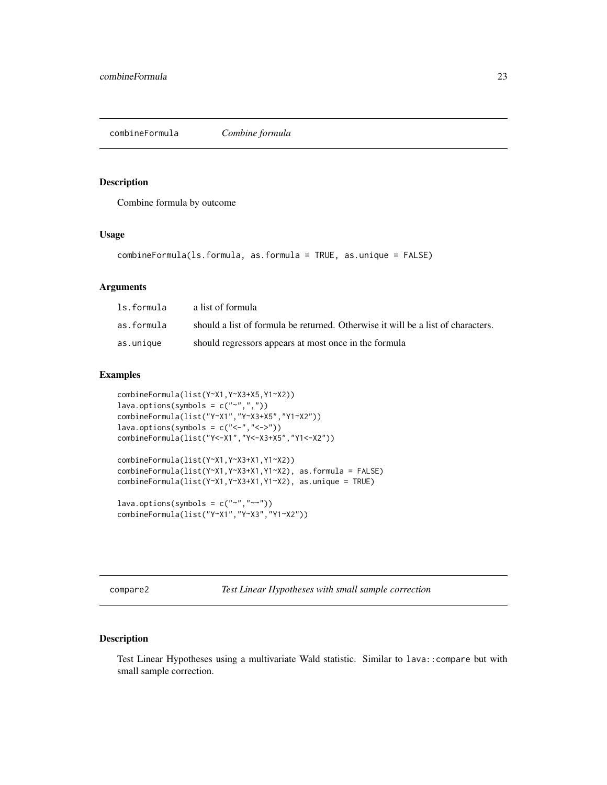<span id="page-22-0"></span>combineFormula *Combine formula*

## Description

Combine formula by outcome

#### Usage

```
combineFormula(ls.formula, as.formula = TRUE, as.unique = FALSE)
```
## Arguments

| ls.formula | a list of formula                                                                |
|------------|----------------------------------------------------------------------------------|
| as.formula | should a list of formula be returned. Otherwise it will be a list of characters. |
| as.unique  | should regressors appears at most once in the formula                            |

## Examples

```
combineFormula(list(Y~X1,Y~X3+X5,Y1~X2))
lava.options(symbols = c("~",","),combineFormula(list("Y~X1","Y~X3+X5","Y1~X2"))
lava.options(symbols = c("<-","<->"))
combineFormula(list("Y<-X1","Y<-X3+X5","Y1<-X2"))
combineFormula(list(Y~X1,Y~X3+X1,Y1~X2))
combineFormula(list(Y~X1,Y~X3+X1,Y1~X2), as.formula = FALSE)
combineFormula(list(Y~X1,Y~X3+X1,Y1~X2), as.unique = TRUE)
lava.options(symbols = c("~", "~~"))
```

```
combineFormula(list("Y~X1","Y~X3","Y1~X2"))
```
compare2 *Test Linear Hypotheses with small sample correction*

## Description

Test Linear Hypotheses using a multivariate Wald statistic. Similar to lava::compare but with small sample correction.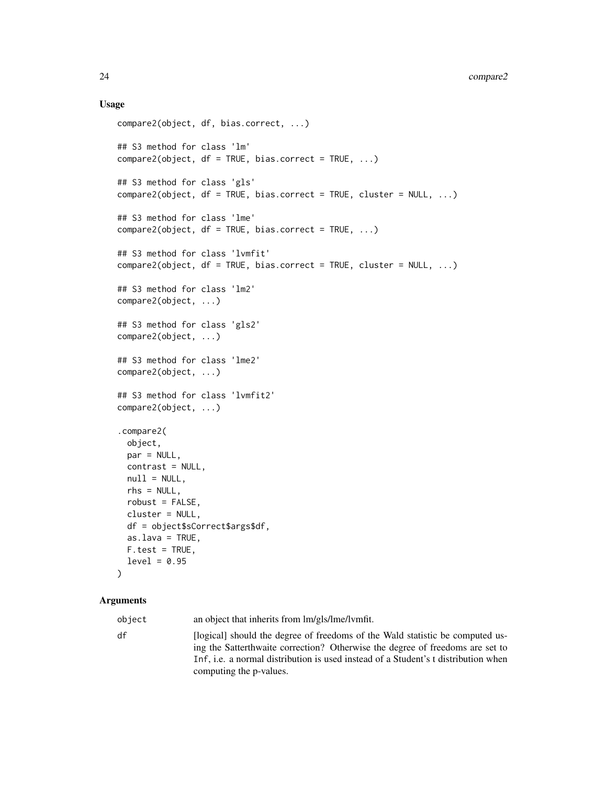### Usage

```
compare2(object, df, bias.correct, ...)
## S3 method for class 'lm'
compare2(object, df = TRUE, bias.correct = TRUE, ...)## S3 method for class 'gls'
compare2(object, df = TRUE, bias.correct = TRUE, cluster = NULL, ...)## S3 method for class 'lme'
compare2(object, df = TRUE, bias.correct = TRUE, ...)## S3 method for class 'lvmfit'
compare2(object, df = TRUE, bias.correct = TRUE, cluster = NULL, ...)## S3 method for class 'lm2'
compare2(object, ...)
## S3 method for class 'gls2'
compare2(object, ...)
## S3 method for class 'lme2'
compare2(object, ...)
## S3 method for class 'lvmfit2'
compare2(object, ...)
.compare2(
 object,
 par = NULL,contrast = NULL,
 null = NULL,rhs = NULL,
  robust = FALSE,cluster = NULL,
 df = object$sCorrect$args$df,
 as.lava = TRUE,F.test = TRUE,level = 0.95\mathcal{L}
```
#### Arguments

object an object that inherits from lm/gls/lme/lvmfit. df [logical] should the degree of freedoms of the Wald statistic be computed using the Satterthwaite correction? Otherwise the degree of freedoms are set to Inf, i.e. a normal distribution is used instead of a Student's t distribution when computing the p-values.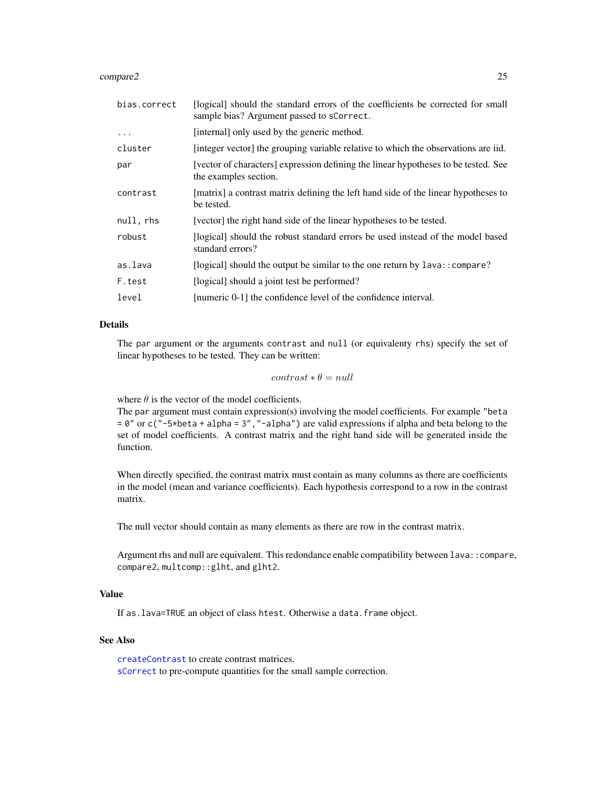#### compare2 25

| bias.correct | [logical] should the standard errors of the coefficients be corrected for small<br>sample bias? Argument passed to sCorrect. |
|--------------|------------------------------------------------------------------------------------------------------------------------------|
| $\cdot$      | [internal] only used by the generic method.                                                                                  |
| cluster      | [integer vector] the grouping variable relative to which the observations are iid.                                           |
| par          | [vector of characters] expression defining the linear hypotheses to be tested. See<br>the examples section.                  |
| contrast     | [matrix] a contrast matrix defining the left hand side of the linear hypotheses to<br>be tested.                             |
| null, rhs    | [vector] the right hand side of the linear hypotheses to be tested.                                                          |
| robust       | [logical] should the robust standard errors be used instead of the model based<br>standard errors?                           |
| as.lava      | [logical] should the output be similar to the one return by lava: : compare?                                                 |
| F.test       | [logical] should a joint test be performed?                                                                                  |
| level        | [numeric 0-1] the confidence level of the confidence interval.                                                               |

## Details

The par argument or the arguments contrast and null (or equivalenty rhs) specify the set of linear hypotheses to be tested. They can be written:

 $contrast * \theta = null$ 

where  $\theta$  is the vector of the model coefficients.

The par argument must contain expression(s) involving the model coefficients. For example "beta = 0" or c("-5\*beta + alpha = 3","-alpha") are valid expressions if alpha and beta belong to the set of model coefficients. A contrast matrix and the right hand side will be generated inside the function.

When directly specified, the contrast matrix must contain as many columns as there are coefficients in the model (mean and variance coefficients). Each hypothesis correspond to a row in the contrast matrix.

The null vector should contain as many elements as there are row in the contrast matrix.

Argument rhs and null are equivalent. This redondance enable compatibility between lava::compare, compare2, multcomp::glht, and glht2.

# Value

If as.lava=TRUE an object of class htest. Otherwise a data.frame object.

### See Also

[createContrast](#page-26-1) to create contrast matrices. [sCorrect](#page-63-1) to pre-compute quantities for the small sample correction.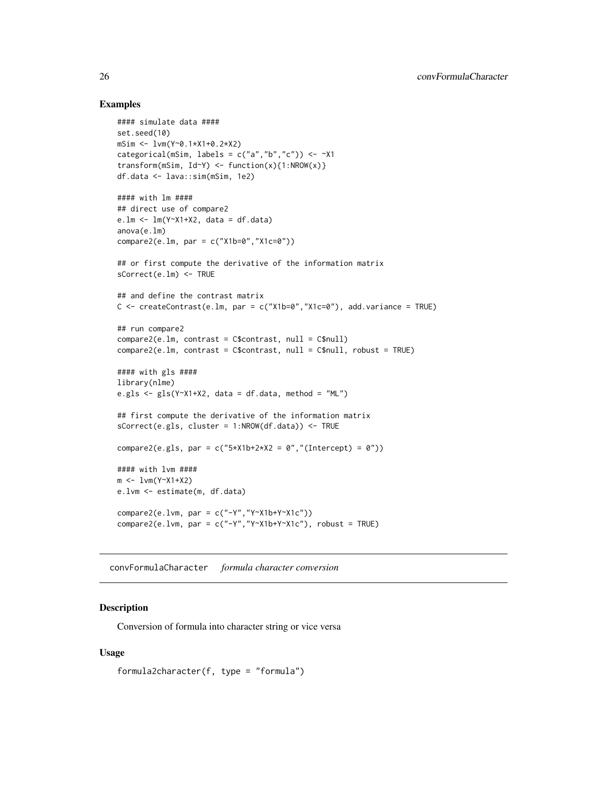## Examples

```
#### simulate data ####
set.seed(10)
mSim <- lvm(Y~0.1*X1+0.2*X2)
categorical(mSim, labels = c("a", "b", "c")) \leftarrow \left. \sim \right. \right. \times 1transform(mSim, Id - Y) <- function(x){1:NROW(x)}
df.data <- lava::sim(mSim, 1e2)
#### with lm ####
## direct use of compare2
e.lm <- lm(Y~X1+X2, data = df.data)
anova(e.lm)
compare2(e.lm, par = c("X1b=0","X1c=0"))
## or first compute the derivative of the information matrix
sCorrect(e.lm) <- TRUE
## and define the contrast matrix
C \leq createContrast(e.lm, par = c("X1b=0","X1c=0"), add.variance = TRUE)
## run compare2
compare2(e.lm, contrast = C$contrast, null = C$null)
compare2(e.lm, contrast = C$contrast, null = C$null, robust = TRUE)
#### with gls ####
library(nlme)
e.gls \leq gls(Y~X1+X2, data = df.data, method = "ML")
## first compute the derivative of the information matrix
sCorrect(e.gls, cluster = 1:NROW(df.data)) <- TRUE
compare2(e.gls, par = c("5*X1b+2*X2 = 0","(Intercept) = 0"))
#### with lvm ####
m <- lvm(Y~X1+X2)
e.lvm <- estimate(m, df.data)
compare2(e.lvm, par = c("-Y","Y~X1b+Y~X1c"))
compare2(e.lvm, par = c("-Y","Y~X1b+Y~X1c"), robust = TRUE)
```
convFormulaCharacter *formula character conversion*

## Description

Conversion of formula into character string or vice versa

```
formula2character(f, type = "formula")
```
<span id="page-25-0"></span>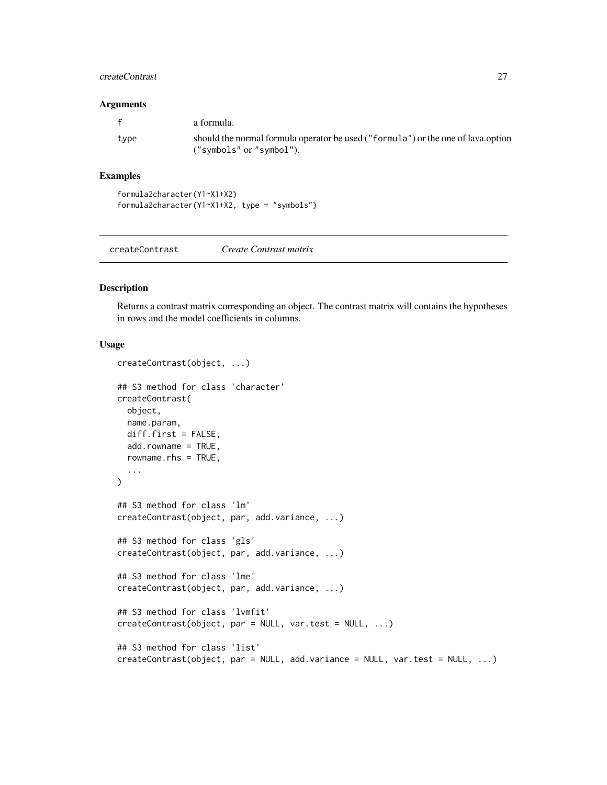## <span id="page-26-0"></span>createContrast 27

#### Arguments

| $\mathbf{f}$ | a formula.                                                                                                   |
|--------------|--------------------------------------------------------------------------------------------------------------|
| type         | should the normal formula operator be used ("formula") or the one of lava.option<br>("symbols" or "symbol"). |

## Examples

```
formula2character(Y1~X1+X2)
formula2character(Y1~X1+X2, type = "symbols")
```
<span id="page-26-1"></span>

|--|

## Description

Returns a contrast matrix corresponding an object. The contrast matrix will contains the hypotheses in rows and the model coefficients in columns.

```
createContrast(object, ...)
## S3 method for class 'character'
createContrast(
 object,
 name.param,
  diff.first = FALSE,
  add.rowname = TRUE,
  rowname.rhs = TRUE,
  ...
\lambda## S3 method for class 'lm'
createContrast(object, par, add.variance, ...)
## S3 method for class 'gls'
createContrast(object, par, add.variance, ...)
## S3 method for class 'lme'
createContrast(object, par, add.variance, ...)
## S3 method for class 'lvmfit'
createContrast(object, par = NULL, var.test = NULL, ...)
## S3 method for class 'list'
createContrast(object, par = NULL, add.variance = NULL, var.test = NULL, ...)
```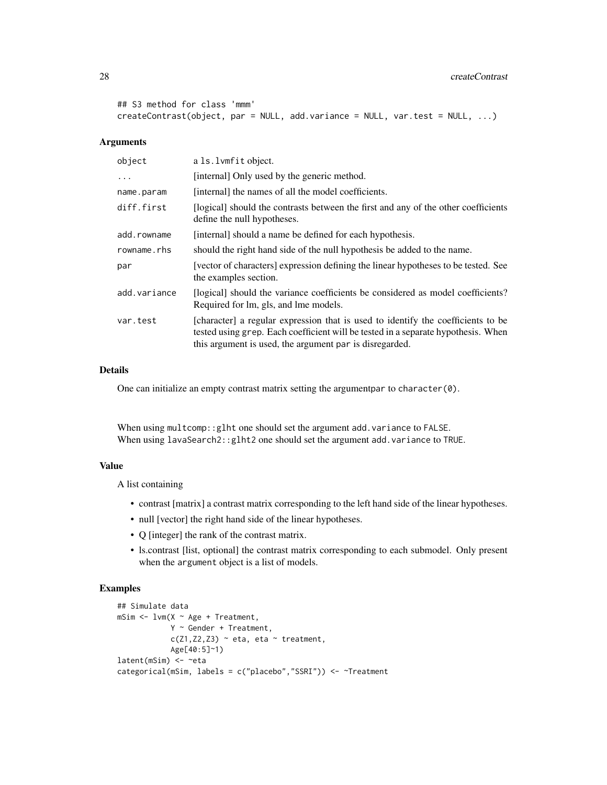```
## S3 method for class 'mmm'
createContrast(object, par = NULL, add.variance = NULL, var.test = NULL, ...)
```
#### Arguments

| object       | a 1s. 1 vm fit object.                                                                                                                                                                                                           |
|--------------|----------------------------------------------------------------------------------------------------------------------------------------------------------------------------------------------------------------------------------|
| .            | [internal] Only used by the generic method.                                                                                                                                                                                      |
| name.param   | [internal] the names of all the model coefficients.                                                                                                                                                                              |
| diff.first   | [logical] should the contrasts between the first and any of the other coefficients<br>define the null hypotheses.                                                                                                                |
| add.rowname  | [internal] should a name be defined for each hypothesis.                                                                                                                                                                         |
| rowname.rhs  | should the right hand side of the null hypothesis be added to the name.                                                                                                                                                          |
| par          | [vector of characters] expression defining the linear hypotheses to be tested. See<br>the examples section.                                                                                                                      |
| add.variance | [logical] should the variance coefficients be considered as model coefficients?<br>Required for lm, gls, and lme models.                                                                                                         |
| var.test     | [character] a regular expression that is used to identify the coefficients to be<br>tested using grep. Each coefficient will be tested in a separate hypothesis. When<br>this argument is used, the argument par is disregarded. |

## Details

One can initialize an empty contrast matrix setting the argumentpar to character(0).

When using multcomp:: glht one should set the argument add.variance to FALSE. When using lavaSearch2::glht2 one should set the argument add.variance to TRUE.

#### Value

A list containing

- contrast [matrix] a contrast matrix corresponding to the left hand side of the linear hypotheses.
- null [vector] the right hand side of the linear hypotheses.
- Q [integer] the rank of the contrast matrix.
- ls.contrast [list, optional] the contrast matrix corresponding to each submodel. Only present when the argument object is a list of models.

# Examples

```
## Simulate data
mSim <- lvm(X ~ Age + Treatment,
            Y ~ Gender + Treatment,
            c(Z1, Z2, Z3) \sim eta, eta \sim treatment,
            Age[40:5]~1)
latent(mSim) <- ~eta
categorical(mSim, labels = c("placebo","SSRI")) <- ~Treatment
```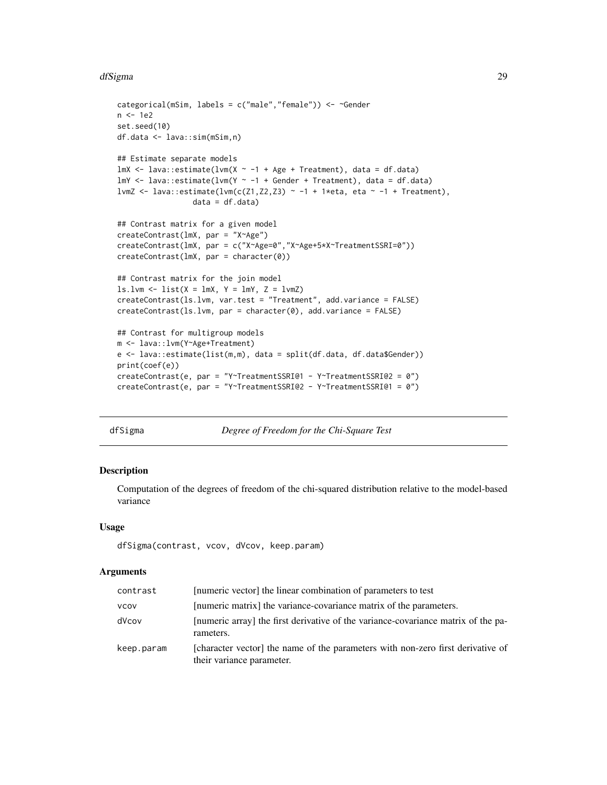#### <span id="page-28-0"></span>dfSigma 29

```
categorical(mSim, labels = c("male","female")) <- ~Gender
n <- 1e2
set.seed(10)
df.data <- lava::sim(mSim,n)
## Estimate separate models
lmX \leq lava::estimate(lvm(X \sim -1 + Age + Treatment), data = df.data)
lmY \leftarrow \text{lava::estimate}(\text{lvm}(Y \sim -1 + \text{Gender} + \text{Treatment}), \text{data} = \text{df.data})lvmZ <- lava::estimate(lvm(c(Z1,Z2,Z3) ~ -1 + 1*eta, eta ~ -1 + Treatment),
                  data = df.data)## Contrast matrix for a given model
createContrast(lmX, par = "X~Age")
createContrast(lmX, par = c("X~Age=0","X~Age+5*X~TreatmentSSRI=0"))
createContrast(lmX, par = character(0))
## Contrast matrix for the join model
ls.lvm < - list(X = lmX, Y = lmY, Z = lvmZ)createContrast(ls.lvm, var.test = "Treatment", add.variance = FALSE)
createContrast(ls.lvm, par = character(0), add.variance = FALSE)
## Contrast for multigroup models
m <- lava::lvm(Y~Age+Treatment)
e <- lava::estimate(list(m,m), data = split(df.data, df.data$Gender))
print(coef(e))
createContrast(e, par = "Y~TreatmentSSRI@1 - Y~TreatmentSSRI@2 = 0")
createContrast(e, par = "Y~TreatmentSSRI@2 - Y~TreatmentSSRI@1 = 0")
```
dfSigma *Degree of Freedom for the Chi-Square Test*

|  |  |  |  | )egree of Freedom for the Chi-Square Tesi |  |
|--|--|--|--|-------------------------------------------|--|
|--|--|--|--|-------------------------------------------|--|

#### Description

Computation of the degrees of freedom of the chi-squared distribution relative to the model-based variance

#### Usage

```
dfSigma(contrast, vcov, dVcov, keep.param)
```

| contrast    | [numeric vector] the linear combination of parameters to test                                                |
|-------------|--------------------------------------------------------------------------------------------------------------|
| <b>VCOV</b> | [numeric matrix] the variance-covariance matrix of the parameters.                                           |
| dVcov       | [numeric array] the first derivative of the variance-covariance matrix of the pa-<br>rameters.               |
| keep.param  | [character vector] the name of the parameters with non-zero first derivative of<br>their variance parameter. |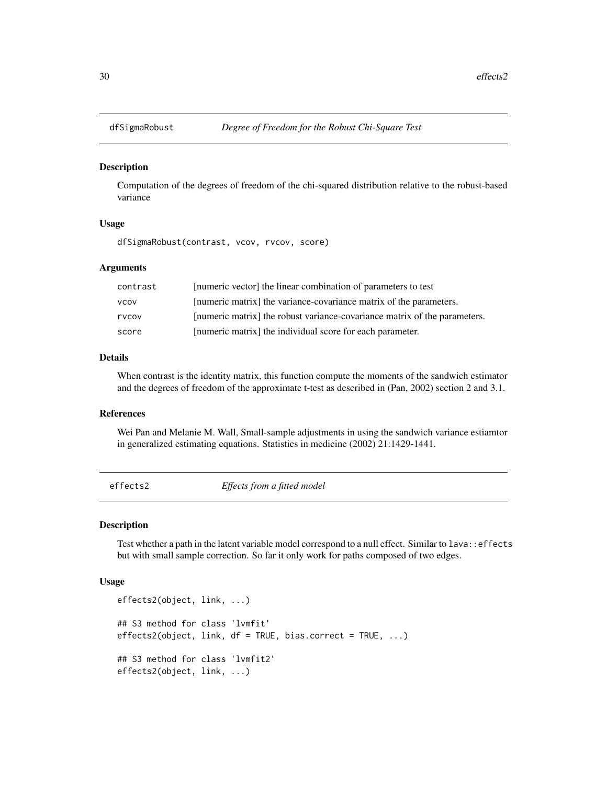<span id="page-29-0"></span>

#### Description

Computation of the degrees of freedom of the chi-squared distribution relative to the robust-based variance

## Usage

```
dfSigmaRobust(contrast, vcov, rvcov, score)
```
## Arguments

| contrast    | [numeric vector] the linear combination of parameters to test             |
|-------------|---------------------------------------------------------------------------|
| <b>VCOV</b> | [numeric matrix] the variance-covariance matrix of the parameters.        |
| rvcov       | [numeric matrix] the robust variance-covariance matrix of the parameters. |
| score       | [numeric matrix] the individual score for each parameter.                 |

#### Details

When contrast is the identity matrix, this function compute the moments of the sandwich estimator and the degrees of freedom of the approximate t-test as described in (Pan, 2002) section 2 and 3.1.

## References

Wei Pan and Melanie M. Wall, Small-sample adjustments in using the sandwich variance estiamtor in generalized estimating equations. Statistics in medicine (2002) 21:1429-1441.

effects2 *Effects from a fitted model*

#### Description

Test whether a path in the latent variable model correspond to a null effect. Similar to lava::effects but with small sample correction. So far it only work for paths composed of two edges.

```
effects2(object, link, ...)
## S3 method for class 'lvmfit'
effects2(object, link, df = TRUE, bias.correct = TRUE, ...)## S3 method for class 'lvmfit2'
effects2(object, link, ...)
```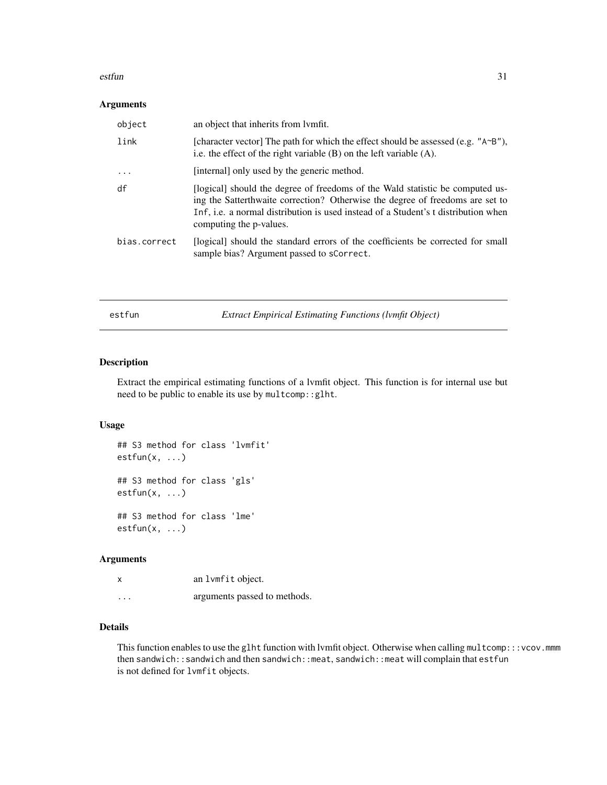#### <span id="page-30-0"></span>estfun 31 august 2016 estfundum 31 august 2016 estfundum 31 august 2016 estfundum 31 august 2016 estfundum 31 august 2016 estfundum 31 august 2016 est dem 2016 est dem 2016 est dem 2016 est dem 2016 est dem 2016 est dem 20

## Arguments

| object       | an object that inherits from lymfit.                                                                                                                                                                                                                                            |
|--------------|---------------------------------------------------------------------------------------------------------------------------------------------------------------------------------------------------------------------------------------------------------------------------------|
| link         | [character vector] The path for which the effect should be assessed (e.g. " $A \sim B''$ ),<br>i.e. the effect of the right variable $(B)$ on the left variable $(A)$ .                                                                                                         |
| $\ddots$ .   | [internal] only used by the generic method.                                                                                                                                                                                                                                     |
| df           | [logical] should the degree of freedoms of the Wald statistic be computed us-<br>ing the Satterthwaite correction? Otherwise the degree of freedoms are set to<br>Inf, i.e. a normal distribution is used instead of a Student's t distribution when<br>computing the p-values. |
| bias.correct | (logical) should the standard errors of the coefficients be corrected for small<br>sample bias? Argument passed to sCorrect.                                                                                                                                                    |

estfun *Extract Empirical Estimating Functions (lvmfit Object)*

# Description

Extract the empirical estimating functions of a lvmfit object. This function is for internal use but need to be public to enable its use by multcomp::glht.

## Usage

```
## S3 method for class 'lvmfit'
estfun(x, ...)
## S3 method for class 'gls'
estfun(x, ...)
## S3 method for class 'lme'
```
 $estfun(x, \ldots)$ 

## Arguments

| x | an lvmfit object. |
|---|-------------------|
|   |                   |

... arguments passed to methods.

# Details

This function enables to use the glht function with lvmfit object. Otherwise when calling multcomp:::vcov.mmm then sandwich::sandwich and then sandwich::meat, sandwich::meat will complain that estfun is not defined for lvmfit objects.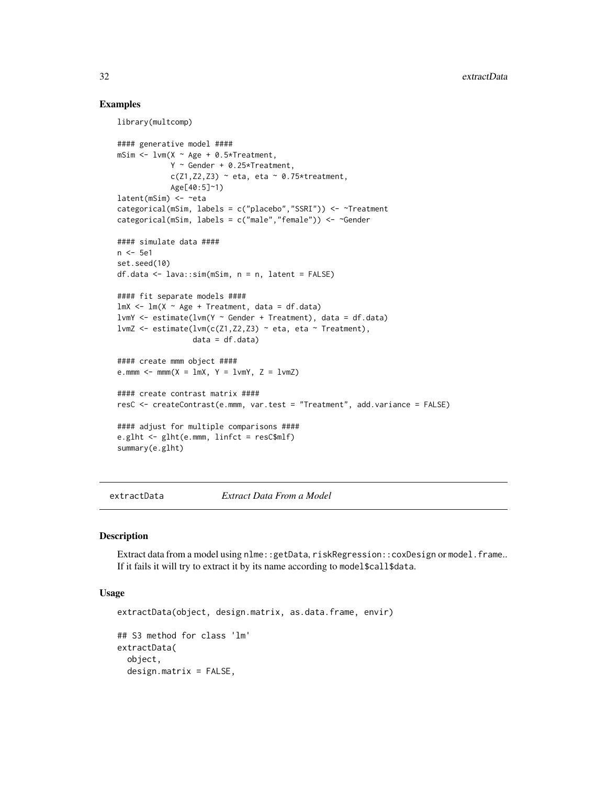## Examples

library(multcomp)

```
#### generative model ####
mSim \leq lvm(X \sim Age + 0.5*Treatment,
             Y ~ Gender + 0.25*Treatment,
             c(Z1, Z2, Z3) \sim \text{eta}, \text{eta} \sim 0.75* \text{treatment},Age[40:5]~1)
latent(mSim) <- ~eta
categorical(mSim, labels = c("placebo","SSRI")) <- ~Treatment
categorical(mSim, labels = c("male","female")) <- ~Gender
#### simulate data ####
n <- 5e1
set.seed(10)
df.data <- lava::sim(mSim, n = n, latent = FALSE)
#### fit separate models ####
lmX < - lm(X ~ ~ Age ~ + Treatment, data = df.data)lvmY <- estimate(lvm(Y ~ Gender + Treatment), data = df.data)
lvmZ <- estimate(lvm(c(Z1,Z2,Z3) ~ eta, eta ~ Treatment),
                  data = df.data)#### create mmm object ####
e.mmm \le - mmm(X = \text{lmX}, Y = \text{lmY}, Z = \text{lmZ})#### create contrast matrix ####
resC <- createContrast(e.mmm, var.test = "Treatment", add.variance = FALSE)
#### adjust for multiple comparisons ####
e.glht <- glht(e.mmm, linfct = resC$mlf)
summary(e.glht)
```
extractData *Extract Data From a Model*

#### **Description**

Extract data from a model using nlme::getData, riskRegression::coxDesign or model.frame.. If it fails it will try to extract it by its name according to model\$call\$data.

```
extractData(object, design.matrix, as.data.frame, envir)
## S3 method for class 'lm'
extractData(
 object,
 design.matrix = FALSE,
```
<span id="page-31-0"></span>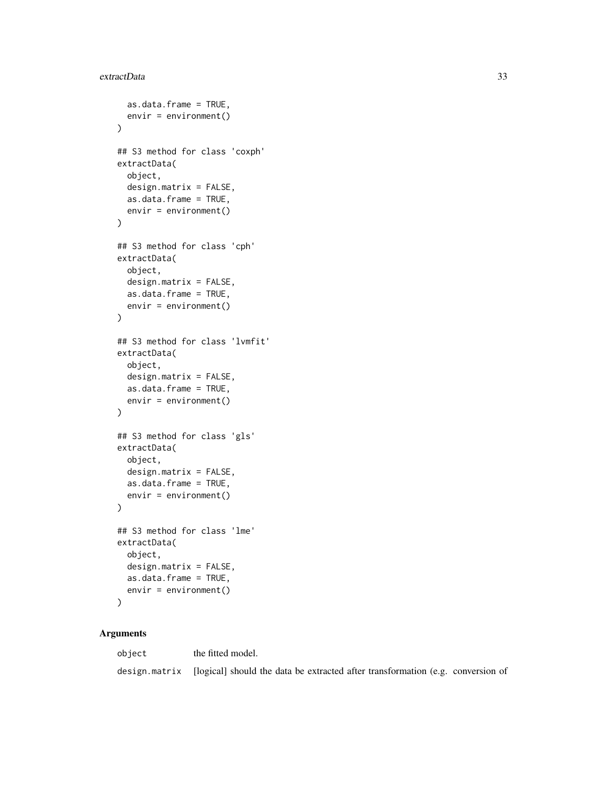#### extractData 33

```
as.data.frame = TRUE,
  envir = environment()
)
## S3 method for class 'coxph'
extractData(
 object,
  design.matrix = FALSE,
  as.data.frame = TRUE,
  envir = environment()
\lambda## S3 method for class 'cph'
extractData(
  object,
  design.matrix = FALSE,
  as.data.frame = TRUE,
  envir = environment()
\mathcal{L}## S3 method for class 'lvmfit'
extractData(
 object,
  design.matrix = FALSE,
  as.data.frame = TRUE,
  envir = environment())
## S3 method for class 'gls'
extractData(
  object,
  design.matrix = FALSE,
  as.data.frame = TRUE,
  envir = environment()
)
## S3 method for class 'lme'
extractData(
  object,
  design.matrix = FALSE,
  as.data.frame = TRUE,
  envir = environment()\lambda
```
# Arguments

object the fitted model. design.matrix [logical] should the data be extracted after transformation (e.g. conversion of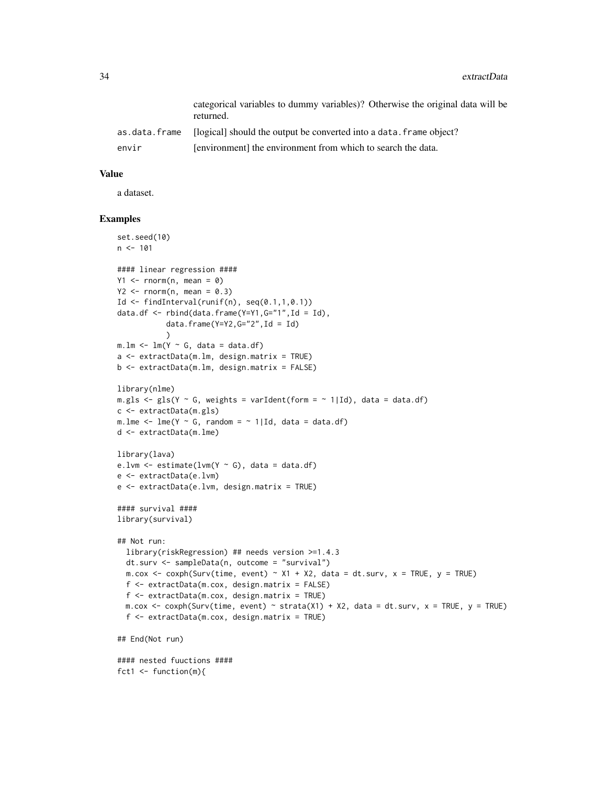|               | categorical variables to dummy variables)? Otherwise the original data will be<br>returned. |
|---------------|---------------------------------------------------------------------------------------------|
| as.data.frame | [logical] should the output be converted into a data. frame object?                         |
| envir         | [environment] the environment from which to search the data.                                |

## Value

a dataset.

#### Examples

```
set.seed(10)
n < -101#### linear regression ####
Y1 \leq -\text{norm}(n, \text{mean} = 0)Y2 \leq -\text{norm}(n, \text{ mean } = 0.3)Id \le findInterval(runif(n), seq(0.1,1,0.1))
data.df <- rbind(data.frame(Y=Y1,G="1",Id = Id),
           data.frame(Y=Y2,G="2",Id = Id)
           )
m.lm < -lm(Y ~ ~ G, data = data.df)a <- extractData(m.lm, design.matrix = TRUE)
b <- extractData(m.lm, design.matrix = FALSE)
library(nlme)
m.gls \leq gls(Y \sim G, weights = varIdent(form = \sim 1|Id), data = data.df)
c <- extractData(m.gls)
m.lme \leq lme(Y \sim G, random = \sim 1|Id, data = data.df)
d <- extractData(m.lme)
library(lava)
e.lvm \leq estimate(lvm(Y \sim G), data = data.df)
e <- extractData(e.lvm)
e <- extractData(e.lvm, design.matrix = TRUE)
#### survival ####
library(survival)
## Not run:
  library(riskRegression) ## needs version >=1.4.3
  dt.surv <- sampleData(n, outcome = "survival")
  m.cox <- coxph(Surv(time, event) ~ X1 + X2, data = dt.surv, x = TRUE, y = TRUEf <- extractData(m.cox, design.matrix = FALSE)
  f <- extractData(m.cox, design.matrix = TRUE)
  m.cox <- coxph(Surv(time, event) ~ strata(X1) + X2, data = dt.surv, x = TRUE, y = TRUE)
  f <- extractData(m.cox, design.matrix = TRUE)
## End(Not run)
#### nested fuuctions ####
fct1 <- function(m){
```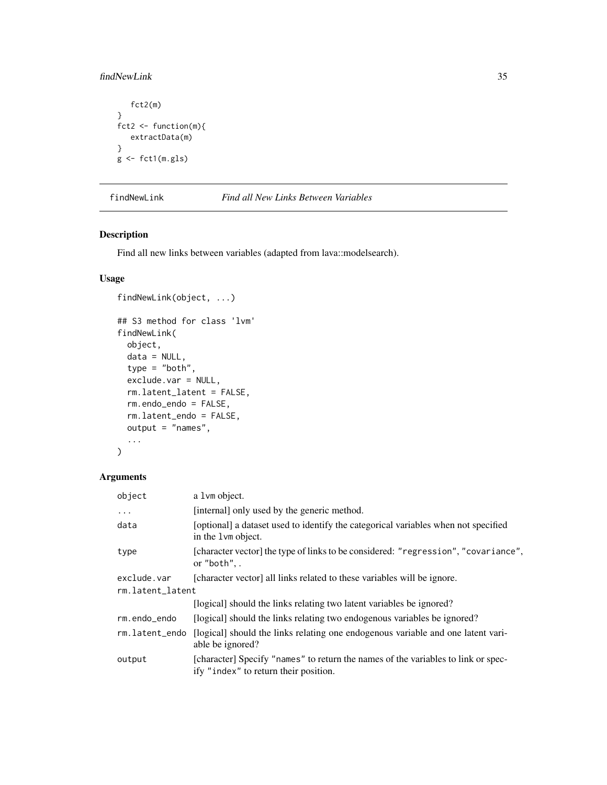# <span id="page-34-0"></span>findNewLink 35

```
fct2(m)
}
fct2 <- function(m){
   extractData(m)
}
g \leftarrow \text{ft1(m,gls)}
```
# findNewLink *Find all New Links Between Variables*

# Description

Find all new links between variables (adapted from lava::modelsearch).

# Usage

```
findNewLink(object, ...)
## S3 method for class 'lvm'
findNewLink(
 object,
 data = NULL,type = "both",exclude.var = NULL,
  rm.latent_latent = FALSE,
  rm.endo_endo = FALSE,
  rm.latent_endo = FALSE,
 output = "names",
  ...
\mathcal{L}
```

| object           | a 1 vm object.                                                                                                             |
|------------------|----------------------------------------------------------------------------------------------------------------------------|
| $\ddots$         | [internal] only used by the generic method.                                                                                |
| data             | [optional] a dataset used to identify the categorical variables when not specified<br>in the 1 vm object.                  |
| type             | [character vector] the type of links to be considered: "regression", "covariance",<br>or "both",.                          |
| exclude.var      | [character vector] all links related to these variables will be ignore.                                                    |
| rm.latent_latent |                                                                                                                            |
|                  | [logical] should the links relating two latent variables be ignored?                                                       |
| rm.endo_endo     | [logical] should the links relating two endogenous variables be ignored?                                                   |
| rm.latent_endo   | [logical] should the links relating one endogenous variable and one latent vari-<br>able be ignored?                       |
| output           | [character] Specify "names" to return the names of the variables to link or spec-<br>ify "index" to return their position. |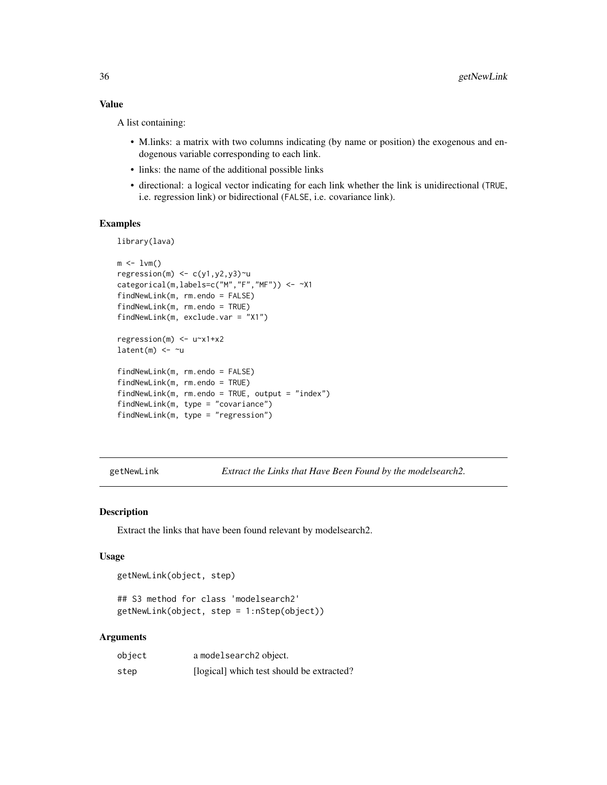## Value

A list containing:

- M.links: a matrix with two columns indicating (by name or position) the exogenous and endogenous variable corresponding to each link.
- links: the name of the additional possible links
- directional: a logical vector indicating for each link whether the link is unidirectional (TRUE, i.e. regression link) or bidirectional (FALSE, i.e. covariance link).

## Examples

library(lava)

```
m \le -1vm()
regression(m) \leq c(y1,y2,y3)\simu
categorical(m,labels=c("M","F","MF")) <- ~X1
findNewLink(m, rm.endo = FALSE)
findNewLink(m, rm.endo = TRUE)
findNewLink(m, exclude.var = "X1")
regression(m) <- u~x1+x2
latent(m) <- ~u
findNewLink(m, rm.endo = FALSE)
findNewLink(m, rm.endo = TRUE)
findNewLink(m, rm.endo = TRUE, output = "index")
findNewLink(m, type = "covariance")
findNewLink(m, type = "regression")
```
getNewLink *Extract the Links that Have Been Found by the modelsearch2.*

## Description

Extract the links that have been found relevant by modelsearch2.

#### Usage

getNewLink(object, step)

## S3 method for class 'modelsearch2' getNewLink(object, step = 1:nStep(object))

| object | a modelsearch <sub>2</sub> object.        |
|--------|-------------------------------------------|
| step   | [logical] which test should be extracted? |

<span id="page-35-0"></span>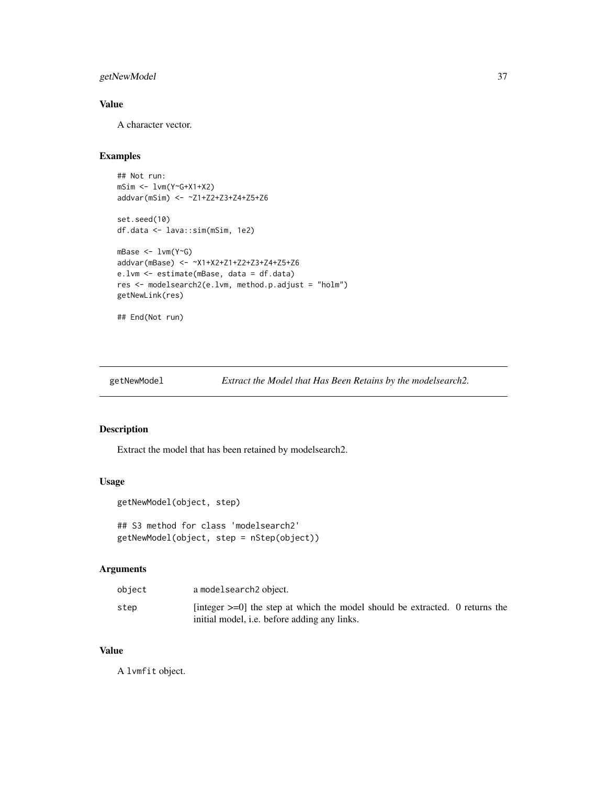# getNewModel 37

# Value

A character vector.

## Examples

```
## Not run:
mSim <- lvm(Y~G+X1+X2)
addvar(mSim) <- ~Z1+Z2+Z3+Z4+Z5+Z6
set.seed(10)
df.data <- lava::sim(mSim, 1e2)
mBase <- lvm(Y~G)
addvar(mBase) <- ~X1+X2+Z1+Z2+Z3+Z4+Z5+Z6
e.lvm <- estimate(mBase, data = df.data)
res <- modelsearch2(e.lvm, method.p.adjust = "holm")
getNewLink(res)
## End(Not run)
```
getNewModel *Extract the Model that Has Been Retains by the modelsearch2.*

### Description

Extract the model that has been retained by modelsearch2.

### Usage

```
getNewModel(object, step)
```

```
## S3 method for class 'modelsearch2'
getNewModel(object, step = nStep(object))
```
## Arguments

| object | a modelsearch2 object.                                                                                                                    |  |
|--------|-------------------------------------------------------------------------------------------------------------------------------------------|--|
| step   | [integer $\geq=0$ ] the step at which the model should be extracted. 0 returns the<br>initial model, <i>i.e.</i> before adding any links. |  |

### Value

A lvmfit object.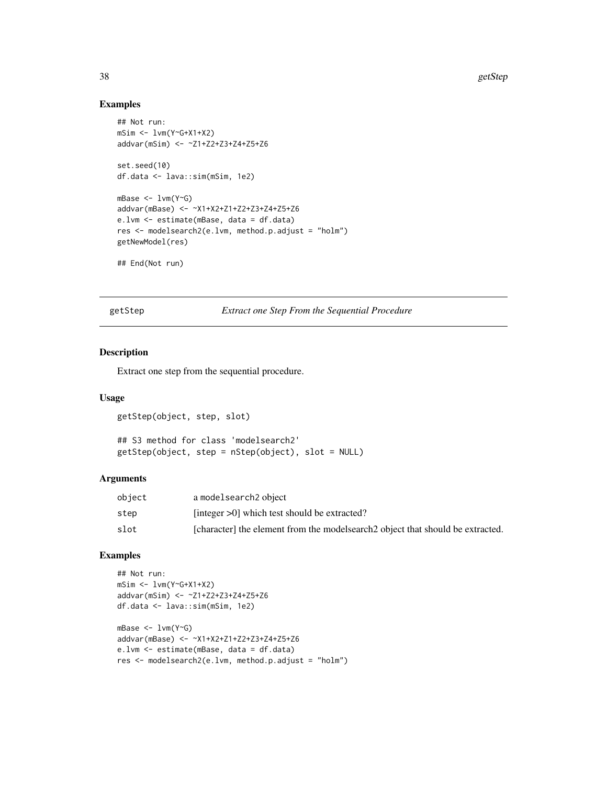# Examples

```
## Not run:
mSim <- lvm(Y~G+X1+X2)
addvar(mSim) <- ~Z1+Z2+Z3+Z4+Z5+Z6
set.seed(10)
df.data <- lava::sim(mSim, 1e2)
mBase <- lvm(Y~G)
addvar(mBase) <- ~X1+X2+Z1+Z2+Z3+Z4+Z5+Z6
e.lvm <- estimate(mBase, data = df.data)
res <- modelsearch2(e.lvm, method.p.adjust = "holm")
getNewModel(res)
## End(Not run)
```
getStep *Extract one Step From the Sequential Procedure*

#### Description

Extract one step from the sequential procedure.

# Usage

getStep(object, step, slot)

## S3 method for class 'modelsearch2' getStep(object, step = nStep(object), slot = NULL)

### Arguments

| object | a modelsearch2 object                                                          |
|--------|--------------------------------------------------------------------------------|
| step   | $[integer > 0]$ which test should be extracted?                                |
| slot   | [character] the element from the modelsearch2 object that should be extracted. |

```
## Not run:
mSim <- lvm(Y~G+X1+X2)
addvar(mSim) <- ~Z1+Z2+Z3+Z4+Z5+Z6
df.data <- lava::sim(mSim, 1e2)
mBase <- lvm(Y~G)
addvar(mBase) <- ~X1+X2+Z1+Z2+Z3+Z4+Z5+Z6
e.lvm <- estimate(mBase, data = df.data)
res <- modelsearch2(e.lvm, method.p.adjust = "holm")
```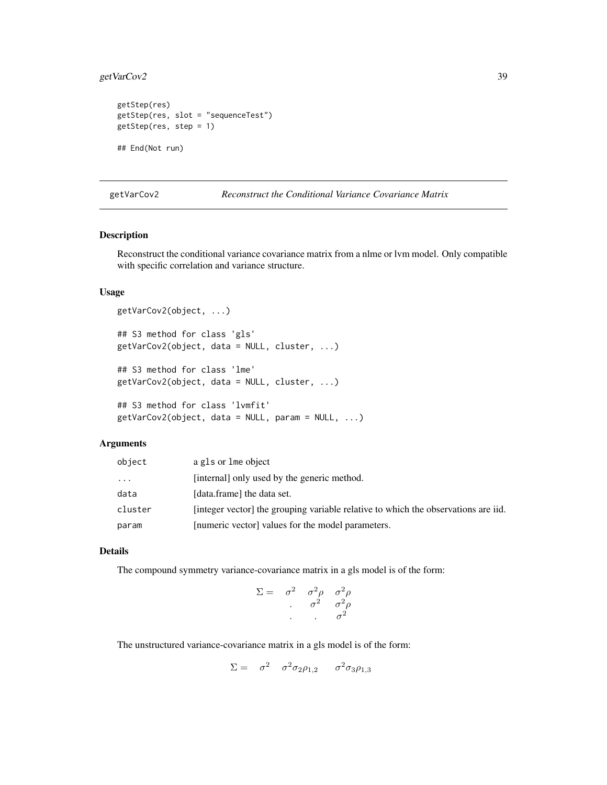# getVarCov2 39

```
getStep(res)
getStep(res, slot = "sequenceTest")
getStep(res, step = 1)
## End(Not run)
```
<span id="page-38-0"></span>getVarCov2 *Reconstruct the Conditional Variance Covariance Matrix*

## Description

Reconstruct the conditional variance covariance matrix from a nlme or lvm model. Only compatible with specific correlation and variance structure.

### Usage

```
getVarCov2(object, ...)
## S3 method for class 'gls'
getVarCov2(object, data = NULL, cluster, ...)
## S3 method for class 'lme'
getVarCov2(object, data = NULL, cluster, ...)
## S3 method for class 'lvmfit'
getVarCov2(object, data = NULL, param = NULL, ...)
```
### Arguments

| object  | a gls or lme object                                                               |
|---------|-----------------------------------------------------------------------------------|
| .       | [internal] only used by the generic method.                                       |
| data    | [data.frame] the data set.                                                        |
| cluster | [integer vector] the grouping variable relative to which the observations are id. |
| param   | [numeric vector] values for the model parameters.                                 |

## Details

The compound symmetry variance-covariance matrix in a gls model is of the form:

$$
\Sigma = \begin{array}{ccc} \sigma^2 & \sigma^2 \rho & \sigma^2 \rho \\ \cdot & \sigma^2 & \sigma^2 \rho \\ \cdot & \cdot & \sigma^2 \end{array}
$$

The unstructured variance-covariance matrix in a gls model is of the form:

$$
\Sigma = \sigma^2 \sigma^2 \sigma_2 \rho_{1,2} \sigma^2 \sigma_3 \rho_{1,3}
$$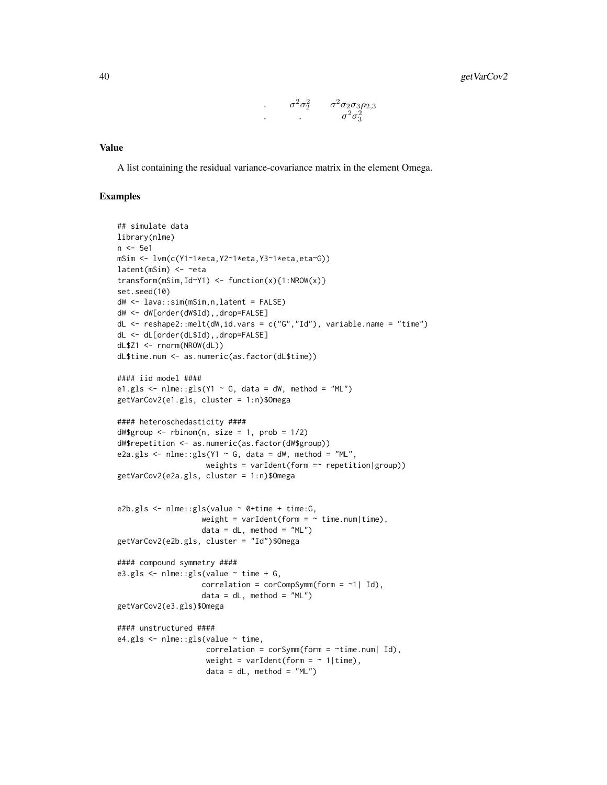$$
\cdot \qquad \sigma^2 \sigma_2^2 \qquad \sigma^2 \sigma_2 \sigma_3 \rho_{2,3}
$$
\n
$$
\cdot \qquad \qquad \cdot \qquad \sigma^2 \sigma_3^2
$$

### Value

A list containing the residual variance-covariance matrix in the element Omega.

```
## simulate data
library(nlme)
n <- 5e1
mSim <- lvm(c(Y1~1*eta,Y2~1*eta,Y3~1*eta,eta~G))
latent(mSim) <- ~eta
transform(mSim, Id~Y1) <- function(x){1:NROW(x)}
set.seed(10)
dW <- lava::sim(mSim,n,latent = FALSE)
dW <- dW[order(dW$Id),,drop=FALSE]
dL <- reshape2::melt(dW,id.vars = c("G","Id"), variable.name = "time")
dL <- dL[order(dL$Id),,drop=FALSE]
dL$Z1 <- rnorm(NROW(dL))
dL$time.num <- as.numeric(as.factor(dL$time))
#### iid model ####
e1.gls \le nlme::gls(Y1 \sim G, data = dW, method = "ML")
getVarCov2(e1.gls, cluster = 1:n)$Omega
#### heteroschedasticity ####
dW$group < - rhinom(n, size = 1, prob = 1/2)dW$repetition <- as.numeric(as.factor(dW$group))
e2a.gls \le nlme::gls(Y1 \sim G, data = dW, method = "ML",
                    weights = varIdent(form =\sim repetition|group))
getVarCov2(e2a.gls, cluster = 1:n)$Omega
e2b.gls <- nlme::gls(value ~ 0+time + time:G,
                   weight = varIdent(form = \sim time.num|time),
                   data = dL, method = "ML")
getVarCov2(e2b.gls, cluster = "Id")$Omega
#### compound symmetry ####
e3.gls <- nlme::gls(value ~ time + G,
                   correlation = corCompSymm(from = ~1 | Id),data = dL, method = "ML")
getVarCov2(e3.gls)$Omega
#### unstructured ####
e4.gls < -nlme::gls(value ~time,
                    correlation = corSymm(form = ~time.num| Id),
                    weight = varIdent(form = \sim 1|time),
                    data = dL, method = "ML")
```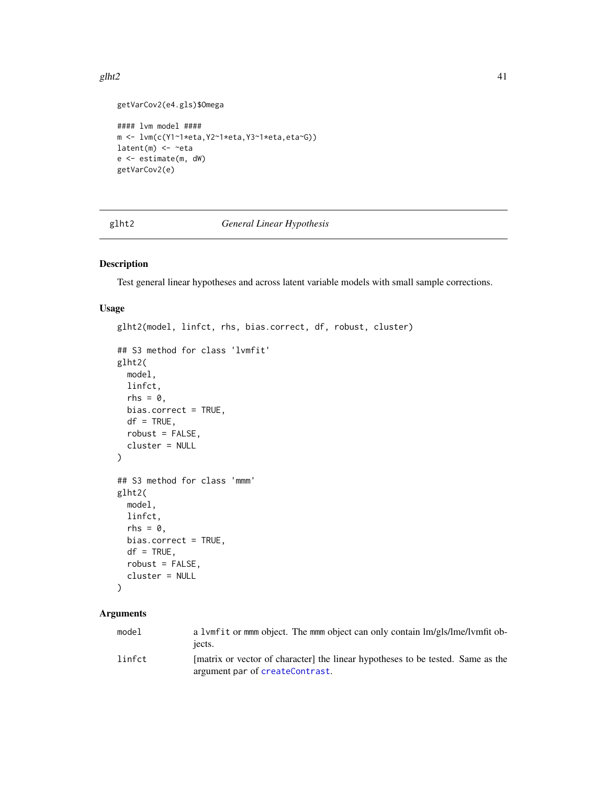#### glht2  $41$

```
getVarCov2(e4.gls)$Omega
```

```
#### lvm model ####
m <- lvm(c(Y1~1*eta,Y2~1*eta,Y3~1*eta,eta~G))
latent(m) \leftarrow \neg etae <- estimate(m, dW)
getVarCov2(e)
```
# <span id="page-40-0"></span>glht2 *General Linear Hypothesis*

# Description

Test general linear hypotheses and across latent variable models with small sample corrections.

### Usage

```
glht2(model, linfct, rhs, bias.correct, df, robust, cluster)
## S3 method for class 'lvmfit'
glht2(
 model,
 linfct,
 rhs = \theta,
 bias.correct = TRUE,
 df = TRUE,
 robust = FALSE,
 cluster = NULL
)
## S3 method for class 'mmm'
glht2(
 model,
 linfct,
  rhs = 0,
 bias.correct = TRUE,
 df = TRUE,robust = FALSE,
  cluster = NULL
)
```
# Arguments

| model  | a 1 vmf it or mmm object. The mmm object can only contain lm/gls/lme/lymfit ob-<br>iects.                          |
|--------|--------------------------------------------------------------------------------------------------------------------|
| linfct | [matrix or vector of character] the linear hypotheses to be tested. Same as the<br>argument par of createContrast. |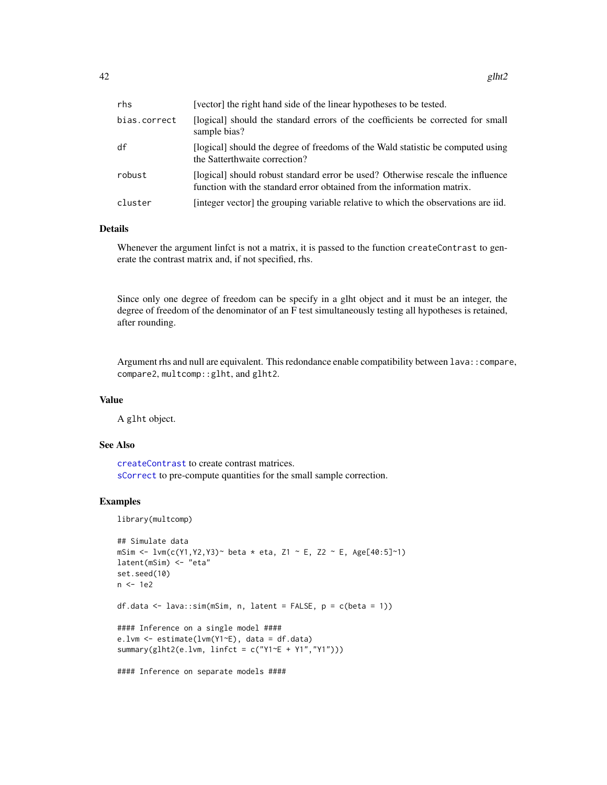| rhs          | [vector] the right hand side of the linear hypotheses to be tested.                                                                                       |
|--------------|-----------------------------------------------------------------------------------------------------------------------------------------------------------|
| bias.correct | [logical] should the standard errors of the coefficients be corrected for small<br>sample bias?                                                           |
| df           | [logical] should the degree of freedoms of the Wald statistic be computed using<br>the Satterthwaite correction?                                          |
| robust       | [logical] should robust standard error be used? Otherwise rescale the influence<br>function with the standard error obtained from the information matrix. |
| cluster      | [integer vector] the grouping variable relative to which the observations are iid.                                                                        |

## Details

Whenever the argument linfct is not a matrix, it is passed to the function createContrast to generate the contrast matrix and, if not specified, rhs.

Since only one degree of freedom can be specify in a glht object and it must be an integer, the degree of freedom of the denominator of an F test simultaneously testing all hypotheses is retained, after rounding.

Argument rhs and null are equivalent. This redondance enable compatibility between lava::compare, compare2, multcomp::glht, and glht2.

#### Value

A glht object.

### See Also

[createContrast](#page-26-0) to create contrast matrices. [sCorrect](#page-63-0) to pre-compute quantities for the small sample correction.

```
library(multcomp)
```

```
## Simulate data
mSim <- lvm(c(Y1, Y2, Y3) beta * eta, Z1 ~ E, Z2 ~ E, Age[40:5]~1)
latent(mSim) <- "eta"
set.seed(10)
n <- 1e2
df.data \leq lava::sim(mSim, n, latent = FALSE, p = c(beta = 1))
#### Inference on a single model ####
e.lvm <- estimate(lvm(Y1~E), data = df.data)
summary(glht2(e.lvm, linfct = c("Y1~E + Y1","Y1")))
#### Inference on separate models ####
```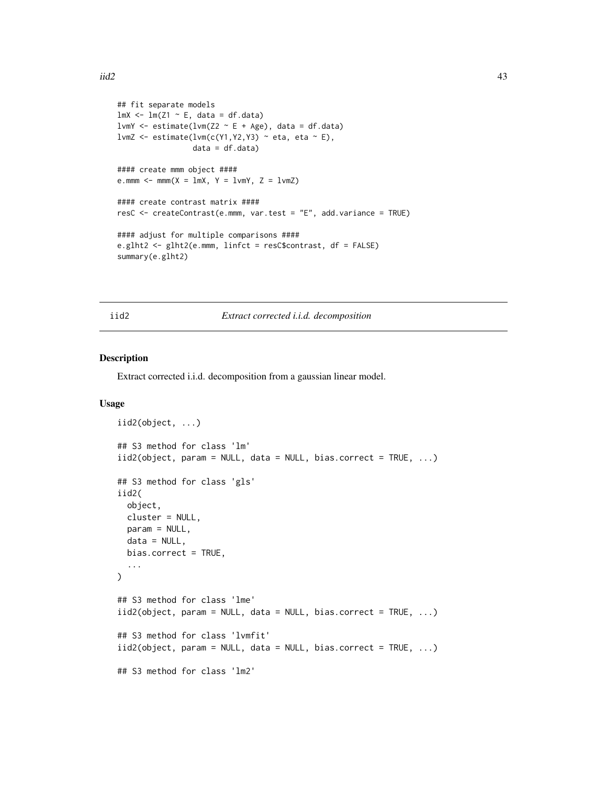```
## fit separate models
lmX < - lm(Z1 ~ N.E, data = df.data)lvmY <- estimate(lvm(Z2 \sim E + Age), data = df.data)
lvmZ <- estimate(lvm(c(Y1, Y2, Y3) ~ eta, eta ~ E),
                  data = df.data)#### create mmm object ####
e.mmm \le mmm(X = \text{lmX}, Y = \text{lmY}, Z = \text{lmZ})#### create contrast matrix ####
resC <- createContrast(e.mmm, var.test = "E", add.variance = TRUE)
#### adjust for multiple comparisons ####
e.glht2 <- glht2(e.mmm, linfct = resC$contrast, df = FALSE)
summary(e.glht2)
```
iid2 *Extract corrected i.i.d. decomposition*

### Description

Extract corrected i.i.d. decomposition from a gaussian linear model.

### Usage

```
iid2(object, ...)
## S3 method for class 'lm'
iid2(object, param = NULL, data = NULL, bias.correct = TRUE, ...)
## S3 method for class 'gls'
iid2(
 object,
 cluster = NULL,
 param = NULL,
 data = NULL,bias.correct = TRUE,
  ...
)
## S3 method for class 'lme'
iid2(object, param = NULL, data = NULL, bias.correct = TRUE, ...)
## S3 method for class 'lvmfit'
iid2(object, param = NULL, data = NULL, bias.correct = TRUE, ...)
## S3 method for class 'lm2'
```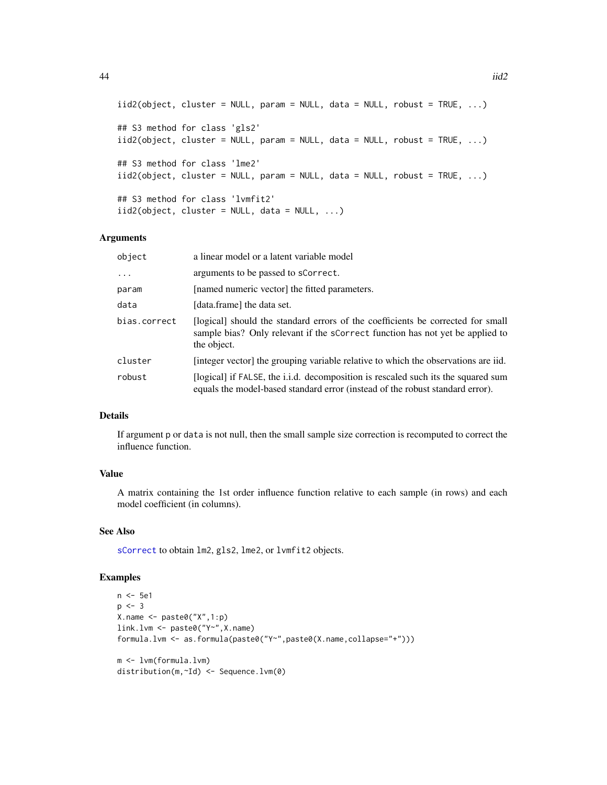```
44 iid2
```

```
iid2(object, cluster = NULL, param = NULL, data = NULL, robust = TRUE, ...)
## S3 method for class 'gls2'
iid2(object, cluster = NULL, param = NULL, data = NULL, robust = TRUE, ...)
## S3 method for class 'lme2'
iid2(object, cluster = NULL, param = NULL, data = NULL, robust = TRUE, ...)
## S3 method for class 'lvmfit2'
iid2(object, cluster = NULL, data = NULL, ...)
```
## Arguments

| object       | a linear model or a latent variable model                                                                                                                                       |
|--------------|---------------------------------------------------------------------------------------------------------------------------------------------------------------------------------|
| $\ddots$ .   | arguments to be passed to sCorrect.                                                                                                                                             |
| param        | [named numeric vector] the fitted parameters.                                                                                                                                   |
| data         | [data.frame] the data set.                                                                                                                                                      |
| bias.correct | [logical] should the standard errors of the coefficients be corrected for small<br>sample bias? Only relevant if the scorrect function has not yet be applied to<br>the object. |
| cluster      | [integer vector] the grouping variable relative to which the observations are iid.                                                                                              |
| robust       | [logical] if FALSE, the i.i.d. decomposition is rescaled such its the squared sum<br>equals the model-based standard error (instead of the robust standard error).              |

### Details

If argument p or data is not null, then the small sample size correction is recomputed to correct the influence function.

### Value

A matrix containing the 1st order influence function relative to each sample (in rows) and each model coefficient (in columns).

### See Also

[sCorrect](#page-63-0) to obtain lm2, gls2, lme2, or lvmfit2 objects.

```
n <- 5e1
p \le -3X.name \leftarrow paste@("X", 1:p)link.lvm <- paste0("Y~",X.name)
formula.lvm <- as.formula(paste0("Y~",paste0(X.name,collapse="+")))
m <- lvm(formula.lvm)
distribution(m,~Id) <- Sequence.lvm(0)
```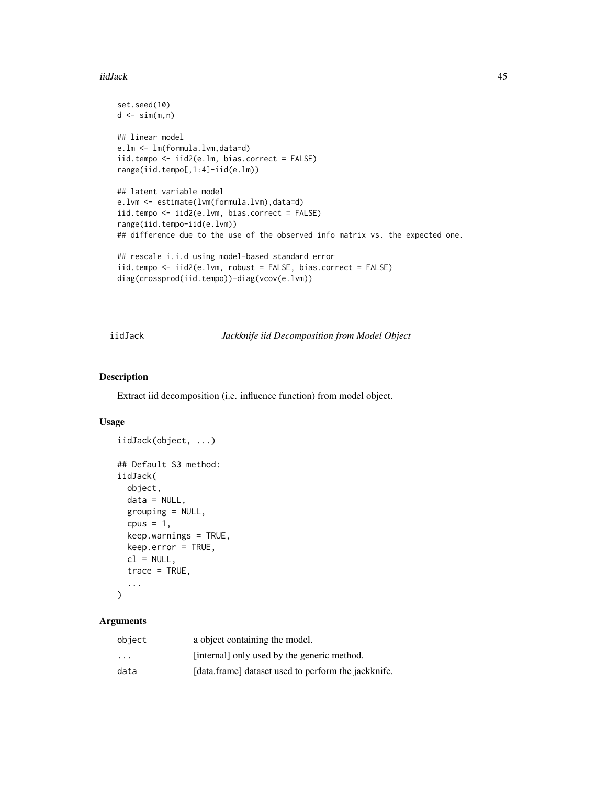#### iidJack 25 August 2014 12:00 August 2014 12:00 August 2014 12:00 August 2014 12:00 August 2014 12:00 August 20

```
set.seed(10)
d \leq \sin(m, n)## linear model
e.lm <- lm(formula.lvm,data=d)
iid.tempo <- iid2(e.lm, bias.correct = FALSE)
range(iid.tempo[,1:4]-iid(e.lm))
## latent variable model
e.lvm <- estimate(lvm(formula.lvm),data=d)
iid.tempo <- iid2(e.lvm, bias.correct = FALSE)
range(iid.tempo-iid(e.lvm))
## difference due to the use of the observed info matrix vs. the expected one.
## rescale i.i.d using model-based standard error
iid.tempo <- iid2(e.lvm, robust = FALSE, bias.correct = FALSE)
diag(crossprod(iid.tempo))-diag(vcov(e.lvm))
```
<span id="page-44-0"></span>iidJack *Jackknife iid Decomposition from Model Object*

# Description

Extract iid decomposition (i.e. influence function) from model object.

# Usage

```
iidJack(object, ...)
## Default S3 method:
iidJack(
 object,
 data = NULL,
  grouping = NULL,
  cpus = 1,
 keep.warnings = TRUE,
 keep.error = TRUE,
 cl = NULL,trace = TRUE,...
\mathcal{L}
```
# Arguments

| object                  | a object containing the model.                      |
|-------------------------|-----------------------------------------------------|
| $\cdot$ $\cdot$ $\cdot$ | [internal] only used by the generic method.         |
| data                    | [data.frame] dataset used to perform the jackknife. |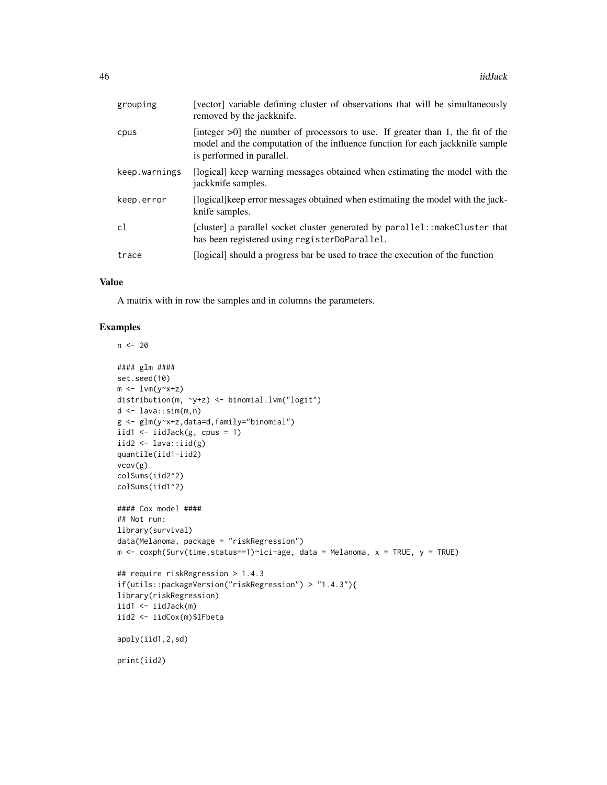| grouping      | [vector] variable defining cluster of observations that will be simultaneously<br>removed by the jackknife.                                                                                      |
|---------------|--------------------------------------------------------------------------------------------------------------------------------------------------------------------------------------------------|
| cpus          | [integer $>0$ ] the number of processors to use. If greater than 1, the fit of the<br>model and the computation of the influence function for each jackknife sample<br>is performed in parallel. |
| keep.warnings | [logical] keep warning messages obtained when estimating the model with the<br>jackknife samples.                                                                                                |
| keep.error    | [logical] keep error messages obtained when estimating the model with the jack-<br>knife samples.                                                                                                |
| c1            | [cluster] a parallel socket cluster generated by parallel: : makeCluster that<br>has been registered using registerDoParallel.                                                                   |
| trace         | [logical] should a progress bar be used to trace the execution of the function                                                                                                                   |

# Value

A matrix with in row the samples and in columns the parameters.

```
n < - 20
```

```
#### glm ####
set.seed(10)
m \leftarrow \text{lvm}(y \sim x + z)distribution(m, ~y+z) <- binomial.lvm("logit")
d \leq - lava::sim(m,n)g <- glm(y~x+z,data=d,family="binomial")
iid1 \leftarrow iidJack(g, cpus = 1)
iid2 <- lava::iid(g)
quantile(iid1-iid2)
vcov(g)
colSums(iid2^2)
colSums(iid1^2)
#### Cox model ####
## Not run:
library(survival)
data(Melanoma, package = "riskRegression")
m \leq -\text{cosh}(Surv(\text{time},\text{status==1})^{\text{-}}ici+\text{age}, \text{data = Melanoma}, x = \text{TRUE}, y = \text{TRUE})## require riskRegression > 1.4.3
if(utils::packageVersion("riskRegression") > "1.4.3"){
library(riskRegression)
iid1 <- iidJack(m)
iid2 <- iidCox(m)$IFbeta
apply(iid1,2,sd)
print(iid2)
```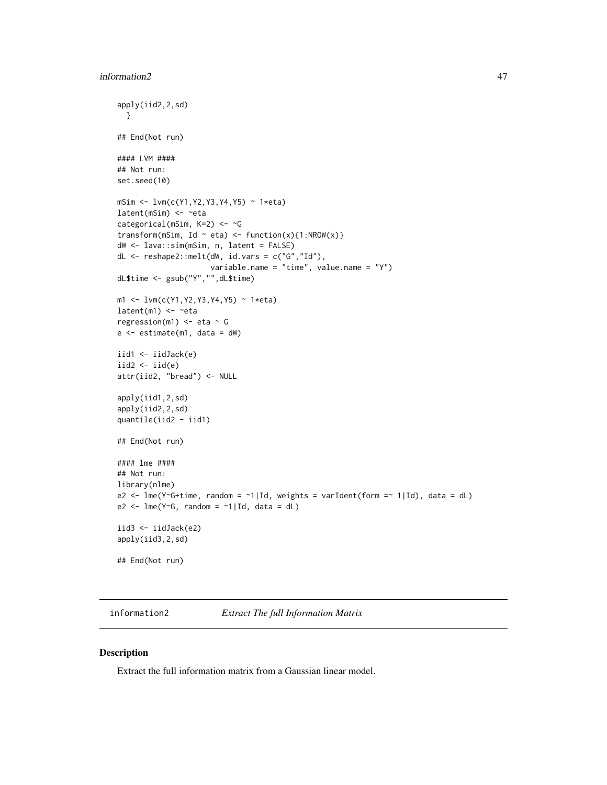```
apply(iid2,2,sd)
  }
## End(Not run)
#### LVM ####
## Not run:
set.seed(10)
mSim <- lvm(c(Y1,Y2,Y3,Y4,Y5) ~ 1*eta)
latent(mSim) <- ~eta
categorical(mSim, K=2) <- ~G
transform(mSim, Id ~ eta) <- function(x){1:NROW(x)}
dW <- lava::sim(mSim, n, latent = FALSE)
dL <- reshape2::melt(dW, id.vars = c("G","Id"),
                     variable.name = "time", value.name = "Y")
dL$time <- gsub("Y","",dL$time)
m1 <- lvm(c(Y1,Y2,Y3,Y4,Y5) ~ 1*eta)
latent(m1) < - ~eta
regression(m1) <- eta - G
e <- estimate(m1, data = dW)
iid1 <- iidJack(e)
iid2 < - iid(e)attr(iid2, "bread") <- NULL
apply(iid1,2,sd)
apply(iid2,2,sd)
quantile(iid2 - iid1)
## End(Not run)
#### lme ####
## Not run:
library(nlme)
e2 <- lme(Y~G+time, random = ~1|Id, weights = varIdent(form =~ 1|Id), data = dL)
e2 <- lmc(Y\text{~G}, random = \text{~I} | Id, data = dL)iid3 <- iidJack(e2)
apply(iid3,2,sd)
## End(Not run)
```
information2 *Extract The full Information Matrix*

### Description

Extract the full information matrix from a Gaussian linear model.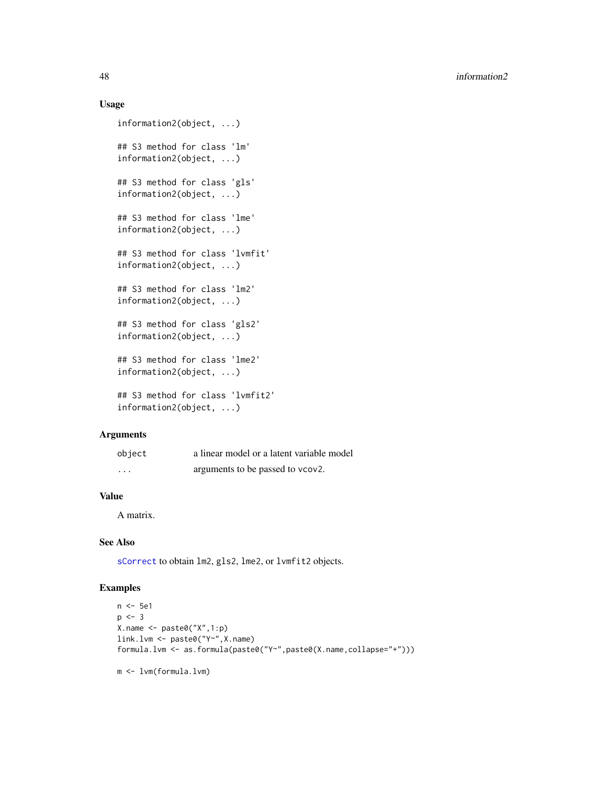### Usage

```
information2(object, ...)
## S3 method for class 'lm'
information2(object, ...)
## S3 method for class 'gls'
information2(object, ...)
## S3 method for class 'lme'
information2(object, ...)
## S3 method for class 'lvmfit'
information2(object, ...)
## S3 method for class 'lm2'
information2(object, ...)
## S3 method for class 'gls2'
information2(object, ...)
## S3 method for class 'lme2'
information2(object, ...)
## S3 method for class 'lvmfit2'
information2(object, ...)
```
#### Arguments

| object  | a linear model or a latent variable model |
|---------|-------------------------------------------|
| $\cdot$ | arguments to be passed to vcov2.          |

# Value

A matrix.

# See Also

[sCorrect](#page-63-0) to obtain lm2, gls2, lme2, or lvmfit2 objects.

# Examples

```
n <- 5e1
p \le -3X.name \leftarrow paste@("X", 1:p)link.lvm <- paste0("Y~",X.name)
formula.lvm <- as.formula(paste0("Y~",paste0(X.name,collapse="+")))
```
m <- lvm(formula.lvm)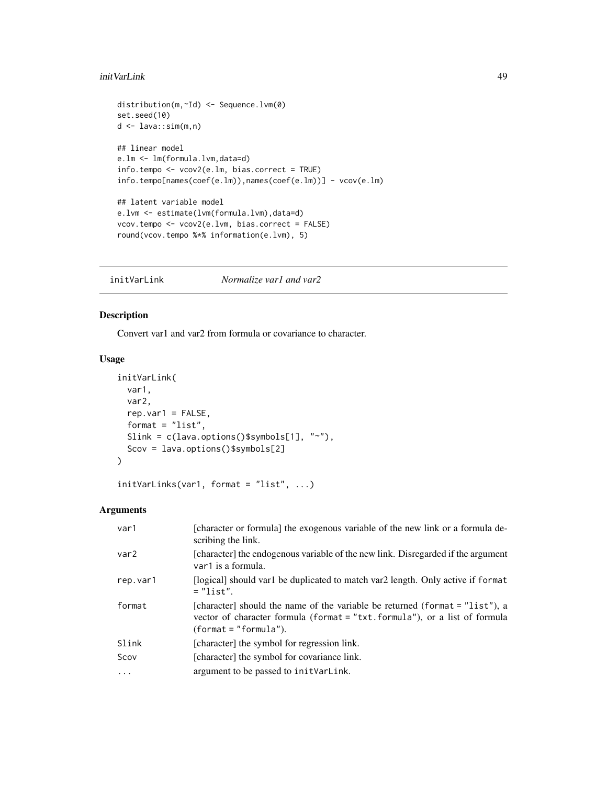### initVarLink 49

```
distribution(m,~Id) <- Sequence.lvm(0)
set.seed(10)
d <- lava::sim(m,n)
## linear model
e.lm <- lm(formula.lvm,data=d)
info.tempo <- vcov2(e.lm, bias.correct = TRUE)
info.tempo[names(coef(e.lm)),names(coef(e.lm))] - vcov(e.lm)
## latent variable model
e.lvm <- estimate(lvm(formula.lvm),data=d)
vcov.tempo <- vcov2(e.lvm, bias.correct = FALSE)
round(vcov.tempo %*% information(e.lvm), 5)
```
initVarLink *Normalize var1 and var2*

# Description

Convert var1 and var2 from formula or covariance to character.

# Usage

```
initVarLink(
 var1,
 var2,
  rep.var1 = FALSE,format = "list",Slink = c(lava.options()$symbols[1], "~"),
  Scov = lava.options()$symbols[2]
\mathcal{L}
```
initVarLinks(var1, format = "list", ...)

# Arguments

| var1             | [character or formula] the exogenous variable of the new link or a formula de-<br>scribing the link.                                                                                  |
|------------------|---------------------------------------------------------------------------------------------------------------------------------------------------------------------------------------|
| var <sub>2</sub> | [character] the endogenous variable of the new link. Disregarded if the argument<br>var1 is a formula.                                                                                |
| rep.var1         | [logical] should var1 be duplicated to match var2 length. Only active if format<br>$=$ "list".                                                                                        |
| format           | [character] should the name of the variable be returned (format = "list"), a<br>vector of character formula (format = "txt.formula"), or a list of formula<br>$(format = "formula").$ |
| Slink            | [character] the symbol for regression link.                                                                                                                                           |
| Scov             | [character] the symbol for covariance link.                                                                                                                                           |
| .                | argument to be passed to initVarLink.                                                                                                                                                 |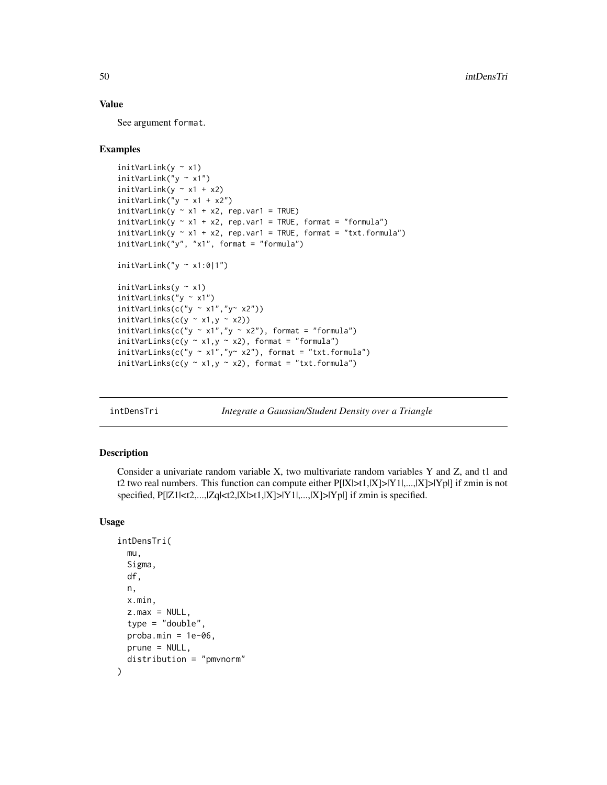## Value

See argument format.

### Examples

```
initVarLink(y ~ x1)
initVarLink("y ~ x1")
initVariable(y \sim x1 + x2)initVarLink("y ~ x1 + x2")
initVarLink(y \sim x1 + x2, rep.var1 = TRUE)initVariable(y \sim x1 + x2, rep.valar1 = TRUE, format = "formula")initVariable(y \sim x1 + x2, rep.value = TRUE, format = "txt.format")initVarLink("y", "x1", format = "formula")
initVarLink("y \sim x1:0|1")initVarLinks(y \sim x1)initVarLinks("y ~ x1")
initVarLinks(c("y ~ x1", "y~ x2"))initVarLinks(c(y ~ x1,y ~ x2))
initVarLinks(c("y ~ x1", "y ~ x2"), format = "formula")
initVarLinks(c(y ~ x1, y ~ x2), format = "formula")
initVarLinks(c("y \sim x1","y\sim x2"), format = "txt.formula")
initVarLinks(c(y \sim x1, y \sim x2), format = "txt.formula")
```
intDensTri *Integrate a Gaussian/Student Density over a Triangle*

# Description

Consider a univariate random variable X, two multivariate random variables Y and Z, and t1 and t2 two real numbers. This function can compute either  $P[|X|>1,|X]>|Y1|, ..., |X]>|Yp|]$  if zmin is not specified, P[|Z1|<t2,...,|Zq|<t2,|X|>t1,|X]>|Y1|,...,|X]>|Yp|] if zmin is specified.

# Usage

```
intDensTri(
 mu,
  Sigma,
  df,
  n,
 x.min,
  z.max = NULL,type = "double",
 prob_{a.min} = 1e-06,
 prune = NULL,
  distribution = "pmvnorm"
)
```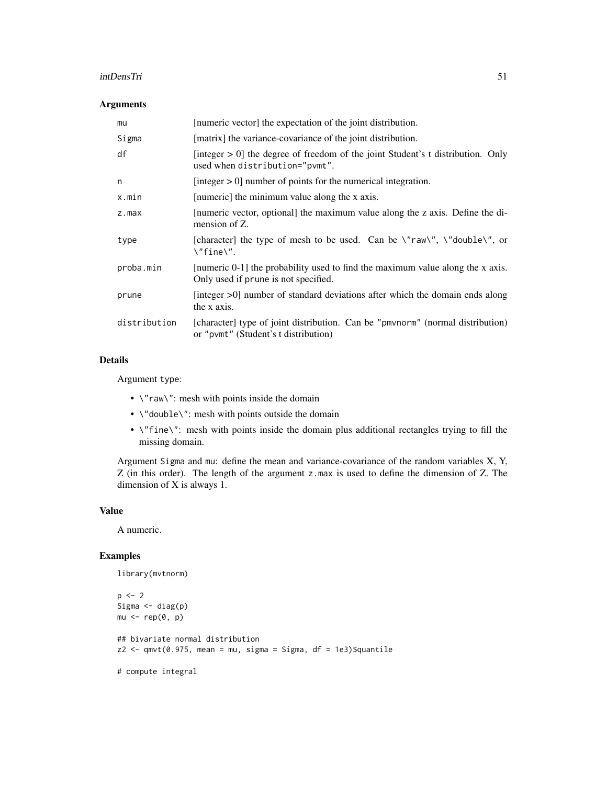### intDensTri 51

## Arguments

| mu           | [numeric vector] the expectation of the joint distribution.                                                                                       |
|--------------|---------------------------------------------------------------------------------------------------------------------------------------------------|
| Sigma        | [matrix] the variance-covariance of the joint distribution.                                                                                       |
| df           | [integer $> 0$ ] the degree of freedom of the joint Student's t distribution. Only<br>used when distribution="pvmt".                              |
| n            | [integer $> 0$ ] number of points for the numerical integration.                                                                                  |
| x.min        | [numeric] the minimum value along the x axis.                                                                                                     |
| z.max        | [numeric vector, optional] the maximum value along the z axis. Define the di-<br>mension of Z.                                                    |
| type         | [character] the type of mesh to be used. Can be $\Upsilon$ "raw $\Upsilon$ ", $\Upsilon$ "double $\Upsilon$ ", or<br>$\Upsilon$ fine $\Upsilon$ . |
| proba.min    | [numeric 0-1] the probability used to find the maximum value along the x axis.<br>Only used if prune is not specified.                            |
| prune        | [integer $>0$ ] number of standard deviations after which the domain ends along<br>the x axis.                                                    |
| distribution | [character] type of joint distribution. Can be "pmvnorm" (normal distribution)<br>or "pvmt" (Student's t distribution)                            |

# Details

Argument type:

- $\sqrt{n}$  raw $\sqrt{n}$ : mesh with points inside the domain
- \"double\": mesh with points outside the domain
- \"fine\": mesh with points inside the domain plus additional rectangles trying to fill the missing domain.

Argument Sigma and mu: define the mean and variance-covariance of the random variables X, Y, Z (in this order). The length of the argument z.max is used to define the dimension of Z. The dimension of X is always 1.

## Value

A numeric.

```
library(mvtnorm)
p \le -2Sigma \leftarrow diag(p)
mu < - rep(0, p)## bivariate normal distribution
z2 \leq qmvt(0.975, mean = mu, sigma = Sigma, df = 1e3)$quantile
# compute integral
```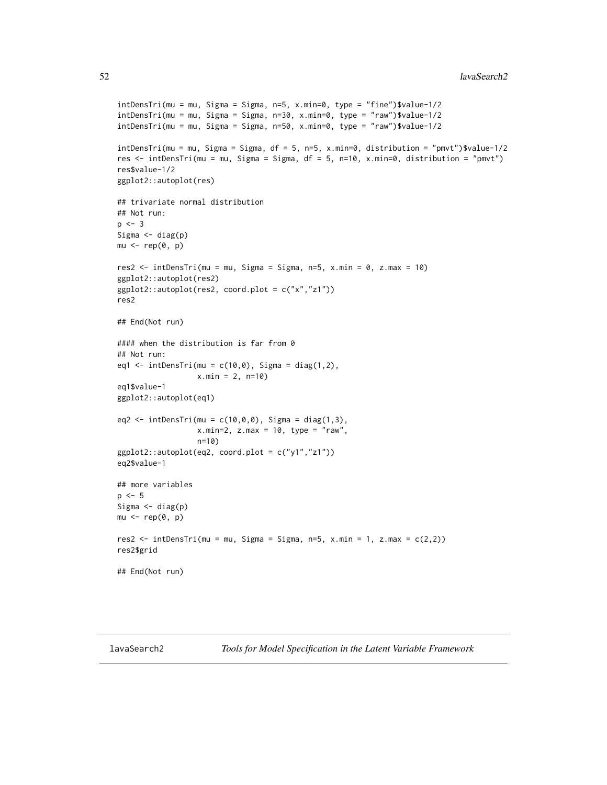```
intDensTri(mu = mu, Sigma = Sigma, n=5, x.min=0, type = "fine")$value-1/2
intDensTri(mu = mu, Sigma = Sigma, n=30, x.min=0, type = "raw")$value-1/2
intDensTri(mu = mu, Sigma = Sigma, n=50, x.min=0, type = "raw")$value-1/2
intDensTri(mu = mu, Sigma = Sigma, df = 5, n=5, x.min=0, distribution = "pmvt")$value-1/2
res <- intDensTri(mu = mu, Sigma = Sigma, df = 5, n=10, x.min=0, distribution = "pmvt")
res$value-1/2
ggplot2::autoplot(res)
## trivariate normal distribution
## Not run:
p \le -3Sigma \leftarrow diag(p)
mu < - rep(0, p)res2 \le intDensTri(mu = mu, Sigma = Sigma, n=5, x.min = 0, z.max = 10)
ggplot2::autoplot(res2)
ggplot2::autoplot(res2, coord.plot = c("x","z1"))
res2
## End(Not run)
#### when the distribution is far from 0
## Not run:
eq1 <- intDensTri(mu = c(10, 0), Sigma = diag(1,2),
                  x.min = 2, n=10)
eq1$value-1
ggplot2::autoplot(eq1)
eq2 <- intDensTri(mu = c(10, 0, 0), Sigma = diag(1,3),
                  x.min=2, z.max = 10, type = "raw",n=10)
ggplot2::author[eq2, coord.plot = c("y1", "z1"))eq2$value-1
## more variables
p \le -5Sigma \leftarrow diag(p)
mu < - rep(0, p)res2 <- intDensTri(mu = mu, Sigma = Sigma, n=5, x.min = 1, z.max = c(2,2))
res2$grid
## End(Not run)
```
lavaSearch2 *Tools for Model Specification in the Latent Variable Framework*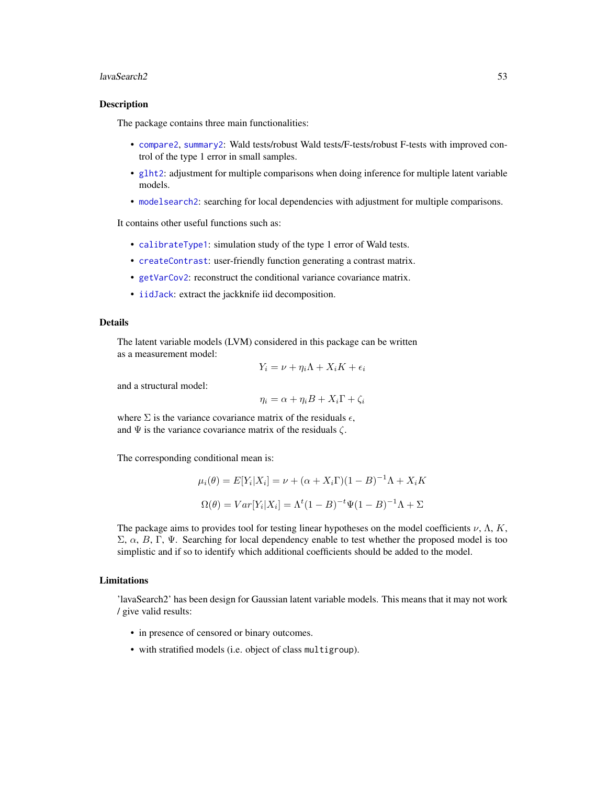#### lavaSearch2 53

### **Description**

The package contains three main functionalities:

- [compare2](#page-22-0), [summary2](#page-69-0): Wald tests/robust Wald tests/F-tests/robust F-tests with improved control of the type 1 error in small samples.
- [glht2](#page-40-0): adjustment for multiple comparisons when doing inference for multiple latent variable models.
- [modelsearch2](#page-55-0): searching for local dependencies with adjustment for multiple comparisons.

It contains other useful functions such as:

- [calibrateType1](#page-11-0): simulation study of the type 1 error of Wald tests.
- [createContrast](#page-26-0): user-friendly function generating a contrast matrix.
- [getVarCov2](#page-38-0): reconstruct the conditional variance covariance matrix.
- [iidJack](#page-44-0): extract the jackknife iid decomposition.

## Details

The latent variable models (LVM) considered in this package can be written as a measurement model:

$$
Y_i = \nu + \eta_i \Lambda + X_i K + \epsilon_i
$$

and a structural model:

$$
\eta_i = \alpha + \eta_i B + X_i \Gamma + \zeta_i
$$

where  $\Sigma$  is the variance covariance matrix of the residuals  $\epsilon$ , and  $\Psi$  is the variance covariance matrix of the residuals  $\zeta$ .

The corresponding conditional mean is:

$$
\mu_i(\theta) = E[Y_i|X_i] = \nu + (\alpha + X_i \Gamma)(1 - B)^{-1} \Lambda + X_i K
$$

$$
\Omega(\theta) = Var[Y_i|X_i] = \Lambda^t (1 - B)^{-t} \Psi(1 - B)^{-1} \Lambda + \Sigma
$$

The package aims to provides tool for testing linear hypotheses on the model coefficients  $\nu$ ,  $\Lambda$ ,  $K$ ,  $\Sigma$ ,  $\alpha$ ,  $B$ , Γ, Ψ. Searching for local dependency enable to test whether the proposed model is too simplistic and if so to identify which additional coefficients should be added to the model.

#### Limitations

'lavaSearch2' has been design for Gaussian latent variable models. This means that it may not work / give valid results:

- in presence of censored or binary outcomes.
- with stratified models (i.e. object of class multigroup).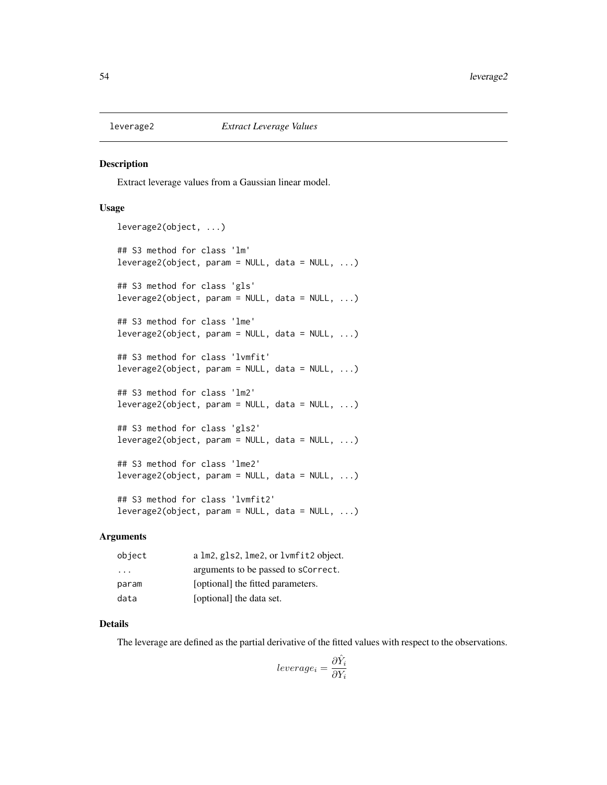## Description

Extract leverage values from a Gaussian linear model.

### Usage

```
leverage2(object, ...)
## S3 method for class 'lm'
leverage2(object, param = NULL, data = NULL, ...)
## S3 method for class 'gls'
leverage2(object, param = NULL, data = NULL, ...)## S3 method for class 'lme'
leverage2(object, param = NULL, data = NULL, ...)
## S3 method for class 'lvmfit'
leverage2(object, param = NULL, data = NULL, ...)
## S3 method for class 'lm2'
leverage2(object, param = NULL, data = NULL, ...)## S3 method for class 'gls2'
leverage2(object, param = NULL, data = NULL, ...)## S3 method for class 'lme2'
leverage2(object, param = NULL, data = NULL, ...)
## S3 method for class 'lvmfit2'
leverage2(object, param = NULL, data = NULL, ...)
```
### **Arguments**

| object                  | a lm2, gls2, lme2, or lvmfit2 object. |
|-------------------------|---------------------------------------|
| $\cdot$ $\cdot$ $\cdot$ | arguments to be passed to sCorrect.   |
| param                   | [optional] the fitted parameters.     |
| data                    | [optional] the data set.              |

# Details

The leverage are defined as the partial derivative of the fitted values with respect to the observations.

$$
leverage_i = \frac{\partial \hat{Y}_i}{\partial Y_i}
$$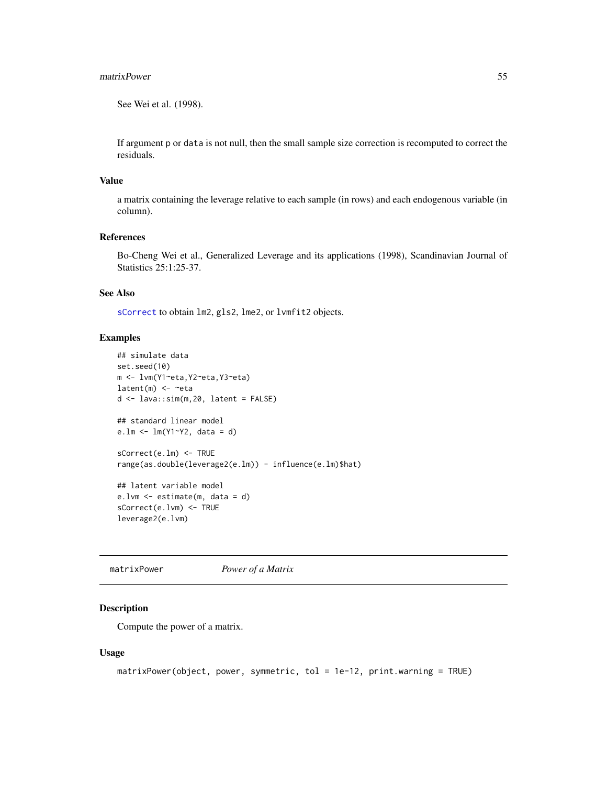#### matrixPower 55

See Wei et al. (1998).

If argument p or data is not null, then the small sample size correction is recomputed to correct the residuals.

## Value

a matrix containing the leverage relative to each sample (in rows) and each endogenous variable (in column).

## References

Bo-Cheng Wei et al., Generalized Leverage and its applications (1998), Scandinavian Journal of Statistics 25:1:25-37.

## See Also

[sCorrect](#page-63-0) to obtain lm2, gls2, lme2, or lvmfit2 objects.

# Examples

```
## simulate data
set.seed(10)
m <- lvm(Y1~eta,Y2~eta,Y3~eta)
latent(m) \leftarrow \text{~}etad \leq - lava::\sin(m, 20, latent = FALSE)
## standard linear model
e.lm <- lm(Y1~Y2, data = d)
sCorrect(e.lm) <- TRUE
range(as.double(leverage2(e.lm)) - influence(e.lm)$hat)
## latent variable model
e.lvm <- estimate(m, data = d)
sCorrect(e.lvm) <- TRUE
leverage2(e.lvm)
```
matrixPower *Power of a Matrix*

# Description

Compute the power of a matrix.

#### Usage

```
matrixPower(object, power, symmetric, tol = 1e-12, print.warning = TRUE)
```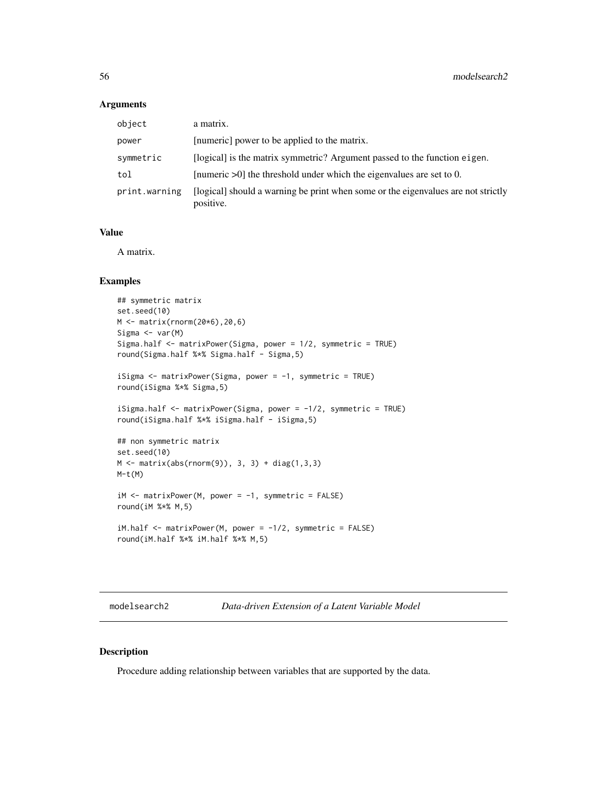#### Arguments

| object        | a matrix.                                                                                      |
|---------------|------------------------------------------------------------------------------------------------|
| power         | [numeric] power to be applied to the matrix.                                                   |
| symmetric     | [logical] is the matrix symmetric? Argument passed to the function eigen.                      |
| tol           | [numeric $>0$ ] the threshold under which the eigenvalues are set to 0.                        |
| print.warning | [logical] should a warning be print when some or the eigenvalues are not strictly<br>positive. |

### Value

A matrix.

### Examples

```
## symmetric matrix
set.seed(10)
M <- matrix(rnorm(20*6),20,6)
Sigma <- var(M)
Sigma.half <- matrixPower(Sigma, power = 1/2, symmetric = TRUE)
round(Sigma.half %*% Sigma.half - Sigma,5)
iSigma <- matrixPower(Sigma, power = -1, symmetric = TRUE)
round(iSigma %*% Sigma,5)
iSigma.half <- matrixPower(Sigma, power = -1/2, symmetric = TRUE)
round(iSigma.half %*% iSigma.half - iSigma,5)
## non symmetric matrix
set.seed(10)
M \leq - matrix(abs(rnorm(9)), 3, 3) + diag(1,3,3)
M-t(M)iM <- matrixPower(M, power = -1, symmetric = FALSE)
round(iM %*% M,5)
iM.half \le- matrixPower(M, power = -1/2, symmetric = FALSE)
round(iM.half %*% iM.half %*% M,5)
```
<span id="page-55-0"></span>modelsearch2 *Data-driven Extension of a Latent Variable Model*

### Description

Procedure adding relationship between variables that are supported by the data.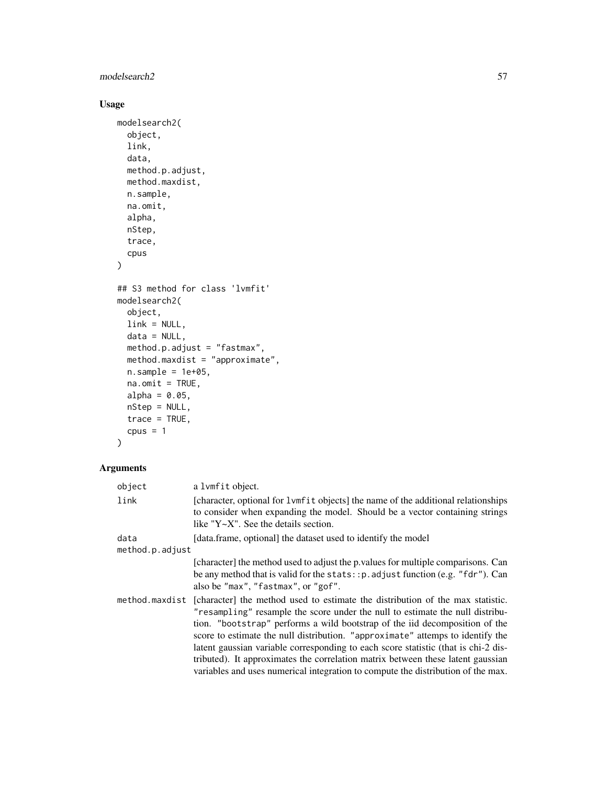# modelsearch2 57

# Usage

```
modelsearch2(
 object,
  link,
 data,
 method.p.adjust,
 method.maxdist,
 n.sample,
 na.omit,
 alpha,
 nStep,
  trace,
  cpus
\mathcal{L}## S3 method for class 'lvmfit'
modelsearch2(
 object,
 link = NULL,
 data = NULL,
 method.p.adjust = "fastmax",
 method.maxdist = "approximate",
 n.\text{sample} = 1e+05,na.omit = TRUE,
  alpha = 0.05,
 nStep = NULL,
  trace = TRUE,
  cpus = 1)
```
# Arguments

| object          | a lvmfit object.                                                                                                                                                                                                                                                                                                                                                                                                                                                                                                                                                                              |  |  |
|-----------------|-----------------------------------------------------------------------------------------------------------------------------------------------------------------------------------------------------------------------------------------------------------------------------------------------------------------------------------------------------------------------------------------------------------------------------------------------------------------------------------------------------------------------------------------------------------------------------------------------|--|--|
| link            | [character, optional for 1 vmf it objects] the name of the additional relationships<br>to consider when expanding the model. Should be a vector containing strings<br>like " $Y \sim X$ ". See the details section.                                                                                                                                                                                                                                                                                                                                                                           |  |  |
| data            | [data.frame, optional] the dataset used to identify the model                                                                                                                                                                                                                                                                                                                                                                                                                                                                                                                                 |  |  |
| method.p.adjust |                                                                                                                                                                                                                                                                                                                                                                                                                                                                                                                                                                                               |  |  |
|                 | [character] the method used to adjust the p. values for multiple comparisons. Can<br>be any method that is valid for the stats: $:p$ and just function (e.g. "fdr"). Can<br>also be "max", "fastmax", or "gof".                                                                                                                                                                                                                                                                                                                                                                               |  |  |
| method.maxdist  | [character] the method used to estimate the distribution of the max statistic.<br>"resampling" resample the score under the null to estimate the null distribu-<br>tion. "bootstrap" performs a wild bootstrap of the iid decomposition of the<br>score to estimate the null distribution. "approximate" attemps to identify the<br>latent gaussian variable corresponding to each score statistic (that is chi-2 dis-<br>tributed). It approximates the correlation matrix between these latent gaussian<br>variables and uses numerical integration to compute the distribution of the max. |  |  |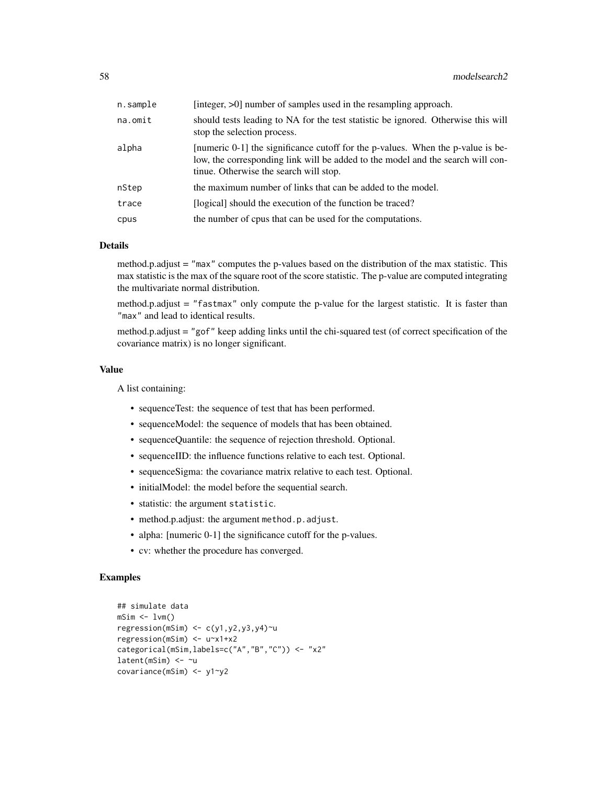| n.sample | [integer, $>0$ ] number of samples used in the resampling approach.                                                                                                                                        |  |  |
|----------|------------------------------------------------------------------------------------------------------------------------------------------------------------------------------------------------------------|--|--|
| na.omit  | should tests leading to NA for the test statistic be ignored. Otherwise this will<br>stop the selection process.                                                                                           |  |  |
| alpha    | numeric 0-1 the significance cutoff for the p-values. When the p-value is be-<br>low, the corresponding link will be added to the model and the search will con-<br>tinue. Otherwise the search will stop. |  |  |
| nStep    | the maximum number of links that can be added to the model.                                                                                                                                                |  |  |
| trace    | [logical] should the execution of the function be traced?                                                                                                                                                  |  |  |
| cpus     | the number of cpus that can be used for the computations.                                                                                                                                                  |  |  |

#### Details

method.p.adjust = "max" computes the p-values based on the distribution of the max statistic. This max statistic is the max of the square root of the score statistic. The p-value are computed integrating the multivariate normal distribution.

method.p.adjust = "fastmax" only compute the p-value for the largest statistic. It is faster than "max" and lead to identical results.

method.p.adjust = "gof" keep adding links until the chi-squared test (of correct specification of the covariance matrix) is no longer significant.

### Value

A list containing:

- sequenceTest: the sequence of test that has been performed.
- sequenceModel: the sequence of models that has been obtained.
- sequenceQuantile: the sequence of rejection threshold. Optional.
- sequenceIID: the influence functions relative to each test. Optional.
- sequenceSigma: the covariance matrix relative to each test. Optional.
- initialModel: the model before the sequential search.
- statistic: the argument statistic.
- method.p.adjust: the argument method.p.adjust.
- alpha: [numeric 0-1] the significance cutoff for the p-values.
- cv: whether the procedure has converged.

```
## simulate data
msim \leftarrow 1vm()regression(mSim) <- c(y1,y2,y3,y4)~u
regression(mSim) <- u~x1+x2
categorical(mSim,labels=c("A","B","C")) <- "x2"
latent(mSim) <- ~u
covariance(mSim) <- y1~y2
```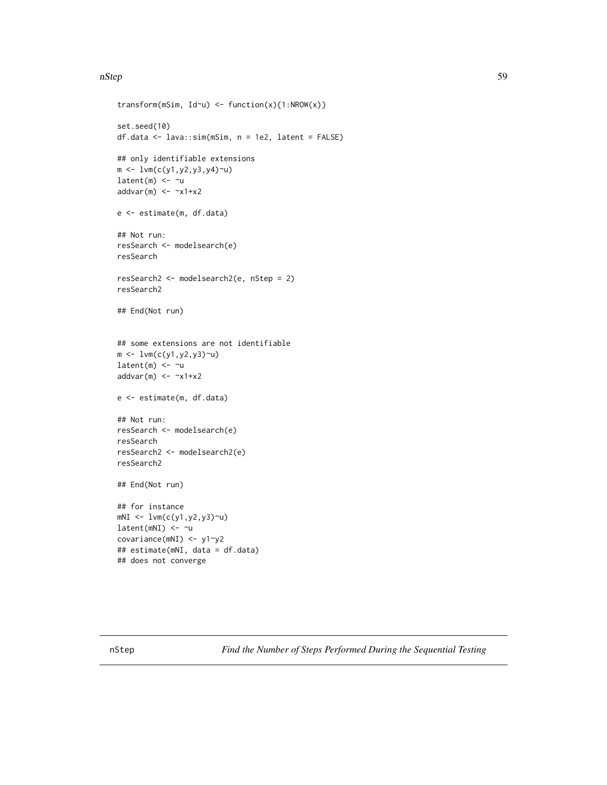### nStep 59

```
transform(mSim, Id\sim u) <- function(x){1:NROW(x)}
set.seed(10)
df.data <- lava::sim(mSim, n = 1e2, latent = FALSE)
## only identifiable extensions
m \leftarrow \text{lvm}(c(y1, y2, y3, y4)~u)
latent(m) <- ~u
addvar(m) \le -x1+x2e <- estimate(m, df.data)
## Not run:
resSearch <- modelsearch(e)
resSearch
resSearch2 <- modelsearch2(e, nStep = 2)
resSearch2
## End(Not run)
## some extensions are not identifiable
m <- lvm(c(y1,y2,y3)~u)
latent(m) <- ~u
addvar(m) <- ~x1+x2
e <- estimate(m, df.data)
## Not run:
resSearch <- modelsearch(e)
resSearch
resSearch2 <- modelsearch2(e)
resSearch2
## End(Not run)
## for instance
mNI <- lvm(c(y1,y2,y3)~u)
latent(mNI) <- ~u
covariance(mNI) <- y1~y2
## estimate(mNI, data = df.data)
## does not converge
```
nStep *Find the Number of Steps Performed During the Sequential Testing*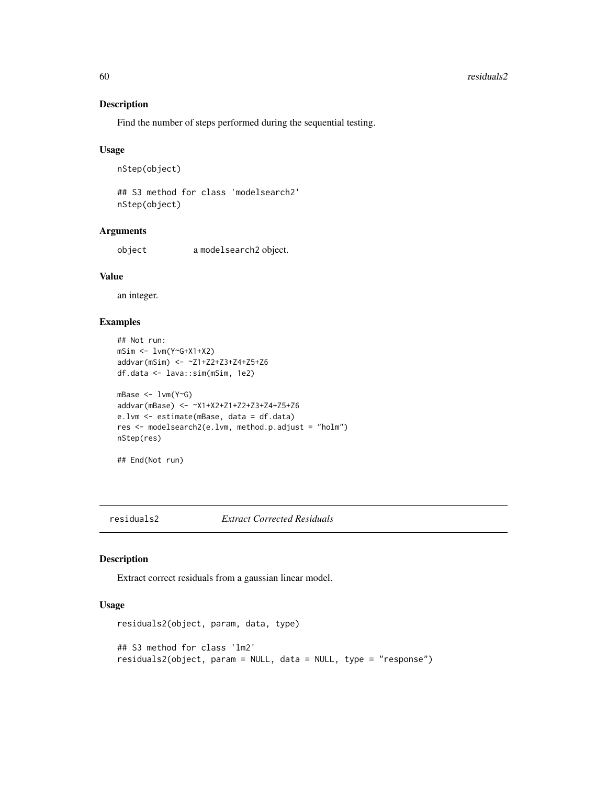## Description

Find the number of steps performed during the sequential testing.

### Usage

```
nStep(object)
```
## S3 method for class 'modelsearch2' nStep(object)

# Arguments

object a modelsearch2 object.

# Value

an integer.

# Examples

```
## Not run:
mSim <- lvm(Y~G+X1+X2)
addvar(mSim) <- ~Z1+Z2+Z3+Z4+Z5+Z6
df.data <- lava::sim(mSim, 1e2)
mBase <- lvm(Y~G)
addvar(mBase) <- ~X1+X2+Z1+Z2+Z3+Z4+Z5+Z6
e.lvm <- estimate(mBase, data = df.data)
res <- modelsearch2(e.lvm, method.p.adjust = "holm")
nStep(res)
```

```
## End(Not run)
```
#### residuals2 *Extract Corrected Residuals*

## Description

Extract correct residuals from a gaussian linear model.

# Usage

```
residuals2(object, param, data, type)
## S3 method for class 'lm2'
residuals2(object, param = NULL, data = NULL, type = "response")
```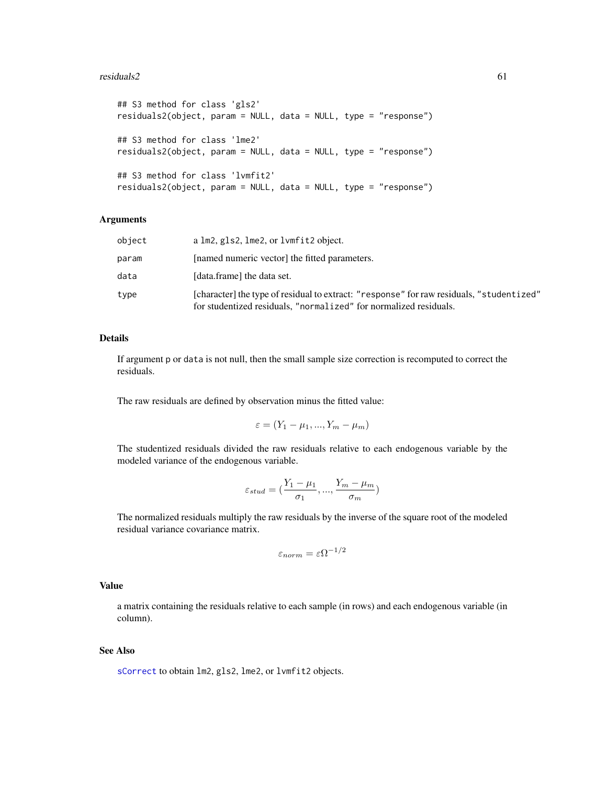#### $residuals2$  61

```
## S3 method for class 'gls2'
residuals2(object, param = NULL, data = NULL, type = "response")
## S3 method for class 'lme2'
residuals2(object, param = NULL, data = NULL, type = "response")
## S3 method for class 'lvmfit2'
residuals2(object, param = NULL, data = NULL, type = "response")
```
### Arguments

| object | a lm2, gls2, lme2, or lvmfit2 object.                                                                                                                         |
|--------|---------------------------------------------------------------------------------------------------------------------------------------------------------------|
| param  | [named numeric vector] the fitted parameters.                                                                                                                 |
| data   | [data.frame] the data set.                                                                                                                                    |
| type   | [character] the type of residual to extract: "response" for raw residuals, "studentized"<br>for studentized residuals, "normalized" for normalized residuals. |

## Details

If argument p or data is not null, then the small sample size correction is recomputed to correct the residuals.

The raw residuals are defined by observation minus the fitted value:

$$
\varepsilon = (Y_1 - \mu_1, ..., Y_m - \mu_m)
$$

The studentized residuals divided the raw residuals relative to each endogenous variable by the modeled variance of the endogenous variable.

$$
\varepsilon_{stud} = (\frac{Y_1 - \mu_1}{\sigma_1}, ..., \frac{Y_m - \mu_m}{\sigma_m})
$$

The normalized residuals multiply the raw residuals by the inverse of the square root of the modeled residual variance covariance matrix.

$$
\varepsilon_{norm} = \varepsilon \Omega^{-1/2}
$$

#### Value

a matrix containing the residuals relative to each sample (in rows) and each endogenous variable (in column).

## See Also

[sCorrect](#page-63-0) to obtain lm2, gls2, lme2, or lvmfit2 objects.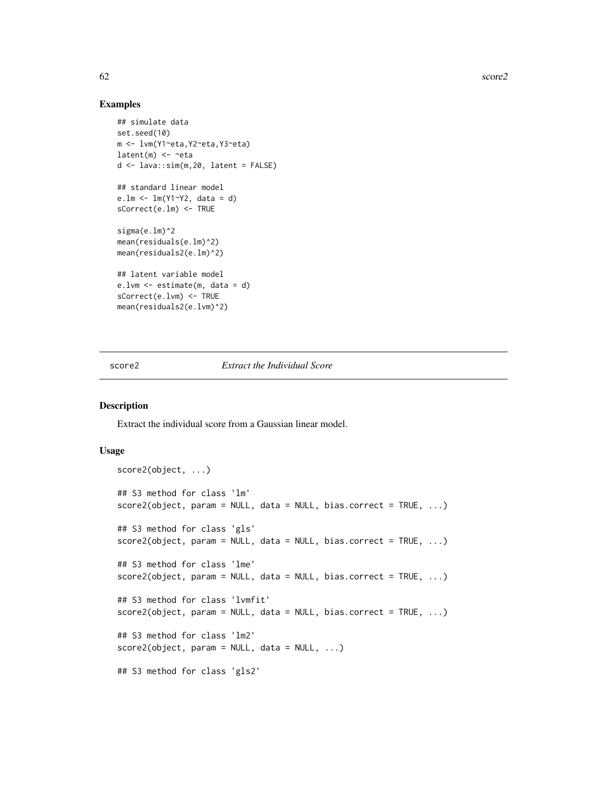62 score2

## Examples

```
## simulate data
set.seed(10)
m <- lvm(Y1~eta,Y2~eta,Y3~eta)
latent(m) \leq -eta
d <- lava::sim(m,20, latent = FALSE)
## standard linear model
e.lm <- lm(Y1~Y2, data = d)
sCorrect(e.lm) <- TRUE
sigma(e.lm)^2
mean(residuals(e.lm)^2)
mean(residuals2(e.lm)^2)
## latent variable model
e.lvm <- estimate(m, data = d)
sCorrect(e.lvm) <- TRUE
mean(residuals2(e.lvm)^2)
```
score2 *Extract the Individual Score*

### Description

Extract the individual score from a Gaussian linear model.

### Usage

```
score2(object, ...)
## S3 method for class 'lm'
score2(object, param = NULL, data = NULL, bias.correct = TRUE, ...)## S3 method for class 'gls'
score2(object, param = NULL, data = NULL, bias.correct = TRUE, ...)## S3 method for class 'lme'
score2(object, param = NULL, data = NULL, bias.correct = TRUE, ...)
## S3 method for class 'lvmfit'
score2(object, param = NULL, data = NULL, bias.correct = TRUE, ...)## S3 method for class 'lm2'
score2(object, param = NULL, data = NULL, ...)
## S3 method for class 'gls2'
```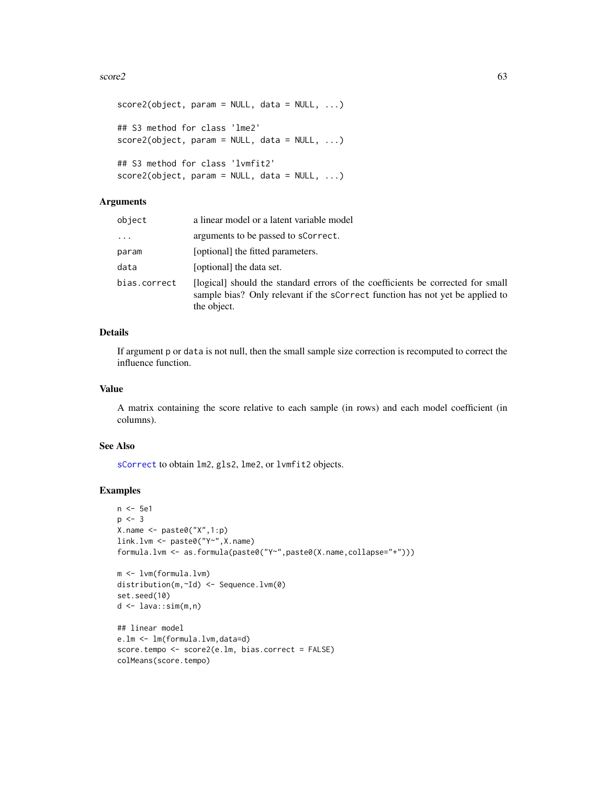#### $\sec 2$  63

```
score2(object, param = NULL, data = NULL, ...)## S3 method for class 'lme2'
score2(object, param = NULL, data = NULL, ...)## S3 method for class 'lvmfit2'
score2(object, param = NULL, data = NULL, ...)
```
# Arguments

| object       | a linear model or a latent variable model                                                                                                                                       |
|--------------|---------------------------------------------------------------------------------------------------------------------------------------------------------------------------------|
| $\cdots$     | arguments to be passed to sCorrect.                                                                                                                                             |
| param        | [optional] the fitted parameters.                                                                                                                                               |
| data         | [optional] the data set.                                                                                                                                                        |
| bias.correct | [logical] should the standard errors of the coefficients be corrected for small<br>sample bias? Only relevant if the scorrect function has not yet be applied to<br>the object. |

# Details

If argument p or data is not null, then the small sample size correction is recomputed to correct the influence function.

### Value

A matrix containing the score relative to each sample (in rows) and each model coefficient (in columns).

# See Also

[sCorrect](#page-63-0) to obtain lm2, gls2, lme2, or lvmfit2 objects.

```
n <- 5e1
p \le -3X.name <- paste0("X",1:p)
link.lvm <- paste0("Y~",X.name)
formula.lvm <- as.formula(paste0("Y~",paste0(X.name,collapse="+")))
m <- lvm(formula.lvm)
distribution(m,~Id) <- Sequence.lvm(0)
set.seed(10)
```

```
d <- lava::sim(m,n)
## linear model
```

```
e.lm <- lm(formula.lvm,data=d)
score.tempo <- score2(e.lm, bias.correct = FALSE)
colMeans(score.tempo)
```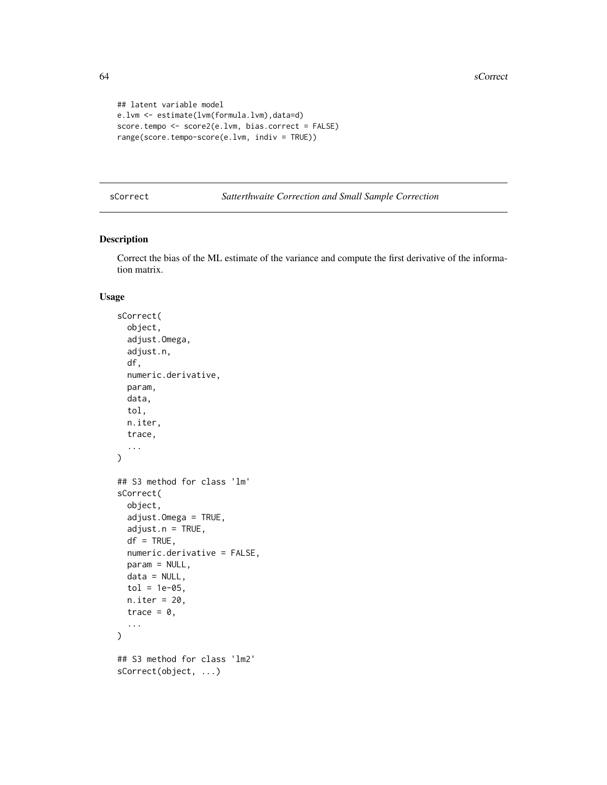```
## latent variable model
e.lvm <- estimate(lvm(formula.lvm),data=d)
score.tempo <- score2(e.lvm, bias.correct = FALSE)
range(score.tempo-score(e.lvm, indiv = TRUE))
```
<span id="page-63-0"></span>sCorrect *Satterthwaite Correction and Small Sample Correction*

# Description

Correct the bias of the ML estimate of the variance and compute the first derivative of the information matrix.

## Usage

```
sCorrect(
 object,
  adjust.Omega,
  adjust.n,
  df,
 numeric.derivative,
 param,
 data,
  tol,
 n.iter,
  trace,
  ...
\mathcal{L}## S3 method for class 'lm'
sCorrect(
 object,
  adjust.Omega = TRUE,
  adjust.n = TRUE,df = TRUE,numeric.derivative = FALSE,
 param = NULL,
 data = NULL,
  tol = 1e-05,n.iter = 20,
  trace = \theta,
  ...
\lambda## S3 method for class 'lm2'
sCorrect(object, ...)
```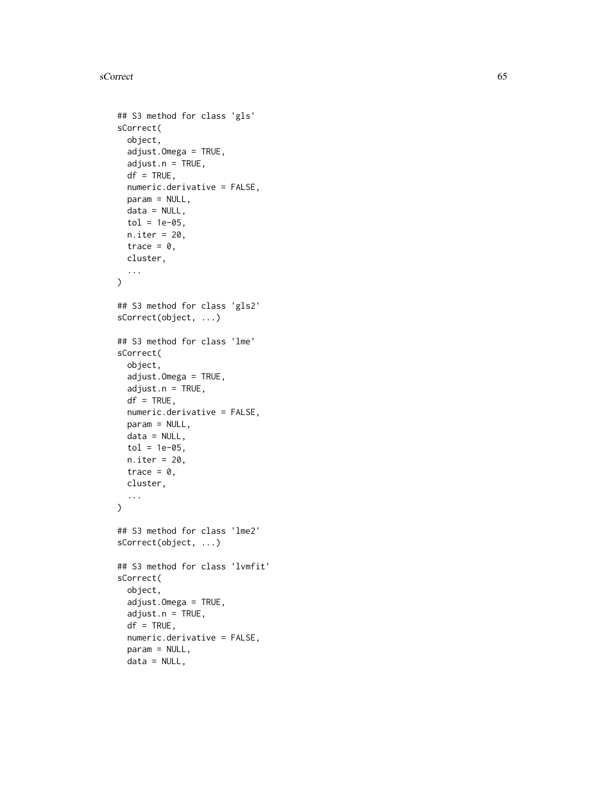### sCorrect 65

```
## S3 method for class 'gls'
sCorrect(
 object,
  adjust.Omega = TRUE,
  adjust.n = TRUE,
  df = TRUE,numeric.derivative = FALSE,
 param = NULL,
 data = NULL,tol = 1e-05,n.iter = 20,
  trace = \theta,
 cluster,
  ...
)
## S3 method for class 'gls2'
sCorrect(object, ...)
## S3 method for class 'lme'
sCorrect(
 object,
  adjust.Omega = TRUE,
  adjust.n = TRUE,df = TRUE,numeric.derivative = FALSE,
 param = NULL,
 data = NULL,tol = 1e-05,n.iter = 20,
 trace = 0,
 cluster,
  ...
\mathcal{L}## S3 method for class 'lme2'
sCorrect(object, ...)
## S3 method for class 'lvmfit'
sCorrect(
  object,
  adjust.Omega = TRUE,
  adjust.n = TRUE,df = TRUE,numeric.derivative = FALSE,
  param = NULL,
  data = NULL,
```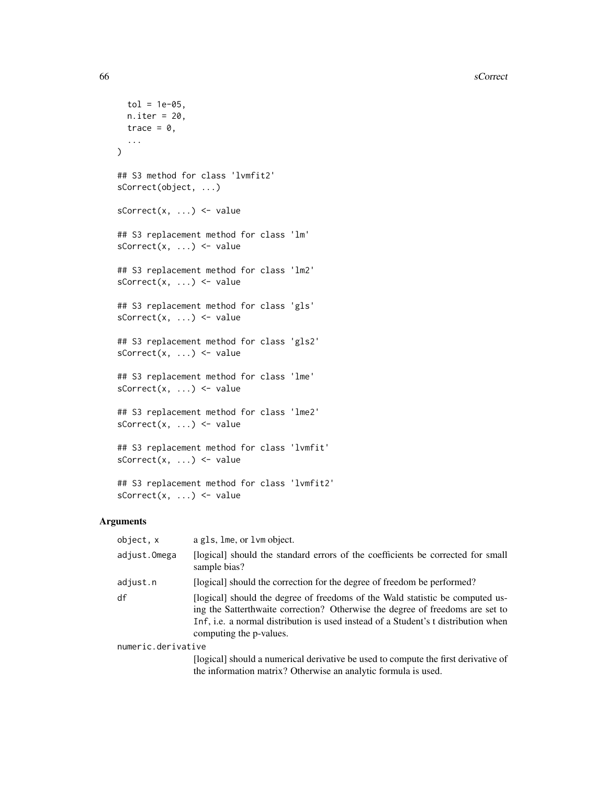```
tol = 1e-05,
 n.iter = 20,
 trace = \theta,
  ...
\mathcal{L}## S3 method for class 'lvmfit2'
sCorrect(object, ...)
sCorrect(x, ...) \leftarrow value## S3 replacement method for class 'lm'
sCorrect(x, ...) <- value
## S3 replacement method for class 'lm2'
sCorrect(x, ...) <- value
## S3 replacement method for class 'gls'
sCorrect(x, ...) \leftarrow value## S3 replacement method for class 'gls2'
sCorrect(x, ...) \leftarrow value## S3 replacement method for class 'lme'
sCorrect(x, ...) \leftarrow value## S3 replacement method for class 'lme2'
sCorrect(x, ...) <- value
## S3 replacement method for class 'lvmfit'
sCorrect(x, ...) <- value
## S3 replacement method for class 'lvmfit2'
```
### Arguments

 $sCorrect(x, ...) \leftarrow value$ 

| object, x          | a gls, lme, or lvm object.                                                                                                                                                                                                                                                      |
|--------------------|---------------------------------------------------------------------------------------------------------------------------------------------------------------------------------------------------------------------------------------------------------------------------------|
| adjust.Omega       | [logical] should the standard errors of the coefficients be corrected for small<br>sample bias?                                                                                                                                                                                 |
| adjust.n           | [logical] should the correction for the degree of freedom be performed?                                                                                                                                                                                                         |
| df                 | [logical] should the degree of freedoms of the Wald statistic be computed us-<br>ing the Satterthwaite correction? Otherwise the degree of freedoms are set to<br>Inf, i.e. a normal distribution is used instead of a Student's t distribution when<br>computing the p-values. |
| numeric.derivative |                                                                                                                                                                                                                                                                                 |
|                    | [logical] should a numerical derivative be used to compute the first derivative of<br>the information matrix? Otherwise an analytic formula is used.                                                                                                                            |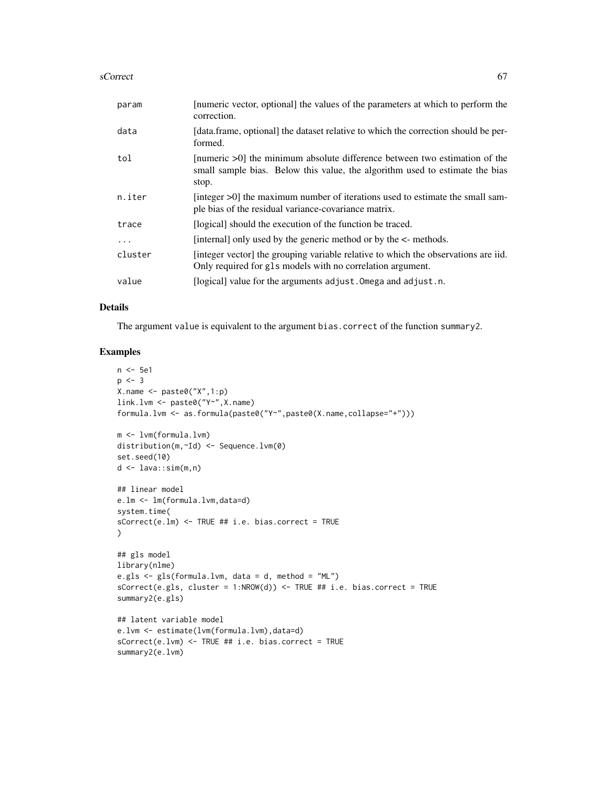#### sCorrect 67 and 57 and 57 and 57 and 57 and 57 and 57 and 57 and 57 and 57 and 57 and 57 and 57 and 57 and 57

| param    | [numeric vector, optional] the values of the parameters at which to perform the<br>correction.                                                                      |
|----------|---------------------------------------------------------------------------------------------------------------------------------------------------------------------|
| data     | [data.frame, optional] the dataset relative to which the correction should be per-<br>formed.                                                                       |
| tol      | [numeric >0] the minimum absolute difference between two estimation of the<br>small sample bias. Below this value, the algorithm used to estimate the bias<br>stop. |
| n.iter   | [integer >0] the maximum number of iterations used to estimate the small sam-<br>ple bias of the residual variance-covariance matrix.                               |
| trace    | [logical] should the execution of the function be traced.                                                                                                           |
| $\ddots$ | [internal] only used by the generic method or by the <- methods.                                                                                                    |
| cluster  | [integer vector] the grouping variable relative to which the observations are iid.<br>Only required for gls models with no correlation argument.                    |
| value    | [logical] value for the arguments adjust. Omega and adjust. n.                                                                                                      |

### Details

The argument value is equivalent to the argument bias.correct of the function summary2.

```
n <- 5e1
p \le -3X.name <- paste0("X",1:p)
link.lvm <- paste0("Y~",X.name)
formula.lvm <- as.formula(paste0("Y~",paste0(X.name,collapse="+")))
m <- lvm(formula.lvm)
distribution(m,~Id) <- Sequence.lvm(0)
set.seed(10)
d <- lava::sim(m,n)
## linear model
e.lm <- lm(formula.lvm,data=d)
system.time(
sCorrect(e.lm) <- TRUE ## i.e. bias.correct = TRUE
)
## gls model
library(nlme)
e.gls <- gls(formula.lvm, data = d, method = "ML")
sCorrect(e.gls, cluster = 1:NROW(d)) \leq TRUE #i.e. bias.correct = TRUEsummary2(e.gls)
## latent variable model
e.lvm <- estimate(lvm(formula.lvm),data=d)
sCorrect(e.lvm) <- TRUE ## i.e. bias.correct = TRUE
summary2(e.lvm)
```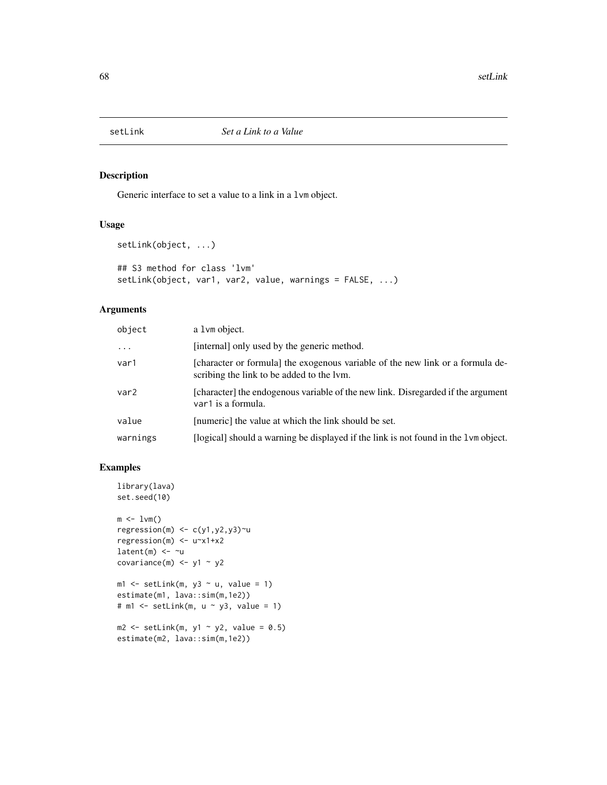## Description

Generic interface to set a value to a link in a lvm object.

## Usage

```
setLink(object, ...)
## S3 method for class 'lvm'
setLink(object, var1, var2, value, warnings = FALSE, ...)
```
# Arguments

| object   | a 1 vm object.                                                                                                              |
|----------|-----------------------------------------------------------------------------------------------------------------------------|
| $\cdots$ | [internal] only used by the generic method.                                                                                 |
| var1     | [character or formula] the exogenous variable of the new link or a formula de-<br>scribing the link to be added to the lym. |
| var2     | [character] the endogenous variable of the new link. Disregarded if the argument<br>var1 is a formula.                      |
| value    | [numeric] the value at which the link should be set.                                                                        |
| warnings | [logical] should a warning be displayed if the link is not found in the 1 vm object.                                        |

```
library(lava)
set.seed(10)
m \leq -1vm()
regression(m) \leftarrow c(y1,y2,y3)~u
regression(m) <- u~x1+x2
latent(m) \leq -\inftycovariance(m) <- y1 - y2
ml \leq setLink(m, y3 \sim u, value = 1)
```

```
estimate(m1, lava::sim(m,1e2))
# m1 \le setLink(m, u \sim y3, value = 1)
m2 \le - setLink(m, y1 \sim y2, value = 0.5)
```

```
estimate(m2, lava::sim(m,1e2))
```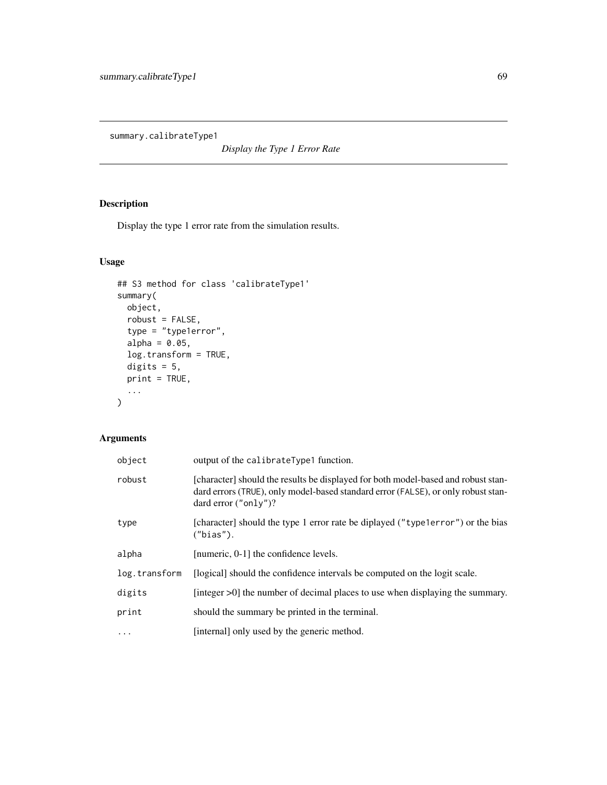summary.calibrateType1

*Display the Type 1 Error Rate*

# Description

Display the type 1 error rate from the simulation results.

# Usage

```
## S3 method for class 'calibrateType1'
summary(
 object,
 robust = FALSE,
  type = "type1error",
  alpha = 0.05,
 log.transform = TRUE,
 digits = 5,
 print = TRUE,
  ...
)
```
# Arguments

| object        | output of the calibrateType1 function.                                                                                                                                                            |
|---------------|---------------------------------------------------------------------------------------------------------------------------------------------------------------------------------------------------|
| robust        | [character] should the results be displayed for both model-based and robust stan-<br>dard errors (TRUE), only model-based standard error (FALSE), or only robust stan-<br>dard error $("only")$ ? |
| type          | [character] should the type 1 error rate be diplayed ("type1error") or the bias<br>("bias").                                                                                                      |
| alpha         | [numeric, 0-1] the confidence levels.                                                                                                                                                             |
| log.transform | [logical] should the confidence intervals be computed on the logit scale.                                                                                                                         |
| digits        | [integer $>0$ ] the number of decimal places to use when displaying the summary.                                                                                                                  |
| print         | should the summary be printed in the terminal.                                                                                                                                                    |
| $\cdots$      | [internal] only used by the generic method.                                                                                                                                                       |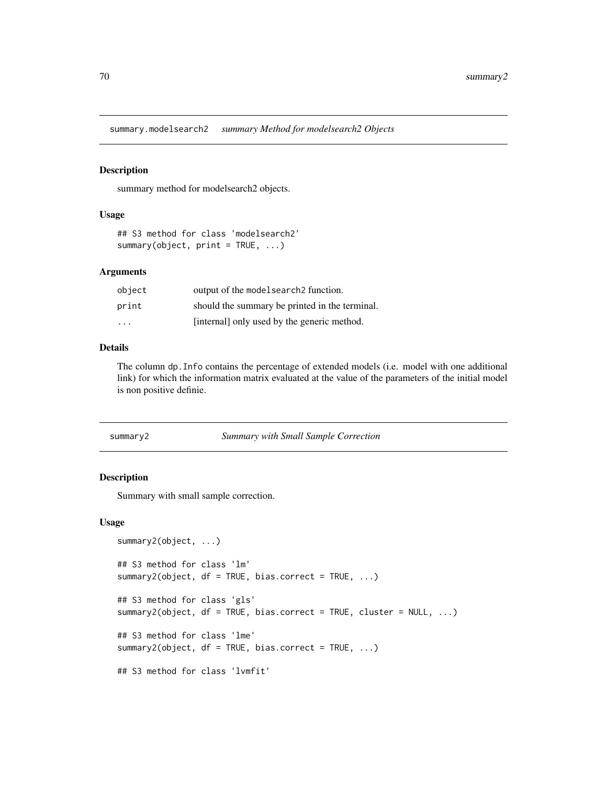summary.modelsearch2 *summary Method for modelsearch2 Objects*

### Description

summary method for modelsearch2 objects.

### Usage

```
## S3 method for class 'modelsearch2'
summary(object, print = TRUE, ...)
```
## Arguments

| object | output of the model search 2 function.         |
|--------|------------------------------------------------|
| print  | should the summary be printed in the terminal. |
| .      | [internal] only used by the generic method.    |

# Details

The column dp.Info contains the percentage of extended models (i.e. model with one additional link) for which the information matrix evaluated at the value of the parameters of the initial model is non positive definie.

#### <span id="page-69-0"></span>summary2 *Summary with Small Sample Correction*

### Description

Summary with small sample correction.

#### Usage

```
summary2(object, ...)
## S3 method for class 'lm'
summary2(object, df = TRUE, bias.correct = TRUE, ...)
## S3 method for class 'gls'
summary2(object, df = TRUE, bias.correct = TRUE, cluster = NULL, \ldots)
## S3 method for class 'lme'
summary2(object, df = TRUE, bias.correct = TRUE, ...)
## S3 method for class 'lvmfit'
```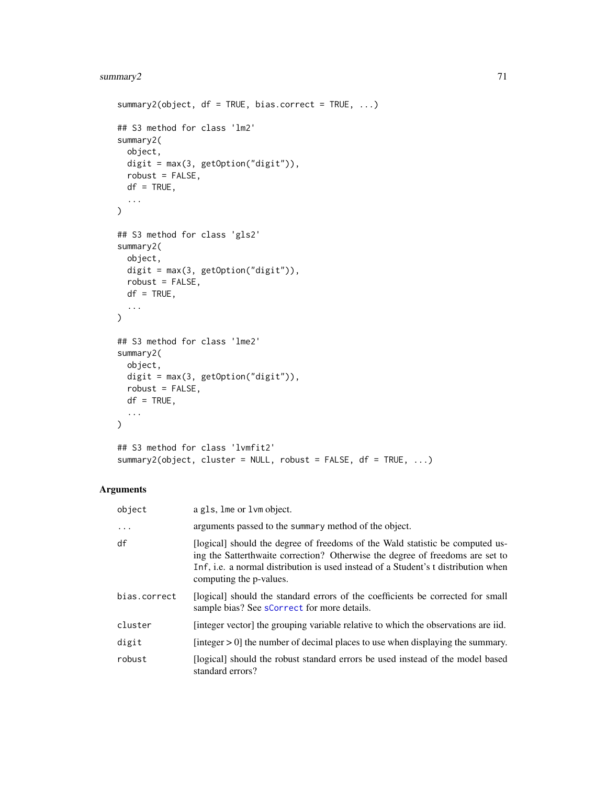# summary2 71

```
summary2(object, df = TRUE, bias.correct = TRUE, ...)
## S3 method for class 'lm2'
summary2(
 object,
 digit = max(3, getOption("digit")),
 robust = FALSE,df = TRUE,...
)
## S3 method for class 'gls2'
summary2(
 object,
 digit = max(3, getOption("digit")),
 robust = FALSE,df = TRUE,...
\lambda## S3 method for class 'lme2'
summary2(
 object,
 digit = max(3, getOption("digit")),
 robust = FALSE,df = TRUE,...
\mathcal{L}## S3 method for class 'lvmfit2'
summary2(object, cluster = NULL, robust = FALSE, df = TRUE, ...)
```
# Arguments

| object       | a gls, lme or lym object.                                                                                                                                                                                                                                                       |
|--------------|---------------------------------------------------------------------------------------------------------------------------------------------------------------------------------------------------------------------------------------------------------------------------------|
| $\ddots$ .   | arguments passed to the summary method of the object.                                                                                                                                                                                                                           |
| df           | [logical] should the degree of freedoms of the Wald statistic be computed us-<br>ing the Satterthwaite correction? Otherwise the degree of freedoms are set to<br>Inf, i.e. a normal distribution is used instead of a Student's t distribution when<br>computing the p-values. |
| bias.correct | [logical] should the standard errors of the coefficients be corrected for small<br>sample bias? See sCorrect for more details.                                                                                                                                                  |
| cluster      | [integer vector] the grouping variable relative to which the observations are iid.                                                                                                                                                                                              |
| digit        | [integer $> 0$ ] the number of decimal places to use when displaying the summary.                                                                                                                                                                                               |
| robust       | [logical] should the robust standard errors be used instead of the model based<br>standard errors?                                                                                                                                                                              |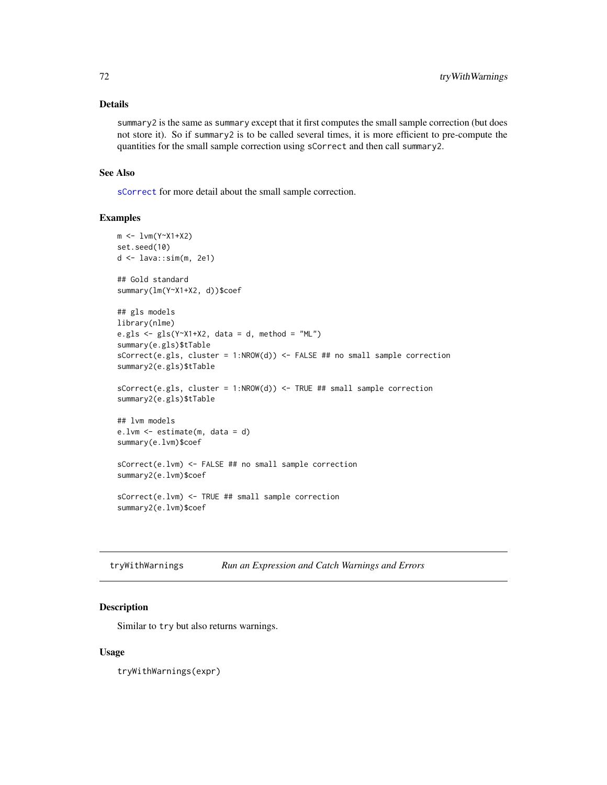## Details

summary2 is the same as summary except that it first computes the small sample correction (but does not store it). So if summary2 is to be called several times, it is more efficient to pre-compute the quantities for the small sample correction using sCorrect and then call summary2.

### See Also

[sCorrect](#page-63-0) for more detail about the small sample correction.

# Examples

```
m < -1vm(Y~X1+X2)
set.seed(10)
d <- lava::sim(m, 2e1)
## Gold standard
summary(lm(Y~X1+X2, d))$coef
## gls models
library(nlme)
e.gls \leq gls(Y~X1+X2, data = d, method = "ML")
summary(e.gls)$tTable
sCorrect(e.gls, cluster = 1:NROW(d)) <- FALSE ## no small sample correction
summary2(e.gls)$tTable
sCorrect(e.gls, cluster = 1:NROW(d)) <- TRUE ## small sample correction
summary2(e.gls)$tTable
## lvm models
e.lvm <- estimate(m, data = d)
summary(e.lvm)$coef
sCorrect(e.lvm) <- FALSE ## no small sample correction
summary2(e.lvm)$coef
sCorrect(e.lvm) <- TRUE ## small sample correction
summary2(e.lvm)$coef
```

| tryWithWarnings | Run an Expression and Catch Warnings and Errors |  |  |  |
|-----------------|-------------------------------------------------|--|--|--|
|-----------------|-------------------------------------------------|--|--|--|

### Description

Similar to try but also returns warnings.

#### Usage

tryWithWarnings(expr)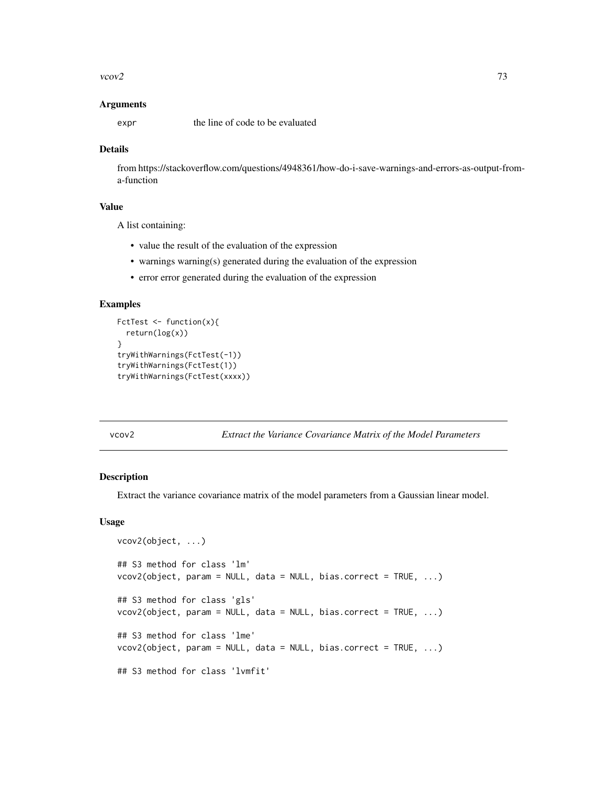#### <span id="page-72-0"></span> $vcov2$  73

## Arguments

expr the line of code to be evaluated

## Details

from https://stackoverflow.com/questions/4948361/how-do-i-save-warnings-and-errors-as-output-froma-function

# Value

A list containing:

- value the result of the evaluation of the expression
- warnings warning(s) generated during the evaluation of the expression
- error error generated during the evaluation of the expression

## Examples

```
FctTest <- function(x){
  return(log(x))
}
tryWithWarnings(FctTest(-1))
tryWithWarnings(FctTest(1))
tryWithWarnings(FctTest(xxxx))
```
## vcov2 *Extract the Variance Covariance Matrix of the Model Parameters*

# Description

Extract the variance covariance matrix of the model parameters from a Gaussian linear model.

## Usage

```
vcov2(object, ...)
## S3 method for class 'lm'
vcov2(object, param = NULL, data = NULL, bias.correct = TRUE, ...)## S3 method for class 'gls'
vcov2(object, param = NULL, data = NULL, bias.correct = TRUE, ...)
## S3 method for class 'lme'
vcov2(object, param = NULL, data = NULL, bias.correct = TRUE, ...)
## S3 method for class 'lvmfit'
```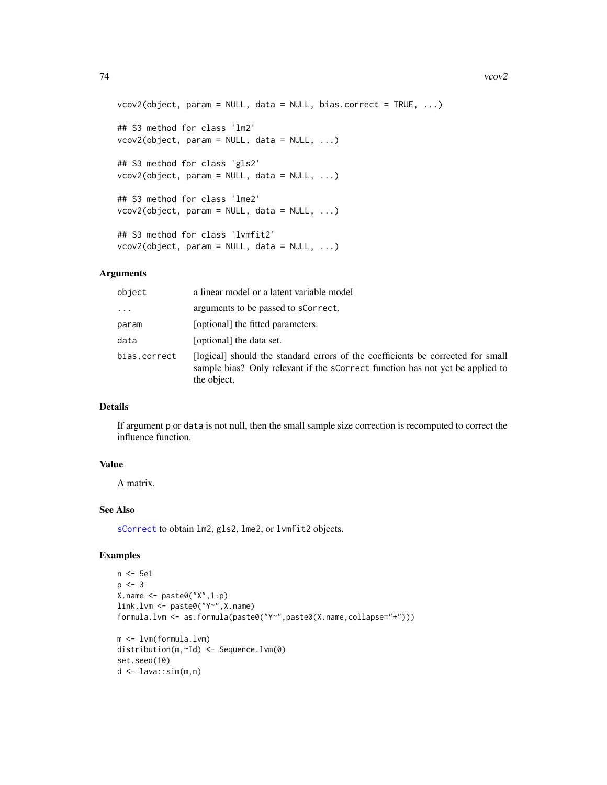```
vcov2(object, param = NULL, data = NULL, bias.correct = TRUE, ...)## S3 method for class 'lm2'
vcov2(object, param = NULL, data = NULL, ...)
## S3 method for class 'gls2'
vcov2(object, param = NULL, data = NULL, ...)
## S3 method for class 'lme2'
vcov2(object, param = NULL, data = NULL, ...)
## S3 method for class 'lvmfit2'
vcov2(object, param = NULL, data = NULL, ...)
```
## Arguments

| object       | a linear model or a latent variable model                                                                                                                                       |
|--------------|---------------------------------------------------------------------------------------------------------------------------------------------------------------------------------|
| $\cdots$     | arguments to be passed to sCorrect.                                                                                                                                             |
| param        | [optional] the fitted parameters.                                                                                                                                               |
| data         | [optional] the data set.                                                                                                                                                        |
| bias.correct | [logical] should the standard errors of the coefficients be corrected for small<br>sample bias? Only relevant if the scorrect function has not yet be applied to<br>the object. |

# Details

If argument p or data is not null, then the small sample size correction is recomputed to correct the influence function.

# Value

A matrix.

# See Also

[sCorrect](#page-63-0) to obtain lm2, gls2, lme2, or lvmfit2 objects.

# Examples

```
n <- 5e1
p \le -3X.name <- paste0("X",1:p)
link.lvm <- paste0("Y~",X.name)
formula.lvm <- as.formula(paste0("Y~",paste0(X.name,collapse="+")))
m <- lvm(formula.lvm)
distribution(m,~Id) <- Sequence.lvm(0)
set.seed(10)
d <- lava::sim(m,n)
```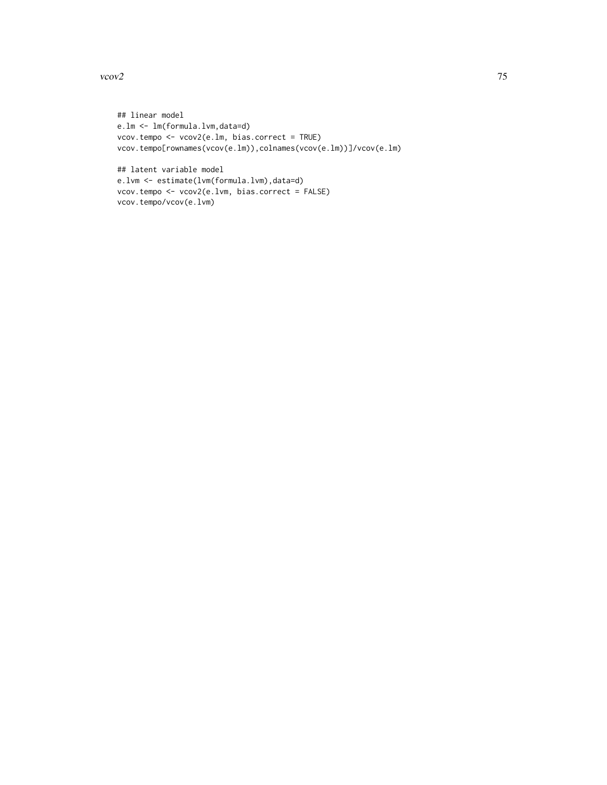#### $vcov2$  75

```
## linear model
e.lm <- lm(formula.lvm,data=d)
vcov.tempo <- vcov2(e.lm, bias.correct = TRUE)
vcov.tempo[rownames(vcov(e.lm)),colnames(vcov(e.lm))]/vcov(e.lm)
```

```
## latent variable model
e.lvm <- estimate(lvm(formula.lvm),data=d)
vcov.tempo <- vcov2(e.lvm, bias.correct = FALSE)
vcov.tempo/vcov(e.lvm)
```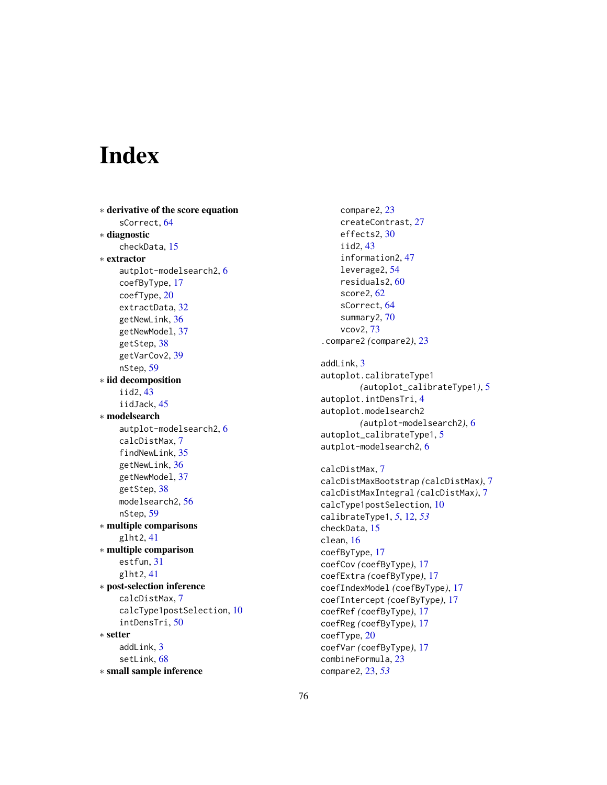# **Index**

∗ derivative of the score equation sCorrect, [64](#page-63-1) ∗ diagnostic checkData, [15](#page-14-0) ∗ extractor autplot-modelsearch2, [6](#page-5-0) coefByType, [17](#page-16-0) coefType, [20](#page-19-0) extractData, [32](#page-31-0) getNewLink, [36](#page-35-0) getNewModel, [37](#page-36-0) getStep, [38](#page-37-0) getVarCov2, [39](#page-38-0) nStep, [59](#page-58-0) ∗ iid decomposition iid2, [43](#page-42-0) iidJack, [45](#page-44-0) ∗ modelsearch autplot-modelsearch2, [6](#page-5-0) calcDistMax, [7](#page-6-0) findNewLink, [35](#page-34-0) getNewLink, [36](#page-35-0) getNewModel, [37](#page-36-0) getStep, [38](#page-37-0) modelsearch2, [56](#page-55-0) nStep, [59](#page-58-0) ∗ multiple comparisons glht2, [41](#page-40-0) ∗ multiple comparison estfun, [31](#page-30-0) glht2, [41](#page-40-0) ∗ post-selection inference calcDistMax, [7](#page-6-0) calcType1postSelection, [10](#page-9-0) intDensTri, [50](#page-49-0) ∗ setter addLink, [3](#page-2-0) setLink, [68](#page-67-0) ∗ small sample inference

compare2, [23](#page-22-0) createContrast, [27](#page-26-0) effects2, [30](#page-29-0) iid2, [43](#page-42-0) information2, [47](#page-46-0) leverage2, [54](#page-53-0) residuals2, [60](#page-59-0) score2, [62](#page-61-0) sCorrect, [64](#page-63-1) summary2, [70](#page-69-0) vcov2, [73](#page-72-0) .compare2 *(*compare2*)*, [23](#page-22-0) addLink, [3](#page-2-0) autoplot.calibrateType1 *(*autoplot\_calibrateType1*)*, [5](#page-4-0) autoplot.intDensTri, [4](#page-3-0) autoplot.modelsearch2 *(*autplot-modelsearch2*)*, [6](#page-5-0) autoplot\_calibrateType1, [5](#page-4-0) autplot-modelsearch2, [6](#page-5-0) calcDistMax, [7](#page-6-0) calcDistMaxBootstrap *(*calcDistMax*)*, [7](#page-6-0) calcDistMaxIntegral *(*calcDistMax*)*, [7](#page-6-0) calcType1postSelection, [10](#page-9-0) calibrateType1, *[5](#page-4-0)*, [12,](#page-11-0) *[53](#page-52-0)* checkData, [15](#page-14-0) clean, [16](#page-15-0) coefByType, [17](#page-16-0) coefCov *(*coefByType*)*, [17](#page-16-0) coefExtra *(*coefByType*)*, [17](#page-16-0) coefIndexModel *(*coefByType*)*, [17](#page-16-0) coefIntercept *(*coefByType*)*, [17](#page-16-0) coefRef *(*coefByType*)*, [17](#page-16-0) coefReg *(*coefByType*)*, [17](#page-16-0) coefType, [20](#page-19-0) coefVar *(*coefByType*)*, [17](#page-16-0) combineFormula, [23](#page-22-0) compare2, [23,](#page-22-0) *[53](#page-52-0)*